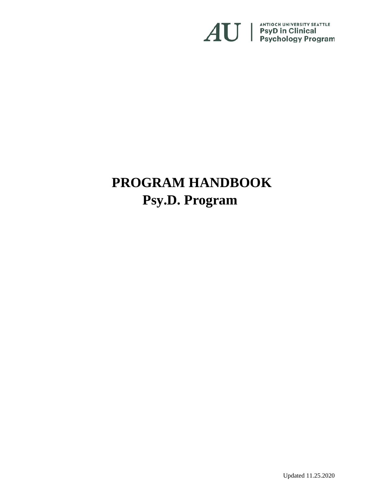

# **PROGRAM HANDBOOK Psy.D. Program**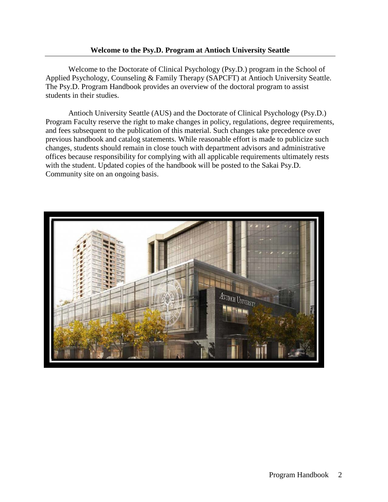### **Welcome to the Psy.D. Program at Antioch University Seattle**

Welcome to the Doctorate of Clinical Psychology (Psy.D.) program in the School of Applied Psychology, Counseling & Family Therapy (SAPCFT) at Antioch University Seattle. The Psy.D. Program Handbook provides an overview of the doctoral program to assist students in their studies.

Antioch University Seattle (AUS) and the Doctorate of Clinical Psychology (Psy.D.) Program Faculty reserve the right to make changes in policy, regulations, degree requirements, and fees subsequent to the publication of this material. Such changes take precedence over previous handbook and catalog statements. While reasonable effort is made to publicize such changes, students should remain in close touch with department advisors and administrative offices because responsibility for complying with all applicable requirements ultimately rests with the student. Updated copies of the handbook will be posted to the Sakai Psy.D. Community site on an ongoing basis.

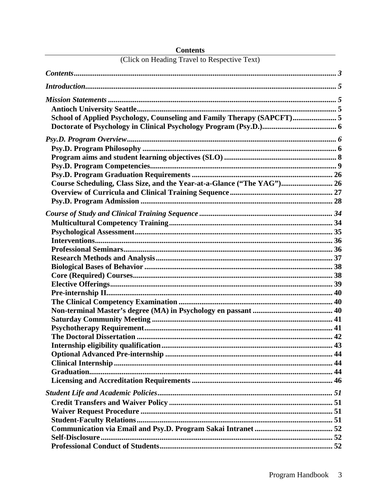| (Click on Heading Travel to Respective Text)                           |  |
|------------------------------------------------------------------------|--|
|                                                                        |  |
|                                                                        |  |
|                                                                        |  |
|                                                                        |  |
| School of Applied Psychology, Counseling and Family Therapy (SAPCFT) 5 |  |
|                                                                        |  |
|                                                                        |  |
|                                                                        |  |
|                                                                        |  |
|                                                                        |  |
|                                                                        |  |
|                                                                        |  |
| Course Scheduling, Class Size, and the Year-at-a-Glance ("The YAG") 26 |  |
|                                                                        |  |
|                                                                        |  |
|                                                                        |  |
|                                                                        |  |
|                                                                        |  |
|                                                                        |  |
|                                                                        |  |
|                                                                        |  |
|                                                                        |  |
|                                                                        |  |
|                                                                        |  |
|                                                                        |  |
|                                                                        |  |
|                                                                        |  |
|                                                                        |  |
|                                                                        |  |
| The Doctoral Dissertation                                              |  |
|                                                                        |  |
|                                                                        |  |
|                                                                        |  |
|                                                                        |  |
|                                                                        |  |
|                                                                        |  |
|                                                                        |  |
|                                                                        |  |
|                                                                        |  |
|                                                                        |  |
|                                                                        |  |
|                                                                        |  |

# <span id="page-2-0"></span>**Contents**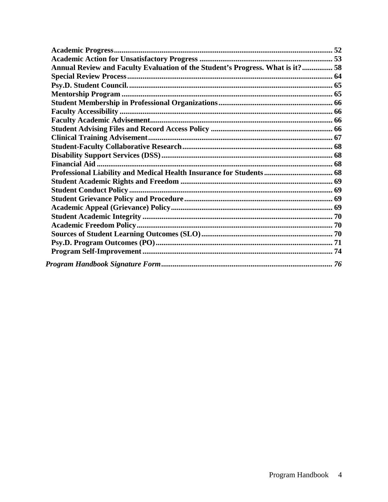| Annual Review and Faculty Evaluation of the Student's Progress. What is it? 58 |  |
|--------------------------------------------------------------------------------|--|
|                                                                                |  |
|                                                                                |  |
|                                                                                |  |
|                                                                                |  |
|                                                                                |  |
|                                                                                |  |
|                                                                                |  |
|                                                                                |  |
|                                                                                |  |
|                                                                                |  |
|                                                                                |  |
|                                                                                |  |
|                                                                                |  |
|                                                                                |  |
|                                                                                |  |
|                                                                                |  |
|                                                                                |  |
|                                                                                |  |
|                                                                                |  |
|                                                                                |  |
|                                                                                |  |
|                                                                                |  |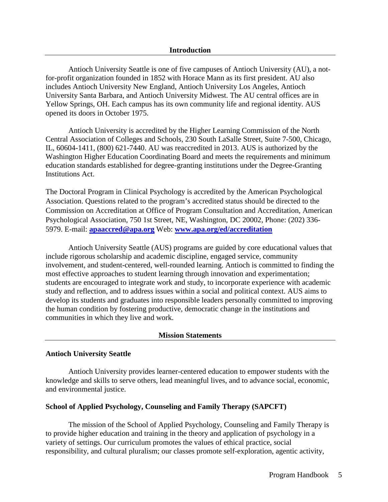<span id="page-4-0"></span>Antioch University Seattle is one of five campuses of Antioch University (AU), a notfor-profit organization founded in 1852 with Horace Mann as its first president. AU also includes Antioch University New England, Antioch University Los Angeles, Antioch University Santa Barbara, and Antioch University Midwest. The AU central offices are in Yellow Springs, OH. Each campus has its own community life and regional identity. AUS opened its doors in October 1975.

Antioch University is accredited by the Higher Learning Commission of the North Central Association of Colleges and Schools, 230 South LaSalle Street, Suite 7-500, Chicago, IL, 60604-1411, (800) 621-7440. AU was reaccredited in 2013. AUS is authorized by the Washington Higher Education Coordinating Board and meets the requirements and minimum education standards established for degree-granting institutions under the Degree-Granting Institutions Act.

The Doctoral Program in Clinical Psychology is accredited by the American Psychological Association. Questions related to the program's accredited status should be directed to the Commission on Accreditation at Office of Program Consultation and Accreditation, American Psychological Association, 750 1st Street, NE, Washington, DC 20002, Phone: (202) 336- 5979. E-mail: **[apaaccred@apa.org](mailto:apaaccred@apa.org)** Web: **[www.apa.org/ed/accreditation](http://www.apa.org/ed/accreditation)**

Antioch University Seattle (AUS) programs are guided by core educational values that include rigorous scholarship and academic discipline, engaged service, community involvement, and student-centered, well-rounded learning. Antioch is committed to finding the most effective approaches to student learning through innovation and experimentation; students are encouraged to integrate work and study, to incorporate experience with academic study and reflection, and to address issues within a social and political context. AUS aims to develop its students and graduates into responsible leaders personally committed to improving the human condition by fostering productive, democratic change in the institutions and communities in which they live and work.

#### **Mission Statements**

### <span id="page-4-2"></span><span id="page-4-1"></span>**Antioch University Seattle**

Antioch University provides learner-centered education to empower students with the knowledge and skills to serve others, lead meaningful lives, and to advance social, economic, and environmental justice.

### <span id="page-4-3"></span>**School of Applied Psychology, Counseling and Family Therapy (SAPCFT)**

The mission of the School of Applied Psychology, Counseling and Family Therapy is to provide higher education and training in the theory and application of psychology in a variety of settings. Our curriculum promotes the values of ethical practice, social responsibility, and cultural pluralism; our classes promote self-exploration, agentic activity,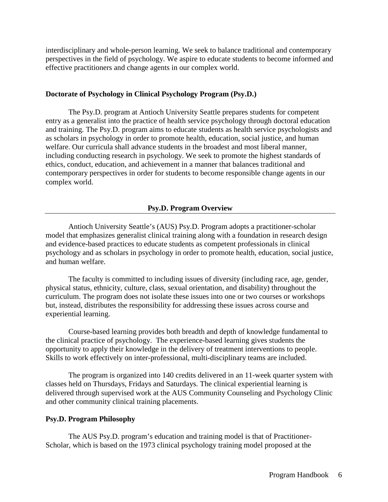interdisciplinary and whole-person learning. We seek to balance traditional and contemporary perspectives in the field of psychology. We aspire to educate students to become informed and effective practitioners and change agents in our complex world.

### <span id="page-5-0"></span>**Doctorate of Psychology in Clinical Psychology Program (Psy.D.)**

The Psy.D. program at Antioch University Seattle prepares students for competent entry as a generalist into the practice of health service psychology through doctoral education and training. The Psy.D. program aims to educate students as health service psychologists and as scholars in psychology in order to promote health, education, social justice, and human welfare. Our curricula shall advance students in the broadest and most liberal manner, including conducting research in psychology. We seek to promote the highest standards of ethics, conduct, education, and achievement in a manner that balances traditional and contemporary perspectives in order for students to become responsible change agents in our complex world.

### **Psy.D. Program Overview**

<span id="page-5-1"></span>Antioch University Seattle's (AUS) Psy.D. Program adopts a practitioner-scholar model that emphasizes generalist clinical training along with a foundation in research design and evidence-based practices to educate students as competent professionals in clinical psychology and as scholars in psychology in order to promote health, education, social justice, and human welfare.

The faculty is committed to including issues of diversity (including race, age, gender, physical status, ethnicity, culture, class, sexual orientation, and disability) throughout the curriculum. The program does not isolate these issues into one or two courses or workshops but, instead, distributes the responsibility for addressing these issues across course and experiential learning.

Course-based learning provides both breadth and depth of knowledge fundamental to the clinical practice of psychology. The experience-based learning gives students the opportunity to apply their knowledge in the delivery of treatment interventions to people. Skills to work effectively on inter-professional, multi-disciplinary teams are included.

The program is organized into 140 credits delivered in an 11-week quarter system with classes held on Thursdays, Fridays and Saturdays. The clinical experiential learning is delivered through supervised work at the AUS Community Counseling and Psychology Clinic and other community clinical training placements.

#### <span id="page-5-2"></span>**Psy.D. Program Philosophy**

The AUS Psy.D. program's education and training model is that of Practitioner-Scholar, which is based on the 1973 clinical psychology training model proposed at the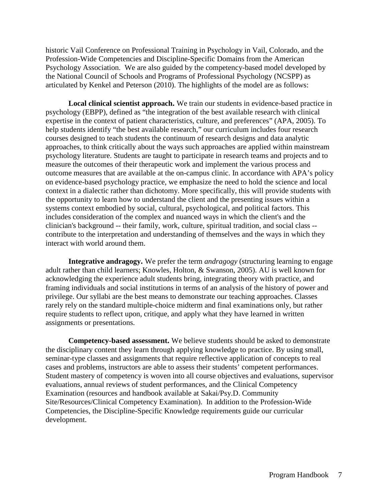historic Vail Conference on Professional Training in Psychology in [Vail, Colorado,](http://en.wikipedia.org/wiki/Vail,_Colorado) and the Profession-Wide Competencies and Discipline-Specific Domains from the American Psychology Association. We are also guided by the competency-based model developed by the National Council of Schools and Programs of Professional Psychology (NCSPP) as articulated by Kenkel and Peterson (2010). The highlights of the model are as follows:

**Local clinical scientist approach.** We train our students in evidence-based practice in psychology (EBPP), defined as "the integration of the best available research with clinical expertise in the context of patient characteristics, culture, and preferences" (APA, 2005). To help students identify "the best available research," our curriculum includes four research courses designed to teach students the continuum of research designs and data analytic approaches, to think critically about the ways such approaches are applied within mainstream psychology literature. Students are taught to participate in research teams and projects and to measure the outcomes of their therapeutic work and implement the various process and outcome measures that are available at the on-campus clinic. In accordance with APA's policy on evidence-based psychology practice, we emphasize the need to hold the science and local context in a dialectic rather than dichotomy. More specifically, this will provide students with the opportunity to learn how to understand the client and the presenting issues within a systems context embodied by social, cultural, psychological, and political factors. This includes consideration of the complex and nuanced ways in which the client's and the clinician's background -- their family, work, culture, spiritual tradition, and social class - contribute to the interpretation and understanding of themselves and the ways in which they interact with world around them.

**Integrative andragogy.** We prefer the term *andragogy* (structuring learning to engage adult rather than child learners; Knowles, Holton, & Swanson, 2005). AU is well known for acknowledging the experience adult students bring, integrating theory with practice, and framing individuals and social institutions in terms of an analysis of the history of power and privilege. Our syllabi are the best means to demonstrate our teaching approaches. Classes rarely rely on the standard multiple-choice midterm and final examinations only, but rather require students to reflect upon, critique, and apply what they have learned in written assignments or presentations.

**Competency-based assessment.** We believe students should be asked to demonstrate the disciplinary content they learn through applying knowledge to practice. By using small, seminar-type classes and assignments that require reflective application of concepts to real cases and problems, instructors are able to assess their students' competent performances. Student mastery of competency is woven into all course objectives and evaluations, supervisor evaluations, annual reviews of student performances, and the Clinical Competency Examination (resources and handbook available at Sakai/Psy.D. Community Site/Resources/Clinical Competency Examination). In addition to the Profession-Wide Competencies, the Discipline-Specific Knowledge requirements guide our curricular development.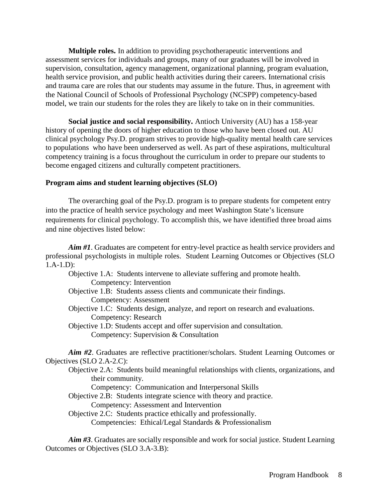**Multiple roles.** In addition to providing psychotherapeutic interventions and assessment services for individuals and groups, many of our graduates will be involved in supervision, consultation, agency management, organizational planning, program evaluation, health service provision, and public health activities during their careers. International crisis and trauma care are roles that our students may assume in the future. Thus, in agreement with the National Council of Schools of Professional Psychology (NCSPP) competency-based model, we train our students for the roles they are likely to take on in their communities.

**Social justice and social responsibility.** Antioch University (AU) has a 158-year history of opening the doors of higher education to those who have been closed out. AU clinical psychology Psy.D. program strives to provide high-quality mental health care services to populations who have been underserved as well. As part of these aspirations, multicultural competency training is a focus throughout the curriculum in order to prepare our students to become engaged citizens and culturally competent practitioners.

### <span id="page-7-0"></span>**Program aims and student learning objectives (SLO)**

The overarching goal of the Psy.D. program is to prepare students for competent entry into the practice of health service psychology and meet Washington State's licensure requirements for clinical psychology. To accomplish this, we have identified three broad aims and nine objectives listed below:

*Aim #1*. Graduates are competent for entry-level practice as health service providers and professional psychologists in multiple roles. Student Learning Outcomes or Objectives (SLO 1.A-1.D):

- Objective 1.A: Students intervene to alleviate suffering and promote health. Competency: Intervention
- Objective 1.B: Students assess clients and communicate their findings. Competency: Assessment
- Objective 1.C: Students design, analyze, and report on research and evaluations. Competency: Research
- Objective 1.D: Students accept and offer supervision and consultation. Competency: Supervision & Consultation

*Aim #2*. Graduates are reflective practitioner/scholars. Student Learning Outcomes or Objectives (SLO 2.A-2.C):

Objective 2.A: Students build meaningful relationships with clients, organizations, and their community.

Competency: Communication and Interpersonal Skills

- Objective 2.B: Students integrate science with theory and practice. Competency: Assessment and Intervention
- Objective 2.C: Students practice ethically and professionally. Competencies: Ethical/Legal Standards & Professionalism

*Aim #3*. Graduates are socially responsible and work for social justice. Student Learning Outcomes or Objectives (SLO 3.A-3.B):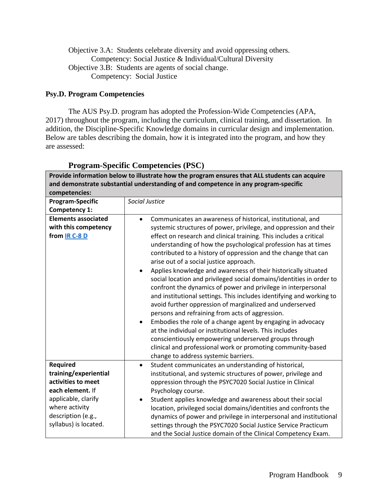Objective 3.A: Students celebrate diversity and avoid oppressing others. Competency: Social Justice & Individual/Cultural Diversity Objective 3.B: Students are agents of social change. Competency: Social Justice

### <span id="page-8-0"></span>**Psy.D. Program Competencies**

The AUS Psy.D. program has adopted the Profession-Wide Competencies (APA, 2017) throughout the program, including the curriculum, clinical training, and dissertation. In addition, the Discipline-Specific Knowledge domains in curricular design and implementation. Below are tables describing the domain, how it is integrated into the program, and how they are assessed:

| Provide information below to illustrate how the program ensures that ALL students can acquire<br>and demonstrate substantial understanding of and competence in any program-specific<br>competencies: |                                                                                                                                                                                                                                                                                                                                                                                                                                                                                                                                                                                                                                                                                                                                                                                                                                                                                                                                                                                                                                                                                                 |  |
|-------------------------------------------------------------------------------------------------------------------------------------------------------------------------------------------------------|-------------------------------------------------------------------------------------------------------------------------------------------------------------------------------------------------------------------------------------------------------------------------------------------------------------------------------------------------------------------------------------------------------------------------------------------------------------------------------------------------------------------------------------------------------------------------------------------------------------------------------------------------------------------------------------------------------------------------------------------------------------------------------------------------------------------------------------------------------------------------------------------------------------------------------------------------------------------------------------------------------------------------------------------------------------------------------------------------|--|
| Program-Specific<br>Competency 1:                                                                                                                                                                     | Social Justice                                                                                                                                                                                                                                                                                                                                                                                                                                                                                                                                                                                                                                                                                                                                                                                                                                                                                                                                                                                                                                                                                  |  |
| <b>Elements associated</b><br>with this competency<br>from IR C-8 D                                                                                                                                   | Communicates an awareness of historical, institutional, and<br>$\bullet$<br>systemic structures of power, privilege, and oppression and their<br>effect on research and clinical training. This includes a critical<br>understanding of how the psychological profession has at times<br>contributed to a history of oppression and the change that can<br>arise out of a social justice approach.<br>Applies knowledge and awareness of their historically situated<br>social location and privileged social domains/identities in order to<br>confront the dynamics of power and privilege in interpersonal<br>and institutional settings. This includes identifying and working to<br>avoid further oppression of marginalized and underserved<br>persons and refraining from acts of aggression.<br>Embodies the role of a change agent by engaging in advocacy<br>at the individual or institutional levels. This includes<br>conscientiously empowering underserved groups through<br>clinical and professional work or promoting community-based<br>change to address systemic barriers. |  |
| <b>Required</b><br>training/experiential<br>activities to meet<br>each element. If<br>applicable, clarify<br>where activity<br>description (e.g.,<br>syllabus) is located.                            | Student communicates an understanding of historical,<br>$\bullet$<br>institutional, and systemic structures of power, privilege and<br>oppression through the PSYC7020 Social Justice in Clinical<br>Psychology course.<br>Student applies knowledge and awareness about their social<br>$\bullet$<br>location, privileged social domains/identities and confronts the<br>dynamics of power and privilege in interpersonal and institutional<br>settings through the PSYC7020 Social Justice Service Practicum<br>and the Social Justice domain of the Clinical Competency Exam.                                                                                                                                                                                                                                                                                                                                                                                                                                                                                                                |  |

## **Program-Specific Competencies (PSC)**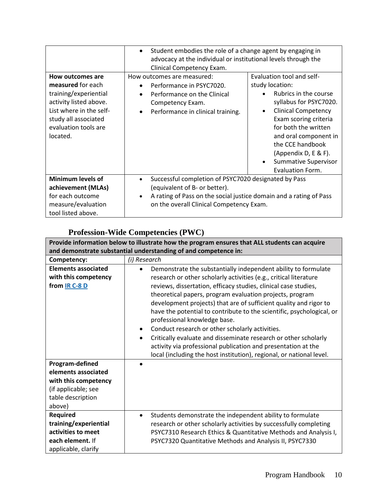|                                                                                                                                                                                 | $\bullet$<br>Clinical Competency Exam.                                                                                                                      | Student embodies the role of a change agent by engaging in<br>advocacy at the individual or institutional levels through the                                                                                                                                                                                        |  |  |
|---------------------------------------------------------------------------------------------------------------------------------------------------------------------------------|-------------------------------------------------------------------------------------------------------------------------------------------------------------|---------------------------------------------------------------------------------------------------------------------------------------------------------------------------------------------------------------------------------------------------------------------------------------------------------------------|--|--|
| How outcomes are<br>measured for each<br>training/experiential<br>activity listed above.<br>List where in the self-<br>study all associated<br>evaluation tools are<br>located. | How outcomes are measured:<br>Performance in PSYC7020.<br>Performance on the Clinical<br>$\bullet$<br>Competency Exam.<br>Performance in clinical training. | Evaluation tool and self-<br>study location:<br>Rubrics in the course<br>syllabus for PSYC7020.<br><b>Clinical Competency</b><br>$\bullet$<br>Exam scoring criteria<br>for both the written<br>and oral component in<br>the CCE handbook<br>(Appendix D, E & F).<br>Summative Supervisor<br><b>Evaluation Form.</b> |  |  |
| <b>Minimum levels of</b><br>achievement (MLAs)<br>for each outcome<br>measure/evaluation<br>tool listed above.                                                                  | $\bullet$<br>(equivalent of B- or better).<br>$\bullet$                                                                                                     | Successful completion of PSYC7020 designated by Pass<br>A rating of Pass on the social justice domain and a rating of Pass<br>on the overall Clinical Competency Exam.                                                                                                                                              |  |  |

# **Profession-Wide Competencies (PWC)**

| Provide information below to illustrate how the program ensures that ALL students can acquire                        |                                                                                                                                                                                                                                                                                                                                                                                                                                                                                                                                                                                                                                                                                                                              |  |
|----------------------------------------------------------------------------------------------------------------------|------------------------------------------------------------------------------------------------------------------------------------------------------------------------------------------------------------------------------------------------------------------------------------------------------------------------------------------------------------------------------------------------------------------------------------------------------------------------------------------------------------------------------------------------------------------------------------------------------------------------------------------------------------------------------------------------------------------------------|--|
|                                                                                                                      | and demonstrate substantial understanding of and competence in:                                                                                                                                                                                                                                                                                                                                                                                                                                                                                                                                                                                                                                                              |  |
| Competency:                                                                                                          | (i) Research                                                                                                                                                                                                                                                                                                                                                                                                                                                                                                                                                                                                                                                                                                                 |  |
| <b>Elements associated</b><br>with this competency<br>from <u>IR C-8 D</u>                                           | Demonstrate the substantially independent ability to formulate<br>$\bullet$<br>research or other scholarly activities (e.g., critical literature<br>reviews, dissertation, efficacy studies, clinical case studies,<br>theoretical papers, program evaluation projects, program<br>development projects) that are of sufficient quality and rigor to<br>have the potential to contribute to the scientific, psychological, or<br>professional knowledge base.<br>Conduct research or other scholarly activities.<br>Critically evaluate and disseminate research or other scholarly<br>activity via professional publication and presentation at the<br>local (including the host institution), regional, or national level. |  |
| Program-defined<br>elements associated<br>with this competency<br>(if applicable; see<br>table description<br>above) |                                                                                                                                                                                                                                                                                                                                                                                                                                                                                                                                                                                                                                                                                                                              |  |
| <b>Required</b><br>training/experiential<br>activities to meet<br>each element. If<br>applicable, clarify            | Students demonstrate the independent ability to formulate<br>$\bullet$<br>research or other scholarly activities by successfully completing<br>PSYC7310 Research Ethics & Quantitative Methods and Analysis I,<br>PSYC7320 Quantitative Methods and Analysis II, PSYC7330                                                                                                                                                                                                                                                                                                                                                                                                                                                    |  |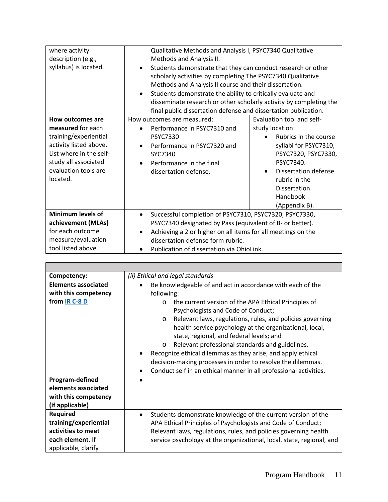| where activity           |                          | Qualitative Methods and Analysis I, PSYC7340 Qualitative           |                           |                       |
|--------------------------|--------------------------|--------------------------------------------------------------------|---------------------------|-----------------------|
| description (e.g.,       | Methods and Analysis II. |                                                                    |                           |                       |
| syllabus) is located.    |                          | Students demonstrate that they can conduct research or other       |                           |                       |
|                          |                          | scholarly activities by completing The PSYC7340 Qualitative        |                           |                       |
|                          |                          | Methods and Analysis II course and their dissertation.             |                           |                       |
|                          | $\bullet$                | Students demonstrate the ability to critically evaluate and        |                           |                       |
|                          |                          | disseminate research or other scholarly activity by completing the |                           |                       |
|                          |                          | final public dissertation defense and dissertation publication.    |                           |                       |
| How outcomes are         |                          | How outcomes are measured:                                         | Evaluation tool and self- |                       |
| measured for each        |                          | Performance in PSYC7310 and                                        | study location:           |                       |
| training/experiential    |                          | <b>PSYC7330</b>                                                    |                           | Rubrics in the course |
| activity listed above.   |                          | Performance in PSYC7320 and                                        |                           | syllabi for PSYC7310, |
| List where in the self-  |                          | SYC7340                                                            |                           | PSYC7320, PSYC7330,   |
| study all associated     |                          | Performance in the final                                           |                           | PSYC7340.             |
| evaluation tools are     |                          | dissertation defense.                                              | $\bullet$                 | Dissertation defense  |
| located.                 |                          |                                                                    |                           | rubric in the         |
|                          |                          |                                                                    |                           | Dissertation          |
|                          |                          |                                                                    |                           | Handbook              |
|                          |                          |                                                                    |                           | (Appendix B).         |
| <b>Minimum levels of</b> | $\bullet$                | Successful completion of PSYC7310, PSYC7320, PSYC7330,             |                           |                       |
| achievement (MLAs)       |                          | PSYC7340 designated by Pass (equivalent of B- or better).          |                           |                       |
| for each outcome         |                          | Achieving a 2 or higher on all items for all meetings on the       |                           |                       |
| measure/evaluation       |                          | dissertation defense form rubric.                                  |                           |                       |
| tool listed above.       |                          | Publication of dissertation via OhioLink.                          |                           |                       |

| Competency:                                                                                               | (ii) Ethical and legal standards                                                                                                                                                                                                                                                                                                                                                                                                                                                                                                                                                                                            |  |  |
|-----------------------------------------------------------------------------------------------------------|-----------------------------------------------------------------------------------------------------------------------------------------------------------------------------------------------------------------------------------------------------------------------------------------------------------------------------------------------------------------------------------------------------------------------------------------------------------------------------------------------------------------------------------------------------------------------------------------------------------------------------|--|--|
| <b>Elements associated</b><br>with this competency<br>from IR C-8 D                                       | Be knowledgeable of and act in accordance with each of the<br>following:<br>the current version of the APA Ethical Principles of<br>O<br>Psychologists and Code of Conduct;<br>Relevant laws, regulations, rules, and policies governing<br>$\circ$<br>health service psychology at the organizational, local,<br>state, regional, and federal levels; and<br>Relevant professional standards and guidelines.<br>$\circ$<br>Recognize ethical dilemmas as they arise, and apply ethical<br>decision-making processes in order to resolve the dilemmas.<br>Conduct self in an ethical manner in all professional activities. |  |  |
| Program-defined<br>elements associated<br>with this competency<br>(if applicable)                         |                                                                                                                                                                                                                                                                                                                                                                                                                                                                                                                                                                                                                             |  |  |
| <b>Required</b><br>training/experiential<br>activities to meet<br>each element. If<br>applicable, clarify | Students demonstrate knowledge of the current version of the<br>$\bullet$<br>APA Ethical Principles of Psychologists and Code of Conduct;<br>Relevant laws, regulations, rules, and policies governing health<br>service psychology at the organizational, local, state, regional, and                                                                                                                                                                                                                                                                                                                                      |  |  |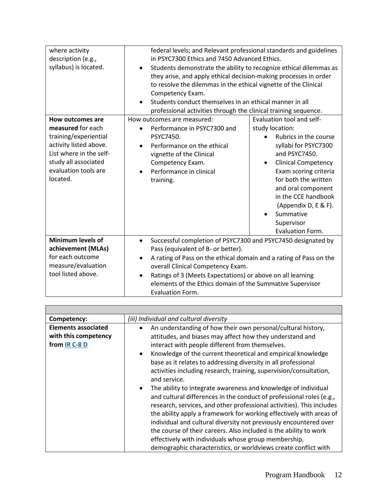| where activity<br>description (e.g.,<br>syllabus) is located.                                                                                                                   | Competency Exam.                                                                                                                                                                             | federal levels; and Relevant professional standards and guidelines<br>in PSYC7300 Ethics and 7450 Advanced Ethics.<br>Students demonstrate the ability to recognize ethical dilemmas as<br>they arise, and apply ethical decision-making processes in order<br>to resolve the dilemmas in the ethical vignette of the Clinical<br>Students conduct themselves in an ethical manner in all<br>professional activities through the clinical training sequence. |  |  |
|---------------------------------------------------------------------------------------------------------------------------------------------------------------------------------|----------------------------------------------------------------------------------------------------------------------------------------------------------------------------------------------|--------------------------------------------------------------------------------------------------------------------------------------------------------------------------------------------------------------------------------------------------------------------------------------------------------------------------------------------------------------------------------------------------------------------------------------------------------------|--|--|
| How outcomes are<br>measured for each<br>training/experiential<br>activity listed above.<br>List where in the self-<br>study all associated<br>evaluation tools are<br>located. | How outcomes are measured:<br>Performance in PSYC7300 and<br>PSYC7450.<br>Performance on the ethical<br>vignette of the Clinical<br>Competency Exam.<br>Performance in clinical<br>training. | Evaluation tool and self-<br>study location:<br>Rubrics in the course<br>syllabi for PSYC7300<br>and PSYC7450.<br><b>Clinical Competency</b><br>Exam scoring criteria<br>for both the written<br>and oral component<br>in the CCE handbook<br>(Appendix D, E & F).<br>Summative<br>Supervisor<br>Evaluation Form.                                                                                                                                            |  |  |
| <b>Minimum levels of</b><br>achievement (MLAs)<br>for each outcome<br>measure/evaluation<br>tool listed above.                                                                  | $\bullet$<br>Pass (equivalent of B- or better).<br>٠<br><b>Evaluation Form.</b>                                                                                                              | Successful completion of PSYC7300 and PSYC7450 designated by<br>A rating of Pass on the ethical domain and a rating of Pass on the<br>overall Clinical Competency Exam.<br>Ratings of 3 (Meets Expectations) or above on all learning<br>elements of the Ethics domain of the Summative Supervisor                                                                                                                                                           |  |  |

| Competency:                                                         | (iii) Individual and cultural diversity                                                                                                                                                                                                                                                                                                                                                                                                                                                                                                                                                                                                                                                                                                                                                                                                                                                                                                                                         |  |  |
|---------------------------------------------------------------------|---------------------------------------------------------------------------------------------------------------------------------------------------------------------------------------------------------------------------------------------------------------------------------------------------------------------------------------------------------------------------------------------------------------------------------------------------------------------------------------------------------------------------------------------------------------------------------------------------------------------------------------------------------------------------------------------------------------------------------------------------------------------------------------------------------------------------------------------------------------------------------------------------------------------------------------------------------------------------------|--|--|
| <b>Elements associated</b><br>with this competency<br>from IR C-8 D | An understanding of how their own personal/cultural history,<br>attitudes, and biases may affect how they understand and<br>interact with people different from themselves.<br>Knowledge of the current theoretical and empirical knowledge<br>base as it relates to addressing diversity in all professional<br>activities including research, training, supervision/consultation,<br>and service.<br>The ability to integrate awareness and knowledge of individual<br>$\bullet$<br>and cultural differences in the conduct of professional roles (e.g.,<br>research, services, and other professional activities). This includes<br>the ability apply a framework for working effectively with areas of<br>individual and cultural diversity not previously encountered over<br>the course of their careers. Also included is the ability to work<br>effectively with individuals whose group membership,<br>demographic characteristics, or worldviews create conflict with |  |  |

 $\blacksquare$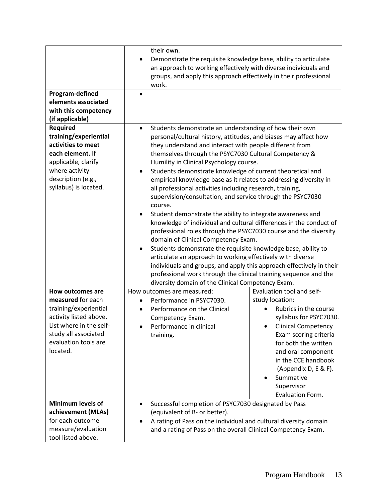| Program-defined<br>elements associated<br>with this competency<br>(if applicable)                                                                                          | their own.<br>Demonstrate the requisite knowledge base, ability to articulate<br>$\bullet$<br>an approach to working effectively with diverse individuals and<br>groups, and apply this approach effectively in their professional<br>work.<br>$\bullet$ |                                                                                                                                                                                                                                                                                                                                                                                                                                                                                                                                                                                                                                                                                                                                                                                                                                                                                                                                                                                                                                                                                 |  |
|----------------------------------------------------------------------------------------------------------------------------------------------------------------------------|----------------------------------------------------------------------------------------------------------------------------------------------------------------------------------------------------------------------------------------------------------|---------------------------------------------------------------------------------------------------------------------------------------------------------------------------------------------------------------------------------------------------------------------------------------------------------------------------------------------------------------------------------------------------------------------------------------------------------------------------------------------------------------------------------------------------------------------------------------------------------------------------------------------------------------------------------------------------------------------------------------------------------------------------------------------------------------------------------------------------------------------------------------------------------------------------------------------------------------------------------------------------------------------------------------------------------------------------------|--|
| <b>Required</b><br>training/experiential<br>activities to meet<br>each element. If<br>applicable, clarify<br>where activity<br>description (e.g.,<br>syllabus) is located. | $\bullet$<br>٠<br>course.<br>$\bullet$<br>diversity domain of the Clinical Competency Exam.                                                                                                                                                              | Students demonstrate an understanding of how their own<br>personal/cultural history, attitudes, and biases may affect how<br>they understand and interact with people different from<br>themselves through the PSYC7030 Cultural Competency &<br>Humility in Clinical Psychology course.<br>Students demonstrate knowledge of current theoretical and<br>empirical knowledge base as it relates to addressing diversity in<br>all professional activities including research, training,<br>supervision/consultation, and service through the PSYC7030<br>Student demonstrate the ability to integrate awareness and<br>knowledge of individual and cultural differences in the conduct of<br>professional roles through the PSYC7030 course and the diversity<br>domain of Clinical Competency Exam.<br>Students demonstrate the requisite knowledge base, ability to<br>articulate an approach to working effectively with diverse<br>individuals and groups, and apply this approach effectively in their<br>professional work through the clinical training sequence and the |  |
| How outcomes are                                                                                                                                                           | How outcomes are measured:                                                                                                                                                                                                                               | Evaluation tool and self-                                                                                                                                                                                                                                                                                                                                                                                                                                                                                                                                                                                                                                                                                                                                                                                                                                                                                                                                                                                                                                                       |  |
| measured for each<br>training/experiential<br>activity listed above.<br>List where in the self-<br>study all associated<br>evaluation tools are<br>located.                | Performance in PSYC7030.<br>Performance on the Clinical<br>$\bullet$<br>Competency Exam.<br>Performance in clinical<br>training.                                                                                                                         | study location:<br>Rubrics in the course<br>syllabus for PSYC7030.<br><b>Clinical Competency</b><br>Exam scoring criteria<br>for both the written<br>and oral component<br>in the CCE handbook<br>(Appendix D, E & F).<br>Summative<br>$\bullet$<br>Supervisor<br>Evaluation Form.                                                                                                                                                                                                                                                                                                                                                                                                                                                                                                                                                                                                                                                                                                                                                                                              |  |
| <b>Minimum levels of</b><br>achievement (MLAs)<br>for each outcome<br>measure/evaluation<br>tool listed above.                                                             | $\bullet$<br>(equivalent of B- or better).                                                                                                                                                                                                               | Successful completion of PSYC7030 designated by Pass<br>A rating of Pass on the individual and cultural diversity domain<br>and a rating of Pass on the overall Clinical Competency Exam.                                                                                                                                                                                                                                                                                                                                                                                                                                                                                                                                                                                                                                                                                                                                                                                                                                                                                       |  |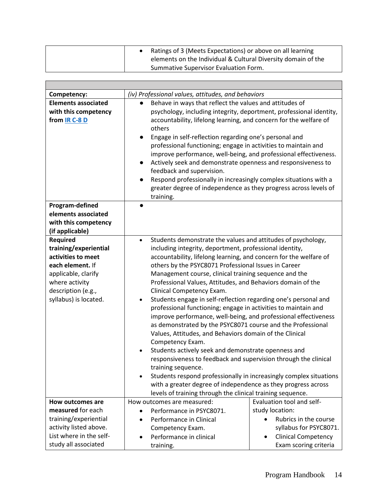| Ratings of 3 (Meets Expectations) or above on all learning    |  |
|---------------------------------------------------------------|--|
| elements on the Individual & Cultural Diversity domain of the |  |
| Summative Supervisor Evaluation Form.                         |  |

| Competency:                                                                                                                                                                | (iv) Professional values, attitudes, and behaviors                                            |                                                                                                                                                                                                                                                                                                                                                                                                                                                                                                                                                                                                                                                                                                                                                                                                                                                                                                                                                                                                                                               |  |
|----------------------------------------------------------------------------------------------------------------------------------------------------------------------------|-----------------------------------------------------------------------------------------------|-----------------------------------------------------------------------------------------------------------------------------------------------------------------------------------------------------------------------------------------------------------------------------------------------------------------------------------------------------------------------------------------------------------------------------------------------------------------------------------------------------------------------------------------------------------------------------------------------------------------------------------------------------------------------------------------------------------------------------------------------------------------------------------------------------------------------------------------------------------------------------------------------------------------------------------------------------------------------------------------------------------------------------------------------|--|
| <b>Elements associated</b><br>with this competency<br>from IR C-8 D                                                                                                        | others<br>$\bullet$<br>$\bullet$<br>feedback and supervision.<br>training.                    | Behave in ways that reflect the values and attitudes of<br>psychology, including integrity, deportment, professional identity,<br>accountability, lifelong learning, and concern for the welfare of<br>Engage in self-reflection regarding one's personal and<br>professional functioning; engage in activities to maintain and<br>improve performance, well-being, and professional effectiveness.<br>Actively seek and demonstrate openness and responsiveness to<br>Respond professionally in increasingly complex situations with a<br>greater degree of independence as they progress across levels of                                                                                                                                                                                                                                                                                                                                                                                                                                   |  |
| Program-defined<br>elements associated<br>with this competency<br>(if applicable)                                                                                          |                                                                                               |                                                                                                                                                                                                                                                                                                                                                                                                                                                                                                                                                                                                                                                                                                                                                                                                                                                                                                                                                                                                                                               |  |
| <b>Required</b><br>training/experiential<br>activities to meet<br>each element. If<br>applicable, clarify<br>where activity<br>description (e.g.,<br>syllabus) is located. | $\bullet$<br>Clinical Competency Exam.<br>$\bullet$<br>Competency Exam.<br>training sequence. | Students demonstrate the values and attitudes of psychology,<br>including integrity, deportment, professional identity,<br>accountability, lifelong learning, and concern for the welfare of<br>others by the PSYC8071 Professional Issues in Career<br>Management course, clinical training sequence and the<br>Professional Values, Attitudes, and Behaviors domain of the<br>Students engage in self-reflection regarding one's personal and<br>professional functioning; engage in activities to maintain and<br>improve performance, well-being, and professional effectiveness<br>as demonstrated by the PSYC8071 course and the Professional<br>Values, Attitudes, and Behaviors domain of the Clinical<br>Students actively seek and demonstrate openness and<br>responsiveness to feedback and supervision through the clinical<br>Students respond professionally in increasingly complex situations<br>with a greater degree of independence as they progress across<br>levels of training through the clinical training sequence. |  |
| How outcomes are                                                                                                                                                           | How outcomes are measured:                                                                    | Evaluation tool and self-                                                                                                                                                                                                                                                                                                                                                                                                                                                                                                                                                                                                                                                                                                                                                                                                                                                                                                                                                                                                                     |  |
| measured for each                                                                                                                                                          | Performance in PSYC8071.                                                                      | study location:                                                                                                                                                                                                                                                                                                                                                                                                                                                                                                                                                                                                                                                                                                                                                                                                                                                                                                                                                                                                                               |  |
| training/experiential                                                                                                                                                      | Performance in Clinical                                                                       | Rubrics in the course                                                                                                                                                                                                                                                                                                                                                                                                                                                                                                                                                                                                                                                                                                                                                                                                                                                                                                                                                                                                                         |  |
| activity listed above.                                                                                                                                                     | Competency Exam.                                                                              | syllabus for PSYC8071.                                                                                                                                                                                                                                                                                                                                                                                                                                                                                                                                                                                                                                                                                                                                                                                                                                                                                                                                                                                                                        |  |
| List where in the self-                                                                                                                                                    | Performance in clinical                                                                       | <b>Clinical Competency</b>                                                                                                                                                                                                                                                                                                                                                                                                                                                                                                                                                                                                                                                                                                                                                                                                                                                                                                                                                                                                                    |  |
| study all associated                                                                                                                                                       | training.                                                                                     | Exam scoring criteria                                                                                                                                                                                                                                                                                                                                                                                                                                                                                                                                                                                                                                                                                                                                                                                                                                                                                                                                                                                                                         |  |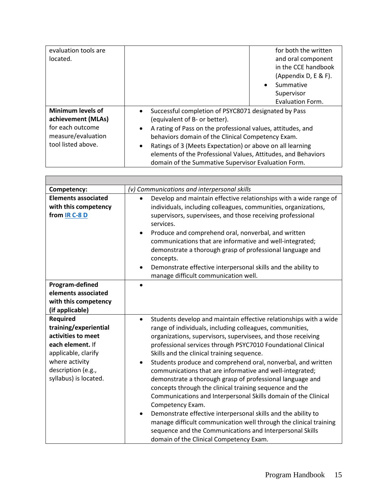| evaluation tools are     | for both the written                                                     |
|--------------------------|--------------------------------------------------------------------------|
| located.                 | and oral component                                                       |
|                          | in the CCE handbook                                                      |
|                          | (Appendix D, E & F).                                                     |
|                          | Summative<br>$\bullet$                                                   |
|                          | Supervisor                                                               |
|                          | Evaluation Form.                                                         |
| <b>Minimum levels of</b> | Successful completion of PSYC8071 designated by Pass<br>$\bullet$        |
| achievement (MLAs)       | (equivalent of B- or better).                                            |
| for each outcome         | A rating of Pass on the professional values, attitudes, and<br>$\bullet$ |
| measure/evaluation       | behaviors domain of the Clinical Competency Exam.                        |
| tool listed above.       | Ratings of 3 (Meets Expectation) or above on all learning<br>٠           |
|                          | elements of the Professional Values, Attitudes, and Behaviors            |
|                          | domain of the Summative Supervisor Evaluation Form.                      |

| Competency:                                                                                                                                                                | (v) Communications and interpersonal skills                                                                                                                                                                                                                                                                                                                                                                                                                                                                                                                                                                                                                                                                                                                                                                                                                                                                                  |
|----------------------------------------------------------------------------------------------------------------------------------------------------------------------------|------------------------------------------------------------------------------------------------------------------------------------------------------------------------------------------------------------------------------------------------------------------------------------------------------------------------------------------------------------------------------------------------------------------------------------------------------------------------------------------------------------------------------------------------------------------------------------------------------------------------------------------------------------------------------------------------------------------------------------------------------------------------------------------------------------------------------------------------------------------------------------------------------------------------------|
| <b>Elements associated</b><br>with this competency<br>from IR C-8 D                                                                                                        | Develop and maintain effective relationships with a wide range of<br>individuals, including colleagues, communities, organizations,<br>supervisors, supervisees, and those receiving professional<br>services.<br>Produce and comprehend oral, nonverbal, and written<br>$\bullet$<br>communications that are informative and well-integrated;<br>demonstrate a thorough grasp of professional language and<br>concepts.<br>Demonstrate effective interpersonal skills and the ability to<br>manage difficult communication well.                                                                                                                                                                                                                                                                                                                                                                                            |
| Program-defined<br>elements associated<br>with this competency<br>(if applicable)                                                                                          |                                                                                                                                                                                                                                                                                                                                                                                                                                                                                                                                                                                                                                                                                                                                                                                                                                                                                                                              |
| <b>Required</b><br>training/experiential<br>activities to meet<br>each element. If<br>applicable, clarify<br>where activity<br>description (e.g.,<br>syllabus) is located. | Students develop and maintain effective relationships with a wide<br>$\bullet$<br>range of individuals, including colleagues, communities,<br>organizations, supervisors, supervisees, and those receiving<br>professional services through PSYC7010 Foundational Clinical<br>Skills and the clinical training sequence.<br>Students produce and comprehend oral, nonverbal, and written<br>$\bullet$<br>communications that are informative and well-integrated;<br>demonstrate a thorough grasp of professional language and<br>concepts through the clinical training sequence and the<br>Communications and Interpersonal Skills domain of the Clinical<br>Competency Exam.<br>Demonstrate effective interpersonal skills and the ability to<br>manage difficult communication well through the clinical training<br>sequence and the Communications and Interpersonal Skills<br>domain of the Clinical Competency Exam. |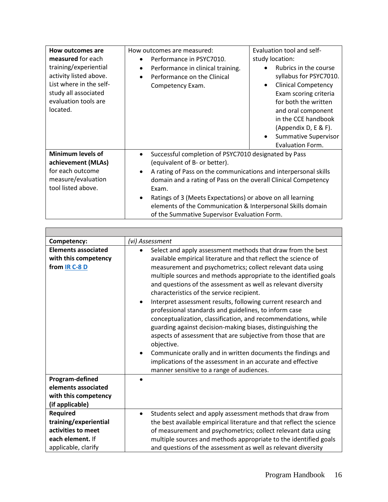| How outcomes are                                  | How outcomes are measured:                                                   | Evaluation tool and self-                           |  |
|---------------------------------------------------|------------------------------------------------------------------------------|-----------------------------------------------------|--|
| measured for each                                 | Performance in PSYC7010.                                                     | study location:                                     |  |
| training/experiential                             | Performance in clinical training.<br>$\bullet$                               | Rubrics in the course                               |  |
| activity listed above.<br>List where in the self- | Performance on the Clinical                                                  | syllabus for PSYC7010.<br>$\bullet$                 |  |
| study all associated                              | Competency Exam.                                                             | <b>Clinical Competency</b><br>Exam scoring criteria |  |
| evaluation tools are                              |                                                                              | for both the written                                |  |
| located.                                          |                                                                              | and oral component                                  |  |
|                                                   |                                                                              | in the CCE handbook                                 |  |
|                                                   |                                                                              | (Appendix D, E & F).                                |  |
|                                                   |                                                                              | <b>Summative Supervisor</b>                         |  |
|                                                   |                                                                              | <b>Evaluation Form.</b>                             |  |
| Minimum levels of                                 | Successful completion of PSYC7010 designated by Pass                         |                                                     |  |
| achievement (MLAs)                                | (equivalent of B- or better).                                                |                                                     |  |
| for each outcome                                  | A rating of Pass on the communications and interpersonal skills<br>$\bullet$ |                                                     |  |
| measure/evaluation                                | domain and a rating of Pass on the overall Clinical Competency               |                                                     |  |
| tool listed above.                                | Exam.                                                                        |                                                     |  |
|                                                   | Ratings of 3 (Meets Expectations) or above on all learning                   |                                                     |  |
|                                                   | elements of the Communication & Interpersonal Skills domain                  |                                                     |  |
|                                                   | of the Summative Supervisor Evaluation Form.                                 |                                                     |  |

Г

| Competency:                                                                                        | (vi) Assessment                                                                                                                                                                                                                                                                                                                                                                                                                                                                                                                                                                                                                                                                                                                                                                                                                                                                                                                          |
|----------------------------------------------------------------------------------------------------|------------------------------------------------------------------------------------------------------------------------------------------------------------------------------------------------------------------------------------------------------------------------------------------------------------------------------------------------------------------------------------------------------------------------------------------------------------------------------------------------------------------------------------------------------------------------------------------------------------------------------------------------------------------------------------------------------------------------------------------------------------------------------------------------------------------------------------------------------------------------------------------------------------------------------------------|
| <b>Elements associated</b><br>with this competency<br>from IR C-8 D                                | Select and apply assessment methods that draw from the best<br>$\bullet$<br>available empirical literature and that reflect the science of<br>measurement and psychometrics; collect relevant data using<br>multiple sources and methods appropriate to the identified goals<br>and questions of the assessment as well as relevant diversity<br>characteristics of the service recipient.<br>Interpret assessment results, following current research and<br>$\bullet$<br>professional standards and guidelines, to inform case<br>conceptualization, classification, and recommendations, while<br>guarding against decision-making biases, distinguishing the<br>aspects of assessment that are subjective from those that are<br>objective.<br>Communicate orally and in written documents the findings and<br>$\bullet$<br>implications of the assessment in an accurate and effective<br>manner sensitive to a range of audiences. |
| Program-defined<br>elements associated<br>with this competency<br>(if applicable)                  |                                                                                                                                                                                                                                                                                                                                                                                                                                                                                                                                                                                                                                                                                                                                                                                                                                                                                                                                          |
| Required<br>training/experiential<br>activities to meet<br>each element. If<br>applicable, clarify | Students select and apply assessment methods that draw from<br>$\bullet$<br>the best available empirical literature and that reflect the science<br>of measurement and psychometrics; collect relevant data using<br>multiple sources and methods appropriate to the identified goals<br>and questions of the assessment as well as relevant diversity                                                                                                                                                                                                                                                                                                                                                                                                                                                                                                                                                                                   |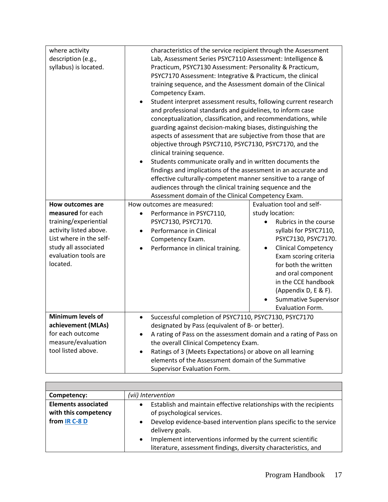| where activity           |                                                                                | characteristics of the service recipient through the Assessment |                                                                  |  |
|--------------------------|--------------------------------------------------------------------------------|-----------------------------------------------------------------|------------------------------------------------------------------|--|
| description (e.g.,       | Lab, Assessment Series PSYC7110 Assessment: Intelligence &                     |                                                                 |                                                                  |  |
| syllabus) is located.    | Practicum, PSYC7130 Assessment: Personality & Practicum,                       |                                                                 |                                                                  |  |
|                          | PSYC7170 Assessment: Integrative & Practicum, the clinical                     |                                                                 |                                                                  |  |
|                          | training sequence, and the Assessment domain of the Clinical                   |                                                                 |                                                                  |  |
|                          | Competency Exam.                                                               |                                                                 |                                                                  |  |
|                          | $\bullet$                                                                      |                                                                 | Student interpret assessment results, following current research |  |
|                          |                                                                                | and professional standards and guidelines, to inform case       |                                                                  |  |
|                          |                                                                                | conceptualization, classification, and recommendations, while   |                                                                  |  |
|                          |                                                                                | guarding against decision-making biases, distinguishing the     |                                                                  |  |
|                          |                                                                                | aspects of assessment that are subjective from those that are   |                                                                  |  |
|                          |                                                                                | objective through PSYC7110, PSYC7130, PSYC7170, and the         |                                                                  |  |
|                          | clinical training sequence.                                                    |                                                                 |                                                                  |  |
|                          | $\bullet$                                                                      | Students communicate orally and in written documents the        |                                                                  |  |
|                          |                                                                                | findings and implications of the assessment in an accurate and  |                                                                  |  |
|                          |                                                                                | effective culturally-competent manner sensitive to a range of   |                                                                  |  |
|                          |                                                                                | audiences through the clinical training sequence and the        |                                                                  |  |
|                          |                                                                                | Assessment domain of the Clinical Competency Exam.              |                                                                  |  |
| How outcomes are         | How outcomes are measured:                                                     |                                                                 | Evaluation tool and self-                                        |  |
| measured for each        | Performance in PSYC7110,<br>$\bullet$                                          |                                                                 | study location:                                                  |  |
| training/experiential    | PSYC7130, PSYC7170.                                                            |                                                                 | Rubrics in the course                                            |  |
| activity listed above.   | Performance in Clinical<br>$\bullet$                                           |                                                                 | syllabi for PSYC7110,                                            |  |
| List where in the self-  | Competency Exam.                                                               |                                                                 | PSYC7130, PSYC7170.                                              |  |
| study all associated     | Performance in clinical training.                                              | $\bullet$                                                       | <b>Clinical Competency</b>                                       |  |
| evaluation tools are     |                                                                                |                                                                 | Exam scoring criteria                                            |  |
| located.                 |                                                                                |                                                                 | for both the written                                             |  |
|                          |                                                                                |                                                                 | and oral component                                               |  |
|                          |                                                                                |                                                                 | in the CCE handbook                                              |  |
|                          |                                                                                |                                                                 | (Appendix D, E & F).                                             |  |
|                          |                                                                                |                                                                 | <b>Summative Supervisor</b>                                      |  |
|                          |                                                                                |                                                                 | Evaluation Form.                                                 |  |
| <b>Minimum levels of</b> | $\bullet$                                                                      | Successful completion of PSYC7110, PSYC7130, PSYC7170           |                                                                  |  |
| achievement (MLAs)       |                                                                                | designated by Pass (equivalent of B- or better).                |                                                                  |  |
| for each outcome         | A rating of Pass on the assessment domain and a rating of Pass on<br>$\bullet$ |                                                                 |                                                                  |  |
| measure/evaluation       |                                                                                | the overall Clinical Competency Exam.                           |                                                                  |  |
| tool listed above.       | $\bullet$                                                                      | Ratings of 3 (Meets Expectations) or above on all learning      |                                                                  |  |
|                          |                                                                                | elements of the Assessment domain of the Summative              |                                                                  |  |
|                          | Supervisor Evaluation Form.                                                    |                                                                 |                                                                  |  |

| Competency:                                                         | (vii) Intervention                                                                                                                                                                                                                                                                                                                     |
|---------------------------------------------------------------------|----------------------------------------------------------------------------------------------------------------------------------------------------------------------------------------------------------------------------------------------------------------------------------------------------------------------------------------|
| <b>Elements associated</b><br>with this competency<br>from IR C-8 D | Establish and maintain effective relationships with the recipients<br>of psychological services.<br>Develop evidence-based intervention plans specific to the service<br>delivery goals.<br>Implement interventions informed by the current scientific<br>$\bullet$<br>literature, assessment findings, diversity characteristics, and |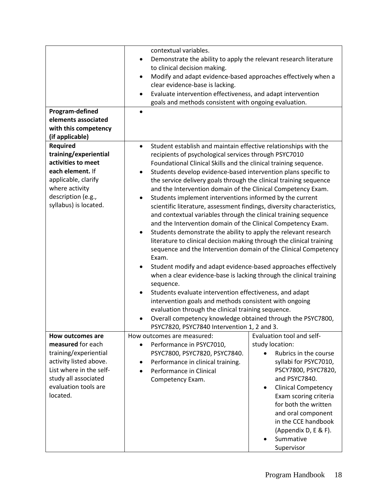|                         |           | contextual variables.                                                  |           |                            |
|-------------------------|-----------|------------------------------------------------------------------------|-----------|----------------------------|
|                         | $\bullet$ | Demonstrate the ability to apply the relevant research literature      |           |                            |
|                         |           | to clinical decision making.                                           |           |                            |
|                         | $\bullet$ | Modify and adapt evidence-based approaches effectively when a          |           |                            |
|                         |           | clear evidence-base is lacking.                                        |           |                            |
|                         | $\bullet$ | Evaluate intervention effectiveness, and adapt intervention            |           |                            |
|                         |           | goals and methods consistent with ongoing evaluation.                  |           |                            |
| Program-defined         |           |                                                                        |           |                            |
| elements associated     |           |                                                                        |           |                            |
| with this competency    |           |                                                                        |           |                            |
| (if applicable)         |           |                                                                        |           |                            |
| <b>Required</b>         | $\bullet$ | Student establish and maintain effective relationships with the        |           |                            |
| training/experiential   |           | recipients of psychological services through PSYC7010                  |           |                            |
| activities to meet      |           | Foundational Clinical Skills and the clinical training sequence.       |           |                            |
| each element. If        | $\bullet$ | Students develop evidence-based intervention plans specific to         |           |                            |
| applicable, clarify     |           | the service delivery goals through the clinical training sequence      |           |                            |
| where activity          |           | and the Intervention domain of the Clinical Competency Exam.           |           |                            |
| description (e.g.,      |           | Students implement interventions informed by the current               |           |                            |
| syllabus) is located.   |           | scientific literature, assessment findings, diversity characteristics, |           |                            |
|                         |           | and contextual variables through the clinical training sequence        |           |                            |
|                         |           | and the Intervention domain of the Clinical Competency Exam.           |           |                            |
|                         | ٠         | Students demonstrate the ability to apply the relevant research        |           |                            |
|                         |           | literature to clinical decision making through the clinical training   |           |                            |
|                         |           | sequence and the Intervention domain of the Clinical Competency        |           |                            |
|                         | Exam.     |                                                                        |           |                            |
|                         | ٠         | Student modify and adapt evidence-based approaches effectively         |           |                            |
|                         |           | when a clear evidence-base is lacking through the clinical training    |           |                            |
|                         |           | sequence.                                                              |           |                            |
|                         | $\bullet$ | Students evaluate intervention effectiveness, and adapt                |           |                            |
|                         |           | intervention goals and methods consistent with ongoing                 |           |                            |
|                         |           | evaluation through the clinical training sequence.                     |           |                            |
|                         | $\bullet$ | Overall competency knowledge obtained through the PSYC7800,            |           |                            |
|                         |           | PSYC7820, PSYC7840 Intervention 1, 2 and 3.                            |           |                            |
| How outcomes are        |           | How outcomes are measured:                                             |           | Evaluation tool and self-  |
| measured for each       | $\bullet$ | Performance in PSYC7010,                                               |           | study location:            |
| training/experiential   |           | PSYC7800, PSYC7820, PSYC7840.                                          | $\bullet$ | Rubrics in the course      |
| activity listed above.  | ٠         | Performance in clinical training.                                      |           | syllabi for PSYC7010,      |
| List where in the self- |           | Performance in Clinical                                                |           | PSCY7800, PSYC7820,        |
| study all associated    |           | Competency Exam.                                                       |           | and PSYC7840.              |
| evaluation tools are    |           |                                                                        | $\bullet$ | <b>Clinical Competency</b> |
| located.                |           |                                                                        |           | Exam scoring criteria      |
|                         |           |                                                                        |           | for both the written       |
|                         |           |                                                                        |           | and oral component         |
|                         |           |                                                                        |           | in the CCE handbook        |
|                         |           |                                                                        |           | (Appendix D, E & F).       |
|                         |           |                                                                        |           | Summative                  |
|                         |           |                                                                        |           | Supervisor                 |
|                         |           |                                                                        |           |                            |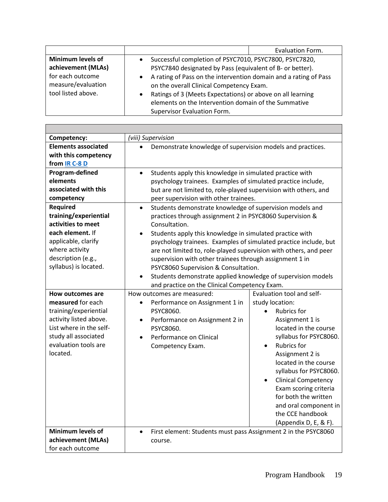|                                                                                                                | Evaluation Form.                                                                                                                                                                                                                                                                                                                                                                                      |
|----------------------------------------------------------------------------------------------------------------|-------------------------------------------------------------------------------------------------------------------------------------------------------------------------------------------------------------------------------------------------------------------------------------------------------------------------------------------------------------------------------------------------------|
| <b>Minimum levels of</b><br>achievement (MLAs)<br>for each outcome<br>measure/evaluation<br>tool listed above. | Successful completion of PSYC7010, PSYC7800, PSYC7820,<br>PSYC7840 designated by Pass (equivalent of B- or better).<br>A rating of Pass on the intervention domain and a rating of Pass<br>on the overall Clinical Competency Exam.<br>Ratings of 3 (Meets Expectations) or above on all learning<br>$\bullet$<br>elements on the Intervention domain of the Summative<br>Supervisor Evaluation Form. |

| Competency:                | (viii) Supervision                                                        |                                         |
|----------------------------|---------------------------------------------------------------------------|-----------------------------------------|
| <b>Elements associated</b> | Demonstrate knowledge of supervision models and practices.                |                                         |
| with this competency       |                                                                           |                                         |
| from IR C-8 D              |                                                                           |                                         |
| Program-defined            | Students apply this knowledge in simulated practice with<br>$\bullet$     |                                         |
| elements                   | psychology trainees. Examples of simulated practice include,              |                                         |
| associated with this       | but are not limited to, role-played supervision with others, and          |                                         |
| competency                 | peer supervision with other trainees.                                     |                                         |
| <b>Required</b>            | Students demonstrate knowledge of supervision models and<br>$\bullet$     |                                         |
| training/experiential      | practices through assignment 2 in PSYC8060 Supervision &                  |                                         |
| activities to meet         | Consultation.                                                             |                                         |
| each element. If           | Students apply this knowledge in simulated practice with                  |                                         |
| applicable, clarify        | psychology trainees. Examples of simulated practice include, but          |                                         |
| where activity             | are not limited to, role-played supervision with others, and peer         |                                         |
| description (e.g.,         | supervision with other trainees through assignment 1 in                   |                                         |
| syllabus) is located.      | PSYC8060 Supervision & Consultation.                                      |                                         |
|                            | Students demonstrate applied knowledge of supervision models<br>$\bullet$ |                                         |
|                            | and practice on the Clinical Competency Exam.                             |                                         |
| How outcomes are           | How outcomes are measured:                                                | Evaluation tool and self-               |
| measured for each          | Performance on Assignment 1 in<br>$\bullet$                               | study location:                         |
| training/experiential      | PSYC8060.                                                                 | <b>Rubrics for</b><br>$\bullet$         |
| activity listed above.     | Performance on Assignment 2 in<br>$\bullet$                               | Assignment 1 is                         |
| List where in the self-    | PSYC8060.                                                                 | located in the course                   |
| study all associated       | Performance on Clinical                                                   | syllabus for PSYC8060.                  |
| evaluation tools are       | Competency Exam.                                                          | <b>Rubrics for</b><br>$\bullet$         |
| located.                   |                                                                           | Assignment 2 is                         |
|                            |                                                                           | located in the course                   |
|                            |                                                                           | syllabus for PSYC8060.                  |
|                            |                                                                           | <b>Clinical Competency</b><br>$\bullet$ |
|                            |                                                                           | Exam scoring criteria                   |
|                            |                                                                           | for both the written                    |
|                            |                                                                           | and oral component in                   |
|                            |                                                                           | the CCE handbook                        |
|                            |                                                                           | (Appendix D, E, & F).                   |
| <b>Minimum levels of</b>   | First element: Students must pass Assignment 2 in the PSYC8060            |                                         |
| achievement (MLAs)         | course.                                                                   |                                         |
| for each outcome           |                                                                           |                                         |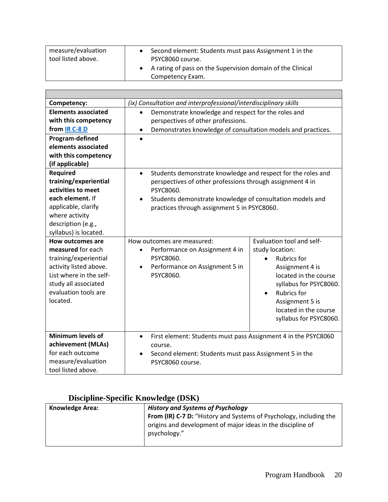| measure/evaluation | Second element: Students must pass Assignment 1 in the     |
|--------------------|------------------------------------------------------------|
| tool listed above. | PSYC8060 course.                                           |
|                    | A rating of pass on the Supervision domain of the Clinical |
|                    | Competency Exam.                                           |

| Competency:                                                                                                                                                                            | (ix) Consultation and interprofessional/interdisciplinary skills                                                                                                                                                                                                |                                                                                                                                                                                                                                                   |
|----------------------------------------------------------------------------------------------------------------------------------------------------------------------------------------|-----------------------------------------------------------------------------------------------------------------------------------------------------------------------------------------------------------------------------------------------------------------|---------------------------------------------------------------------------------------------------------------------------------------------------------------------------------------------------------------------------------------------------|
| <b>Elements associated</b><br>with this competency<br>from IR C-8 D                                                                                                                    | Demonstrate knowledge and respect for the roles and<br>$\bullet$<br>perspectives of other professions.<br>Demonstrates knowledge of consultation models and practices.<br>$\bullet$                                                                             |                                                                                                                                                                                                                                                   |
| Program-defined<br>elements associated<br>with this competency<br>(if applicable)                                                                                                      |                                                                                                                                                                                                                                                                 |                                                                                                                                                                                                                                                   |
| <b>Required</b><br>training/experiential<br>activities to meet<br>each element. If<br>applicable, clarify<br>where activity<br>description (e.g.,<br>syllabus) is located.             | Students demonstrate knowledge and respect for the roles and<br>$\bullet$<br>perspectives of other professions through assignment 4 in<br>PSYC8060.<br>Students demonstrate knowledge of consultation models and<br>practices through assignment 5 in PSYC8060. |                                                                                                                                                                                                                                                   |
| <b>How outcomes are</b><br>measured for each<br>training/experiential<br>activity listed above.<br>List where in the self-<br>study all associated<br>evaluation tools are<br>located. | How outcomes are measured:<br>Performance on Assignment 4 in<br>$\bullet$<br>PSYC8060.<br>Performance on Assignment 5 in<br>$\bullet$<br>PSYC8060.                                                                                                              | Evaluation tool and self-<br>study location:<br><b>Rubrics for</b><br>Assignment 4 is<br>located in the course<br>syllabus for PSYC8060.<br><b>Rubrics for</b><br>$\bullet$<br>Assignment 5 is<br>located in the course<br>syllabus for PSYC8060. |
| Minimum levels of<br>achievement (MLAs)<br>for each outcome<br>measure/evaluation<br>tool listed above.                                                                                | First element: Students must pass Assignment 4 in the PSYC8060<br>$\bullet$<br>course.<br>Second element: Students must pass Assignment 5 in the<br>PSYC8060 course.                                                                                            |                                                                                                                                                                                                                                                   |

# **Discipline-Specific Knowledge (DSK)**

| <b>Knowledge Area:</b> | <b>History and Systems of Psychology</b>                                  |  |
|------------------------|---------------------------------------------------------------------------|--|
|                        | <b>From (IR) C-7 D:</b> "History and Systems of Psychology, including the |  |
|                        | origins and development of major ideas in the discipline of               |  |
|                        | psychology."                                                              |  |
|                        |                                                                           |  |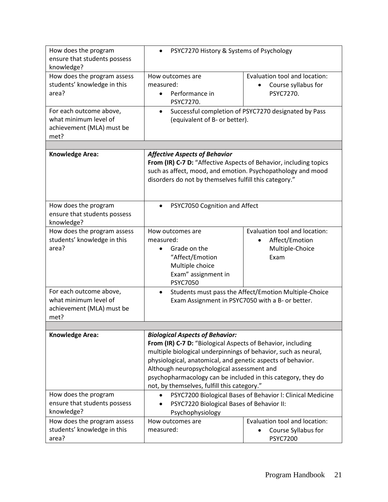| How does the program<br>ensure that students possess<br>knowledge?                    | PSYC7270 History & Systems of Psychology                                                                                                                                                                                                                                                                                                                                                            |                                                                                         |
|---------------------------------------------------------------------------------------|-----------------------------------------------------------------------------------------------------------------------------------------------------------------------------------------------------------------------------------------------------------------------------------------------------------------------------------------------------------------------------------------------------|-----------------------------------------------------------------------------------------|
| How does the program assess<br>students' knowledge in this<br>area?                   | How outcomes are<br>measured:<br>Performance in<br>$\bullet$<br>PSYC7270.                                                                                                                                                                                                                                                                                                                           | Evaluation tool and location:<br>Course syllabus for<br>PSYC7270.                       |
| For each outcome above,<br>what minimum level of<br>achievement (MLA) must be<br>met? | Successful completion of PSYC7270 designated by Pass<br>$\bullet$<br>(equivalent of B- or better).                                                                                                                                                                                                                                                                                                  |                                                                                         |
| Knowledge Area:                                                                       | <b>Affective Aspects of Behavior</b><br>From (IR) C-7 D: "Affective Aspects of Behavior, including topics<br>such as affect, mood, and emotion. Psychopathology and mood<br>disorders do not by themselves fulfill this category."                                                                                                                                                                  |                                                                                         |
| How does the program<br>ensure that students possess<br>knowledge?                    | PSYC7050 Cognition and Affect<br>$\bullet$                                                                                                                                                                                                                                                                                                                                                          |                                                                                         |
| How does the program assess<br>students' knowledge in this<br>area?                   | How outcomes are<br>measured:<br>Grade on the<br>"Affect/Emotion<br>Multiple choice<br>Exam" assignment in<br><b>PSYC7050</b>                                                                                                                                                                                                                                                                       | Evaluation tool and location:<br>Affect/Emotion<br>$\bullet$<br>Multiple-Choice<br>Exam |
| For each outcome above,<br>what minimum level of<br>achievement (MLA) must be<br>met? | Students must pass the Affect/Emotion Multiple-Choice<br>$\bullet$<br>Exam Assignment in PSYC7050 with a B- or better.                                                                                                                                                                                                                                                                              |                                                                                         |
|                                                                                       |                                                                                                                                                                                                                                                                                                                                                                                                     |                                                                                         |
| <b>Knowledge Area:</b>                                                                | <b>Biological Aspects of Behavior:</b><br>From (IR) C-7 D: "Biological Aspects of Behavior, including<br>multiple biological underpinnings of behavior, such as neural,<br>physiological, anatomical, and genetic aspects of behavior.<br>Although neuropsychological assessment and<br>psychopharmacology can be included in this category, they do<br>not, by themselves, fulfill this category." |                                                                                         |
| How does the program<br>ensure that students possess<br>knowledge?                    | PSYC7200 Biological Bases of Behavior I: Clinical Medicine<br>PSYC7220 Biological Bases of Behavior II:<br>Psychophysiology                                                                                                                                                                                                                                                                         |                                                                                         |
| How does the program assess<br>students' knowledge in this<br>area?                   | How outcomes are<br>measured:                                                                                                                                                                                                                                                                                                                                                                       | Evaluation tool and location:<br>Course Syllabus for<br><b>PSYC7200</b>                 |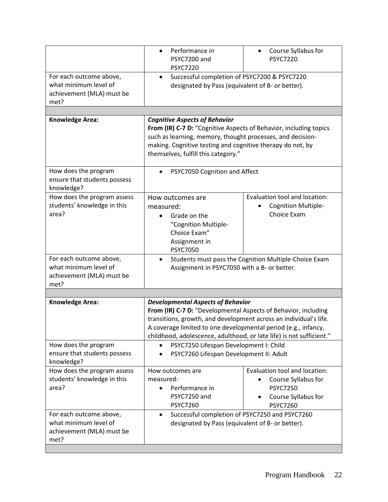|                                                                                       | Performance in<br>$\bullet$<br>PSYC7200 and<br><b>PSYC7220</b>                                                                                                                                                                                                                                                            | Course Syllabus for<br>$\bullet$<br><b>PSYC7220</b>                                                               |  |
|---------------------------------------------------------------------------------------|---------------------------------------------------------------------------------------------------------------------------------------------------------------------------------------------------------------------------------------------------------------------------------------------------------------------------|-------------------------------------------------------------------------------------------------------------------|--|
| For each outcome above,<br>what minimum level of<br>achievement (MLA) must be<br>met? | Successful completion of PSYC7200 & PSYC7220<br>$\bullet$<br>designated by Pass (equivalent of B- or better).                                                                                                                                                                                                             |                                                                                                                   |  |
| <b>Knowledge Area:</b><br>How does the program                                        | <b>Cognitive Aspects of Behavior</b><br>From (IR) C-7 D: "Cognitive Aspects of Behavior, including topics<br>such as learning, memory, thought processes, and decision-<br>making. Cognitive testing and cognitive therapy do not, by<br>themselves, fulfill this category."<br>PSYC7050 Cognition and Affect             |                                                                                                                   |  |
| ensure that students possess<br>knowledge?                                            |                                                                                                                                                                                                                                                                                                                           |                                                                                                                   |  |
| How does the program assess<br>students' knowledge in this<br>area?                   | How outcomes are<br>measured:<br>Grade on the<br>"Cognition Multiple-<br>Choice Exam"<br>Assignment in<br><b>PSYC7050</b>                                                                                                                                                                                                 | Evaluation tool and location:<br><b>Cognition Multiple-</b><br>Choice Exam                                        |  |
| For each outcome above,<br>what minimum level of<br>achievement (MLA) must be<br>met? | Students must pass the Cognition Multiple-Choice Exam<br>$\bullet$<br>Assignment in PSYC7050 with a B- or better.                                                                                                                                                                                                         |                                                                                                                   |  |
|                                                                                       |                                                                                                                                                                                                                                                                                                                           |                                                                                                                   |  |
| <b>Knowledge Area:</b>                                                                | <b>Developmental Aspects of Behavior</b><br>From (IR) C-7 D: "Developmental Aspects of Behavior, including<br>transitions, growth, and development across an individual's life.<br>A coverage limited to one developmental period (e.g., infancy,<br>childhood, adolescence, adulthood, or late life) is not sufficient." |                                                                                                                   |  |
| How does the program<br>ensure that students possess<br>knowledge?                    | PSYC7250 Lifespan Development I: Child<br>PSYC7260 Lifespan Development II: Adult                                                                                                                                                                                                                                         |                                                                                                                   |  |
| How does the program assess<br>students' knowledge in this<br>area?                   | How outcomes are<br>measured:<br>Performance in<br>PSYC7250 and<br><b>PSYC7260</b>                                                                                                                                                                                                                                        | Evaluation tool and location:<br>Course Syllabus for<br><b>PSYC7250</b><br>Course Syllabus for<br><b>PSYC7260</b> |  |
| For each outcome above,<br>what minimum level of<br>achievement (MLA) must be<br>met? | Successful completion of PSYC7250 and PSYC7260<br>٠<br>designated by Pass (equivalent of B- or better).                                                                                                                                                                                                                   |                                                                                                                   |  |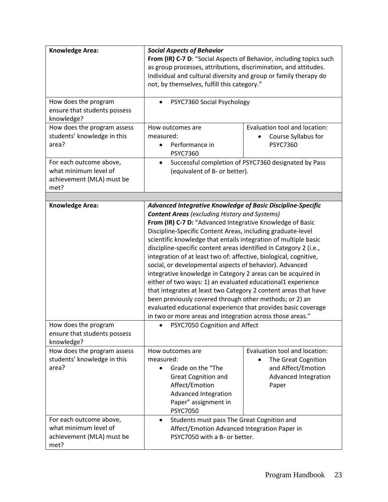| <b>Knowledge Area:</b>                                                                | <b>Social Aspects of Behavior</b><br>From (IR) C-7 D: "Social Aspects of Behavior, including topics such                                                                                                                                                                                                                                                                                                                                                                                                                                                                                                                                                                                                                                                                                                                                                                                                                                                                |                                                                                                                          |
|---------------------------------------------------------------------------------------|-------------------------------------------------------------------------------------------------------------------------------------------------------------------------------------------------------------------------------------------------------------------------------------------------------------------------------------------------------------------------------------------------------------------------------------------------------------------------------------------------------------------------------------------------------------------------------------------------------------------------------------------------------------------------------------------------------------------------------------------------------------------------------------------------------------------------------------------------------------------------------------------------------------------------------------------------------------------------|--------------------------------------------------------------------------------------------------------------------------|
|                                                                                       | as group processes, attributions, discrimination, and attitudes.<br>Individual and cultural diversity and group or family therapy do<br>not, by themselves, fulfill this category."                                                                                                                                                                                                                                                                                                                                                                                                                                                                                                                                                                                                                                                                                                                                                                                     |                                                                                                                          |
| How does the program<br>ensure that students possess<br>knowledge?                    | PSYC7360 Social Psychology                                                                                                                                                                                                                                                                                                                                                                                                                                                                                                                                                                                                                                                                                                                                                                                                                                                                                                                                              |                                                                                                                          |
| How does the program assess<br>students' knowledge in this<br>area?                   | How outcomes are<br>measured:<br>Performance in<br><b>PSYC7360</b>                                                                                                                                                                                                                                                                                                                                                                                                                                                                                                                                                                                                                                                                                                                                                                                                                                                                                                      | Evaluation tool and location:<br>Course Syllabus for<br><b>PSYC7360</b>                                                  |
| For each outcome above,<br>what minimum level of<br>achievement (MLA) must be<br>met? | Successful completion of PSYC7360 designated by Pass<br>$\bullet$<br>(equivalent of B- or better).                                                                                                                                                                                                                                                                                                                                                                                                                                                                                                                                                                                                                                                                                                                                                                                                                                                                      |                                                                                                                          |
|                                                                                       |                                                                                                                                                                                                                                                                                                                                                                                                                                                                                                                                                                                                                                                                                                                                                                                                                                                                                                                                                                         |                                                                                                                          |
| <b>Knowledge Area:</b><br>How does the program<br>ensure that students possess        | <b>Advanced Integrative Knowledge of Basic Discipline-Specific</b><br><b>Content Areas</b> (excluding History and Systems)<br>From (IR) C-7 D: "Advanced Integrative Knowledge of Basic<br>Discipline-Specific Content Areas, including graduate-level<br>scientific knowledge that entails integration of multiple basic<br>discipline-specific content areas identified in Category 2 (i.e.,<br>integration of at least two of: affective, biological, cognitive,<br>social, or developmental aspects of behavior). Advanced<br>integrative knowledge in Category 2 areas can be acquired in<br>either of two ways: 1) an evaluated educational1 experience<br>that integrates at least two Category 2 content areas that have<br>been previously covered through other methods; or 2) an<br>evaluated educational experience that provides basic coverage<br>in two or more areas and integration across those areas."<br>PSYC7050 Cognition and Affect<br>$\bullet$ |                                                                                                                          |
| knowledge?<br>How does the program assess<br>students' knowledge in this<br>area?     | How outcomes are<br>measured:<br>Grade on the "The<br>$\bullet$<br><b>Great Cognition and</b><br>Affect/Emotion<br>Advanced Integration<br>Paper" assignment in<br><b>PSYC7050</b>                                                                                                                                                                                                                                                                                                                                                                                                                                                                                                                                                                                                                                                                                                                                                                                      | Evaluation tool and location:<br>The Great Cognition<br>$\bullet$<br>and Affect/Emotion<br>Advanced Integration<br>Paper |
| For each outcome above,<br>what minimum level of<br>achievement (MLA) must be<br>met? | Students must pass The Great Cognition and<br>$\bullet$<br>Affect/Emotion Advanced Integration Paper in<br>PSYC7050 with a B- or better.                                                                                                                                                                                                                                                                                                                                                                                                                                                                                                                                                                                                                                                                                                                                                                                                                                |                                                                                                                          |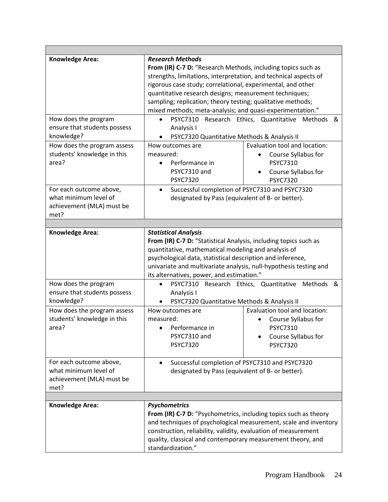| <b>Knowledge Area:</b>                           | <b>Research Methods</b>                                                                                           |                               |  |
|--------------------------------------------------|-------------------------------------------------------------------------------------------------------------------|-------------------------------|--|
|                                                  | From (IR) C-7 D: "Research Methods, including topics such as                                                      |                               |  |
|                                                  | strengths, limitations, interpretation, and technical aspects of                                                  |                               |  |
|                                                  | rigorous case study; correlational, experimental, and other                                                       |                               |  |
|                                                  | quantitative research designs; measurement techniques;                                                            |                               |  |
|                                                  | sampling; replication; theory testing; qualitative methods;                                                       |                               |  |
|                                                  | mixed methods; meta-analysis; and quasi-experimentation."                                                         |                               |  |
| How does the program                             | PSYC7310 Research Ethics, Quantitative Methods &                                                                  |                               |  |
| ensure that students possess                     | Analysis I                                                                                                        |                               |  |
| knowledge?                                       | PSYC7320 Quantitative Methods & Analysis II                                                                       |                               |  |
| How does the program assess                      | How outcomes are                                                                                                  | Evaluation tool and location: |  |
| students' knowledge in this                      | measured:                                                                                                         | Course Syllabus for           |  |
| area?                                            | Performance in                                                                                                    | <b>PSYC7310</b>               |  |
|                                                  | PSYC7310 and                                                                                                      | Course Syllabus for           |  |
|                                                  | <b>PSYC7320</b>                                                                                                   | <b>PSYC7320</b>               |  |
|                                                  |                                                                                                                   |                               |  |
| For each outcome above,<br>what minimum level of | Successful completion of PSYC7310 and PSYC7320<br>$\bullet$                                                       |                               |  |
|                                                  | designated by Pass (equivalent of B- or better).                                                                  |                               |  |
| achievement (MLA) must be                        |                                                                                                                   |                               |  |
| met?                                             |                                                                                                                   |                               |  |
|                                                  |                                                                                                                   |                               |  |
| <b>Knowledge Area:</b>                           | <b>Statistical Analysis</b>                                                                                       |                               |  |
|                                                  | From (IR) C-7 D: "Statistical Analysis, including topics such as                                                  |                               |  |
|                                                  | quantitative, mathematical modeling and analysis of<br>psychological data, statistical description and inference, |                               |  |
|                                                  |                                                                                                                   |                               |  |
|                                                  | univariate and multivariate analysis, null-hypothesis testing and                                                 |                               |  |
|                                                  | its alternatives, power, and estimation."                                                                         |                               |  |
| How does the program                             | PSYC7310 Research Ethics, Quantitative Methods<br>&<br>$\bullet$                                                  |                               |  |
| ensure that students possess                     | Analysis I                                                                                                        |                               |  |
| knowledge?                                       | PSYC7320 Quantitative Methods & Analysis II                                                                       |                               |  |
| How does the program assess                      | How outcomes are                                                                                                  | Evaluation tool and location: |  |
| students' knowledge in this                      | measured:                                                                                                         | Course Syllabus for           |  |
| area?                                            | Performance in<br>$\bullet$                                                                                       | <b>PSYC7310</b>               |  |
|                                                  | PSYC7310 and                                                                                                      | Course Syllabus for           |  |
|                                                  | <b>PSYC7320</b>                                                                                                   | <b>PSYC7320</b>               |  |
|                                                  |                                                                                                                   |                               |  |
| For each outcome above,                          | Successful completion of PSYC7310 and PSYC7320<br>$\bullet$                                                       |                               |  |
| what minimum level of                            | designated by Pass (equivalent of B- or better).                                                                  |                               |  |
| achievement (MLA) must be                        |                                                                                                                   |                               |  |
| met?                                             |                                                                                                                   |                               |  |
|                                                  |                                                                                                                   |                               |  |
| <b>Knowledge Area:</b>                           | <b>Psychometrics</b>                                                                                              |                               |  |
|                                                  | From (IR) C-7 D: "Psychometrics, including topics such as theory                                                  |                               |  |
|                                                  | and techniques of psychological measurement, scale and inventory                                                  |                               |  |
|                                                  | construction, reliability, validity, evaluation of measurement                                                    |                               |  |
|                                                  | quality, classical and contemporary measurement theory, and                                                       |                               |  |
|                                                  | standardization."                                                                                                 |                               |  |
|                                                  |                                                                                                                   |                               |  |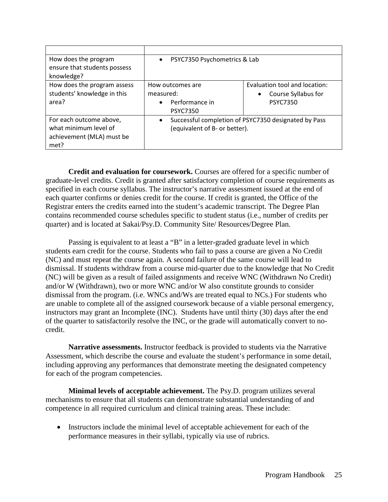| How does the program<br>ensure that students possess<br>knowledge?                    | PSYC7350 Psychometrics & Lab                                                          |                                                                                      |
|---------------------------------------------------------------------------------------|---------------------------------------------------------------------------------------|--------------------------------------------------------------------------------------|
| How does the program assess<br>students' knowledge in this<br>area?                   | How outcomes are<br>measured:<br>Performance in<br>$\bullet$<br><b>PSYC7350</b>       | Evaluation tool and location:<br>Course Syllabus for<br>$\bullet$<br><b>PSYC7350</b> |
| For each outcome above,<br>what minimum level of<br>achievement (MLA) must be<br>met? | Successful completion of PSYC7350 designated by Pass<br>(equivalent of B- or better). |                                                                                      |

**Credit and evaluation for coursework.** Courses are offered for a specific number of graduate-level credits. Credit is granted after satisfactory completion of course requirements as specified in each course syllabus. The instructor's narrative assessment issued at the end of each quarter confirms or denies credit for the course. If credit is granted, the Office of the Registrar enters the credits earned into the student's academic transcript. The Degree Plan contains recommended course schedules specific to student status (i.e., number of credits per quarter) and is located at Sakai/Psy.D. Community Site/ Resources/Degree Plan.

Passing is equivalent to at least a "B" in a letter-graded graduate level in which students earn credit for the course. Students who fail to pass a course are given a No Credit (NC) and must repeat the course again. A second failure of the same course will lead to dismissal. If students withdraw from a course mid-quarter due to the knowledge that No Credit (NC) will be given as a result of failed assignments and receive WNC (Withdrawn No Credit) and/or W (Withdrawn), two or more WNC and/or W also constitute grounds to consider dismissal from the program. (i.e. WNCs and/Ws are treated equal to NCs.) For students who are unable to complete all of the assigned coursework because of a viable personal emergency, instructors may grant an Incomplete (INC). Students have until thirty (30) days after the end of the quarter to satisfactorily resolve the INC, or the grade will automatically convert to nocredit.

**Narrative assessments.** Instructor feedback is provided to students via the Narrative Assessment, which describe the course and evaluate the student's performance in some detail, including approving any performances that demonstrate meeting the designated competency for each of the program competencies.

**Minimal levels of acceptable achievement.** The Psy.D. program utilizes several mechanisms to ensure that all students can demonstrate substantial understanding of and competence in all required curriculum and clinical training areas. These include:

Instructors include the minimal level of acceptable achievement for each of the performance measures in their syllabi, typically via use of rubrics.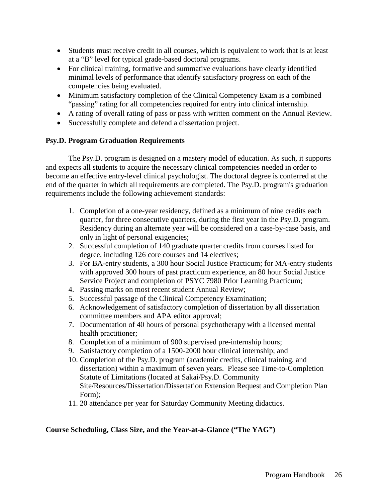- Students must receive credit in all courses, which is equivalent to work that is at least at a "B" level for typical grade-based doctoral programs.
- For clinical training, formative and summative evaluations have clearly identified minimal levels of performance that identify satisfactory progress on each of the competencies being evaluated.
- Minimum satisfactory completion of the Clinical Competency Exam is a combined "passing" rating for all competencies required for entry into clinical internship.
- A rating of overall rating of pass or pass with written comment on the Annual Review.
- Successfully complete and defend a dissertation project.

# <span id="page-25-0"></span>**Psy.D. Program Graduation Requirements**

The Psy.D. program is designed on a mastery model of education. As such, it supports and expects all students to acquire the necessary clinical competencies needed in order to become an effective entry-level clinical psychologist. The doctoral degree is conferred at the end of the quarter in which all requirements are completed. The Psy.D. program's graduation requirements include the following achievement standards:

- 1. Completion of a one-year residency, defined as a minimum of nine credits each quarter, for three consecutive quarters, during the first year in the Psy.D. program. Residency during an alternate year will be considered on a case-by-case basis, and only in light of personal exigencies;
- 2. Successful completion of 140 graduate quarter credits from courses listed for degree, including 126 core courses and 14 electives;
- 3. For BA-entry students, a 300 hour Social Justice Practicum; for MA-entry students with approved 300 hours of past practicum experience, an 80 hour Social Justice Service Project and completion of PSYC 7980 Prior Learning Practicum;
- 4. Passing marks on most recent student Annual Review;
- 5. Successful passage of the Clinical Competency Examination;
- 6. Acknowledgement of satisfactory completion of dissertation by all dissertation committee members and APA editor approval;
- 7. Documentation of 40 hours of personal psychotherapy with a licensed mental health practitioner;
- 8. Completion of a minimum of 900 supervised pre-internship hours;
- 9. Satisfactory completion of a 1500-2000 hour clinical internship; and
- 10. Completion of the Psy.D. program (academic credits, clinical training, and dissertation) within a maximum of seven years. Please see Time-to-Completion Statute of Limitations (located at Sakai/Psy.D. Community Site/Resources/Dissertation/Dissertation Extension Request and Completion Plan Form);
- 11. 20 attendance per year for Saturday Community Meeting didactics.

# <span id="page-25-1"></span>**Course Scheduling, Class Size, and the Year-at-a-Glance ("The YAG")**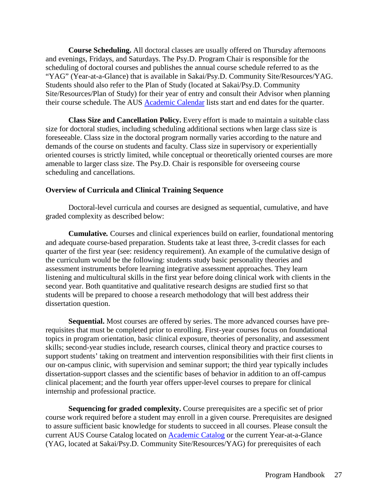**Course Scheduling.** All doctoral classes are usually offered on Thursday afternoons and evenings, Fridays, and Saturdays. The Psy.D. Program Chair is responsible for the scheduling of doctoral courses and publishes the annual course schedule referred to as the "YAG" (Year-at-a-Glance) that is available in Sakai/Psy.D. Community Site/Resources/YAG. Students should also refer to the Plan of Study (located at Sakai/Psy.D. Community Site/Resources/Plan of Study) for their year of entry and consult their Advisor when planning their course schedule. The AUS **[Academic Calendar](https://www.antioch.edu/seattle/resources/students/academic-calendar/)** lists start and end dates for the quarter.

**Class Size and Cancellation Policy.** Every effort is made to maintain a suitable class size for doctoral studies, including scheduling additional sections when large class size is foreseeable. Class size in the doctoral program normally varies according to the nature and demands of the course on students and faculty. Class size in supervisory or experientially oriented courses is strictly limited, while conceptual or theoretically oriented courses are more amenable to larger class size. The Psy.D. Chair is responsible for overseeing course scheduling and cancellations.

### <span id="page-26-0"></span>**Overview of Curricula and Clinical Training Sequence**

Doctoral-level curricula and courses are designed as sequential, cumulative, and have graded complexity as described below:

**Cumulative***.* Courses and clinical experiences build on earlier, foundational mentoring and adequate course-based preparation. Students take at least three, 3-credit classes for each quarter of the first year (see: residency requirement). An example of the cumulative design of the curriculum would be the following: students study basic personality theories and assessment instruments before learning integrative assessment approaches. They learn listening and multicultural skills in the first year before doing clinical work with clients in the second year. Both quantitative and qualitative research designs are studied first so that students will be prepared to choose a research methodology that will best address their dissertation question.

**Sequential.** Most courses are offered by series. The more advanced courses have prerequisites that must be completed prior to enrolling. First-year courses focus on foundational topics in program orientation, basic clinical exposure, theories of personality, and assessment skills; second-year studies include, research courses, clinical theory and practice courses to support students' taking on treatment and intervention responsibilities with their first clients in our on-campus clinic, with supervision and seminar support; the third year typically includes dissertation-support classes and the scientific bases of behavior in addition to an off-campus clinical placement; and the fourth year offers upper-level courses to prepare for clinical internship and professional practice.

**Sequencing for graded complexity.** Course prerequisites are a specific set of prior course work required before a student may enroll in a given course. Prerequisites are designed to assure sufficient basic knowledge for students to succeed in all courses. Please consult the current AUS Course Catalog located on [Academic Catalog](https://www.antioch.edu/seattle/resources/) or the current Year-at-a-Glance (YAG, located at Sakai/Psy.D. Community Site/Resources/YAG) for prerequisites of each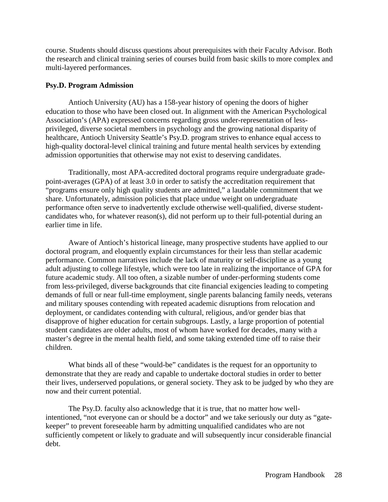course. Students should discuss questions about prerequisites with their Faculty Advisor. Both the research and clinical training series of courses build from basic skills to more complex and multi-layered performances.

### <span id="page-27-0"></span>**Psy.D. Program Admission**

Antioch University (AU) has a 158-year history of opening the doors of higher education to those who have been closed out. In alignment with the American Psychological Association's (APA) expressed concerns regarding gross under-representation of lessprivileged, diverse societal members in psychology and the growing national disparity of healthcare, Antioch University Seattle's Psy.D. program strives to enhance equal access to high-quality doctoral-level clinical training and future mental health services by extending admission opportunities that otherwise may not exist to deserving candidates.

Traditionally, most APA-accredited doctoral programs require undergraduate gradepoint-averages (GPA) of at least 3.0 in order to satisfy the accreditation requirement that "programs ensure only high quality students are admitted," a laudable commitment that we share. Unfortunately, admission policies that place undue weight on undergraduate performance often serve to inadvertently exclude otherwise well-qualified, diverse studentcandidates who, for whatever reason(s), did not perform up to their full-potential during an earlier time in life.

Aware of Antioch's historical lineage, many prospective students have applied to our doctoral program, and eloquently explain circumstances for their less than stellar academic performance. Common narratives include the lack of maturity or self-discipline as a young adult adjusting to college lifestyle, which were too late in realizing the importance of GPA for future academic study. All too often, a sizable number of under-performing students come from less-privileged, diverse backgrounds that cite financial exigencies leading to competing demands of full or near full-time employment, single parents balancing family needs, veterans and military spouses contending with repeated academic disruptions from relocation and deployment, or candidates contending with cultural, religious, and/or gender bias that disapprove of higher education for certain subgroups. Lastly, a large proportion of potential student candidates are older adults, most of whom have worked for decades, many with a master's degree in the mental health field, and some taking extended time off to raise their children.

What binds all of these "would-be" candidates is the request for an opportunity to demonstrate that they are ready and capable to undertake doctoral studies in order to better their lives, underserved populations, or general society. They ask to be judged by who they are now and their current potential.

The Psy.D. faculty also acknowledge that it is true, that no matter how wellintentioned, "not everyone can or should be a doctor" and we take seriously our duty as "gatekeeper" to prevent foreseeable harm by admitting unqualified candidates who are not sufficiently competent or likely to graduate and will subsequently incur considerable financial debt.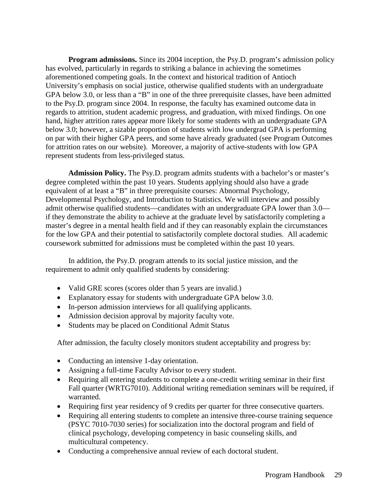**Program admissions.** Since its 2004 inception, the Psy.D. program's admission policy has evolved, particularly in regards to striking a balance in achieving the sometimes aforementioned competing goals. In the context and historical tradition of Antioch University's emphasis on social justice, otherwise qualified students with an undergraduate GPA below 3.0, or less than a "B" in one of the three prerequisite classes, have been admitted to the Psy.D. program since 2004. In response, the faculty has examined outcome data in regards to attrition, student academic progress, and graduation, with mixed findings. On one hand, higher attrition rates appear more likely for some students with an undergraduate GPA below 3.0; however, a sizable proportion of students with low undergrad GPA is performing on par with their higher GPA peers, and some have already graduated (see Program Outcomes for attrition rates on our website). Moreover, a majority of active-students with low GPA represent students from less-privileged status.

**Admission Policy.** The Psy.D. program admits students with a bachelor's or master's degree completed within the past 10 years. Students applying should also have a grade equivalent of at least a "B" in three prerequisite courses: Abnormal Psychology, Developmental Psychology, and Introduction to Statistics. We will interview and possibly admit otherwise qualified students—candidates with an undergraduate GPA lower than 3.0 if they demonstrate the ability to achieve at the graduate level by satisfactorily completing a master's degree in a mental health field and if they can reasonably explain the circumstances for the low GPA and their potential to satisfactorily complete doctoral studies. All academic coursework submitted for admissions must be completed within the past 10 years.

In addition, the Psy.D. program attends to its social justice mission, and the requirement to admit only qualified students by considering:

- Valid GRE scores (scores older than 5 years are invalid.)
- Explanatory essay for students with undergraduate GPA below 3.0.
- In-person admission interviews for all qualifying applicants.
- Admission decision approval by majority faculty vote.
- Students may be placed on Conditional Admit Status

After admission, the faculty closely monitors student acceptability and progress by:

- Conducting an intensive 1-day orientation.
- Assigning a full-time Faculty Advisor to every student.
- Requiring all entering students to complete a one-credit writing seminar in their first Fall quarter (WRTG7010). Additional writing remediation seminars will be required, if warranted.
- Requiring first year residency of 9 credits per quarter for three consecutive quarters.
- Requiring all entering students to complete an intensive three-course training sequence (PSYC 7010-7030 series) for socialization into the doctoral program and field of clinical psychology, developing competency in basic counseling skills, and multicultural competency.
- Conducting a comprehensive annual review of each doctoral student.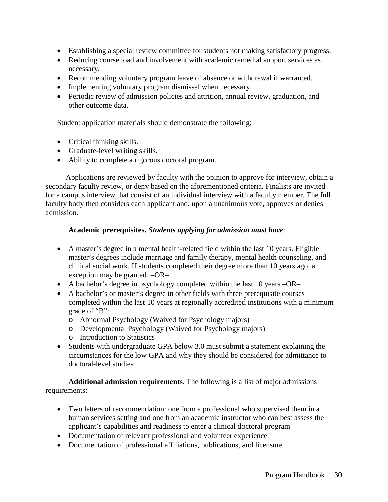- Establishing a special review committee for students not making satisfactory progress.
- Reducing course load and involvement with academic remedial support services as necessary.
- Recommending voluntary program leave of absence or withdrawal if warranted.
- Implementing voluntary program dismissal when necessary.
- Periodic review of admission policies and attrition, annual review, graduation, and other outcome data.

Student application materials should demonstrate the following:

- Critical thinking skills.
- Graduate-level writing skills.
- Ability to complete a rigorous doctoral program.

Applications are reviewed by faculty with the opinion to approve for interview, obtain a secondary faculty review, or deny based on the aforementioned criteria. Finalists are invited for a campus interview that consist of an individual interview with a faculty member. The full faculty body then considers each applicant and, upon a unanimous vote, approves or denies admission.

### **Academic prerequisites.** *Students applying for admission must have*:

- A master's degree in a mental health-related field within the last 10 years. Eligible master's degrees include marriage and family therapy, mental health counseling, and clinical social work. If students completed their degree more than 10 years ago, an exception may be granted. –OR–
- A bachelor's degree in psychology completed within the last 10 years  $-OR-$
- A bachelor's or master's degree in other fields with three prerequisite courses completed within the last 10 years at regionally accredited institutions with a minimum grade of "B":
	- o Abnormal Psychology (Waived for Psychology majors)
	- o Developmental Psychology (Waived for Psychology majors)
	- o Introduction to Statistics
- Students with undergraduate GPA below 3.0 must submit a statement explaining the circumstances for the low GPA and why they should be considered for admittance to doctoral-level studies

**Additional admission requirements.** The following is a list of major admissions requirements:

- Two letters of recommendation: one from a professional who supervised them in a human services setting and one from an academic instructor who can best assess the applicant's capabilities and readiness to enter a clinical doctoral program
- Documentation of relevant professional and volunteer experience
- Documentation of professional affiliations, publications, and licensure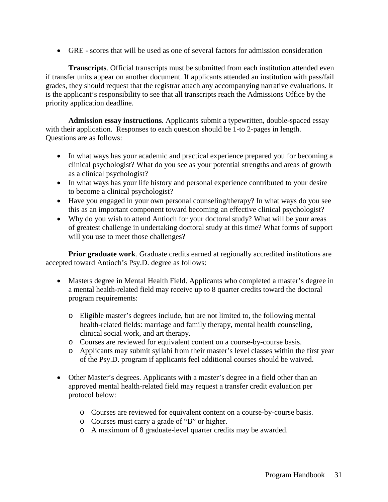• GRE - scores that will be used as one of several factors for admission consideration

**Transcripts**. Official transcripts must be submitted from each institution attended even if transfer units appear on another document. If applicants attended an institution with pass/fail grades, they should request that the registrar attach any accompanying narrative evaluations. It is the applicant's responsibility to see that all transcripts reach the Admissions Office by the priority application deadline.

**Admission essay instructions***.* Applicants submit a typewritten, double-spaced essay with their application. Responses to each question should be 1-to 2-pages in length. Questions are as follows:

- In what ways has your academic and practical experience prepared you for becoming a clinical psychologist? What do you see as your potential strengths and areas of growth as a clinical psychologist?
- In what ways has your life history and personal experience contributed to your desire to become a clinical psychologist?
- Have you engaged in your own personal counseling/therapy? In what ways do you see this as an important component toward becoming an effective clinical psychologist?
- Why do you wish to attend Antioch for your doctoral study? What will be your areas of greatest challenge in undertaking doctoral study at this time? What forms of support will you use to meet those challenges?

**Prior graduate work***.* Graduate credits earned at regionally accredited institutions are accepted toward Antioch's Psy.D. degree as follows:

- Masters degree in Mental Health Field. Applicants who completed a master's degree in a mental health-related field may receive up to 8 quarter credits toward the doctoral program requirements:
	- o Eligible master's degrees include, but are not limited to, the following mental health-related fields: marriage and family therapy, mental health counseling, clinical social work, and art therapy.
	- o Courses are reviewed for equivalent content on a course-by-course basis.
	- o Applicants may submit syllabi from their master's level classes within the first year of the Psy.D. program if applicants feel additional courses should be waived.
- Other Master's degrees. Applicants with a master's degree in a field other than an approved mental health-related field may request a transfer credit evaluation per protocol below:
	- o Courses are reviewed for equivalent content on a course-by-course basis.
	- o Courses must carry a grade of "B" or higher.
	- o A maximum of 8 graduate-level quarter credits may be awarded.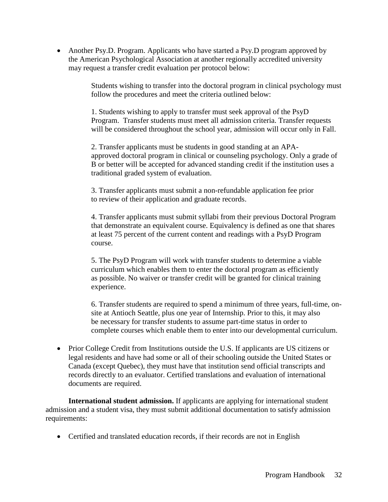• Another Psy.D. Program. Applicants who have started a Psy.D program approved by the American Psychological Association at another regionally accredited university may request a transfer credit evaluation per protocol below:

> Students wishing to transfer into the doctoral program in clinical psychology must follow the procedures and meet the criteria outlined below:

1. Students wishing to apply to transfer must seek approval of the PsyD Program. Transfer students must meet all admission criteria. Transfer requests will be considered throughout the school year, admission will occur only in Fall.

2. Transfer applicants must be students in good standing at an APAapproved doctoral program in clinical or counseling psychology. Only a grade of B or better will be accepted for advanced standing credit if the institution uses a traditional graded system of evaluation.

3. Transfer applicants must submit a non-refundable application fee prior to review of their application and graduate records.

4. Transfer applicants must submit syllabi from their previous Doctoral Program that demonstrate an equivalent course. Equivalency is defined as one that shares at least 75 percent of the current content and readings with a PsyD Program course.

5. The PsyD Program will work with transfer students to determine a viable curriculum which enables them to enter the doctoral program as efficiently as possible. No waiver or transfer credit will be granted for clinical training experience.

6. Transfer students are required to spend a minimum of three years, full-time, onsite at Antioch Seattle, plus one year of Internship. Prior to this, it may also be necessary for transfer students to assume part-time status in order to complete courses which enable them to enter into our developmental curriculum.

• Prior College Credit from Institutions outside the U.S. If applicants are US citizens or legal residents and have had some or all of their schooling outside the United States or Canada (except Quebec), they must have that institution send official transcripts and records directly to an evaluator. Certified translations and evaluation of international documents are required.

**International student admission.** If applicants are applying for international student admission and a student visa, they must submit additional documentation to satisfy admission requirements:

• Certified and translated education records, if their records are not in English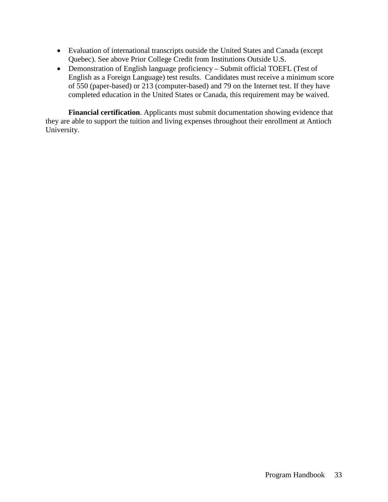- Evaluation of international transcripts outside the United States and Canada (except Quebec). See above Prior College Credit from Institutions Outside U.S.
- Demonstration of English language proficiency Submit official TOEFL (Test of English as a Foreign Language) test results. Candidates must receive a minimum score of 550 (paper-based) or 213 (computer-based) and 79 on the Internet test. If they have completed education in the United States or Canada, this requirement may be waived.

**Financial certification**. Applicants must submit documentation showing evidence that they are able to support the tuition and living expenses throughout their enrollment at Antioch University.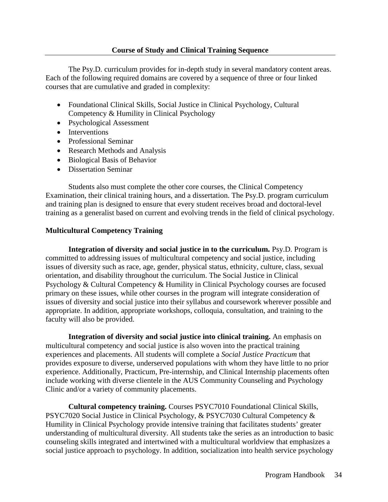<span id="page-33-0"></span>The Psy.D. curriculum provides for in-depth study in several mandatory content areas. Each of the following required domains are covered by a sequence of three or four linked courses that are cumulative and graded in complexity:

- Foundational Clinical Skills, Social Justice in Clinical Psychology, Cultural Competency & Humility in Clinical Psychology
- Psychological Assessment
- Interventions
- Professional Seminar
- Research Methods and Analysis
- Biological Basis of Behavior
- Dissertation Seminar

Students also must complete the other core courses, the Clinical Competency Examination, their clinical training hours, and a dissertation. The Psy.D. program curriculum and training plan is designed to ensure that every student receives broad and doctoral-level training as a generalist based on current and evolving trends in the field of clinical psychology.

### <span id="page-33-1"></span>**Multicultural Competency Training**

**Integration of diversity and social justice in to the curriculum.** Psy.D. Program is committed to addressing issues of multicultural competency and social justice, including issues of diversity such as race, age, gender, physical status, ethnicity, culture, class, sexual orientation, and disability throughout the curriculum. The Social Justice in Clinical Psychology & Cultural Competency & Humility in Clinical Psychology courses are focused primary on these issues, while other courses in the program will integrate consideration of issues of diversity and social justice into their syllabus and coursework wherever possible and appropriate. In addition, appropriate workshops, colloquia, consultation, and training to the faculty will also be provided.

**Integration of diversity and social justice into clinical training.** An emphasis on multicultural competency and social justice is also woven into the practical training experiences and placements. All students will complete a *Social Justice Practicum* that provides exposure to diverse, underserved populations with whom they have little to no prior experience. Additionally, Practicum, Pre-internship, and Clinical Internship placements often include working with diverse clientele in the AUS Community Counseling and Psychology Clinic and/or a variety of community placements.

**Cultural competency training.** Courses PSYC7010 Foundational Clinical Skills, PSYC7020 Social Justice in Clinical Psychology, & PSYC7030 Cultural Competency & Humility in Clinical Psychology provide intensive training that facilitates students' greater understanding of multicultural diversity. All students take the series as an introduction to basic counseling skills integrated and intertwined with a multicultural worldview that emphasizes a social justice approach to psychology. In addition, socialization into health service psychology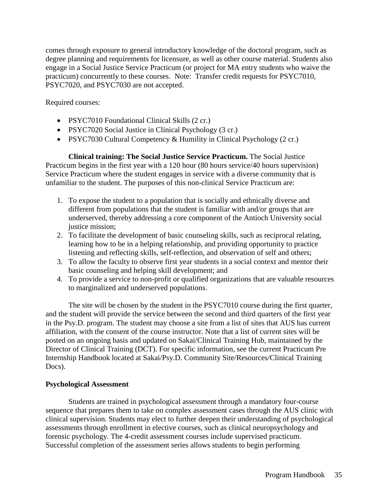comes through exposure to general introductory knowledge of the doctoral program, such as degree planning and requirements for licensure, as well as other course material. Students also engage in a Social Justice Service Practicum (or project for MA entry students who waive the practicum) concurrently to these courses. Note: Transfer credit requests for PSYC7010, PSYC7020, and PSYC7030 are not accepted.

Required courses:

- PSYC7010 Foundational Clinical Skills (2 cr.)
- PSYC7020 Social Justice in Clinical Psychology (3 cr.)
- PSYC7030 Cultural Competency & Humility in Clinical Psychology (2 cr.)

**Clinical training: The Social Justice Service Practicum.** The Social Justice Practicum begins in the first year with a 120 hour (80 hours service/40 hours supervision) Service Practicum where the student engages in service with a diverse community that is unfamiliar to the student. The purposes of this non-clinical Service Practicum are:

- 1. To expose the student to a population that is socially and ethnically diverse and different from populations that the student is familiar with and/or groups that are underserved, thereby addressing a core component of the Antioch University social justice mission;
- 2. To facilitate the development of basic counseling skills, such as reciprocal relating, learning how to be in a helping relationship, and providing opportunity to practice listening and reflecting skills, self-reflection, and observation of self and others;
- 3. To allow the faculty to observe first year students in a social context and mentor their basic counseling and helping skill development; and
- 4. To provide a service to non-profit or qualified organizations that are valuable resources to marginalized and underserved populations.

The site will be chosen by the student in the PSYC7010 course during the first quarter, and the student will provide the service between the second and third quarters of the first year in the Psy.D. program. The student may choose a site from a list of sites that AUS has current affiliation, with the consent of the course instructor. Note that a list of current sites will be posted on an ongoing basis and updated on Sakai/Clinical Training Hub, maintained by the Director of Clinical Training (DCT). For specific information, see the current Practicum Pre Internship Handbook located at Sakai/Psy.D. Community Site/Resources/Clinical Training Docs).

### <span id="page-34-0"></span>**Psychological Assessment**

Students are trained in psychological assessment through a mandatory four-course sequence that prepares them to take on complex assessment cases through the AUS clinic with clinical supervision. Students may elect to further deepen their understanding of psychological assessments through enrollment in elective courses, such as clinical neuropsychology and forensic psychology. The 4-credit assessment courses include supervised practicum. Successful completion of the assessment series allows students to begin performing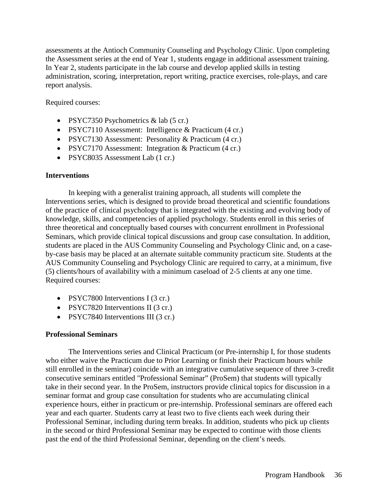assessments at the Antioch Community Counseling and Psychology Clinic. Upon completing the Assessment series at the end of Year 1, students engage in additional assessment training. In Year 2, students participate in the lab course and develop applied skills in testing administration, scoring, interpretation, report writing, practice exercises, role-plays, and care report analysis.

Required courses:

- PSYC7350 Psychometrics & lab (5 cr.)
- PSYC7110 Assessment: Intelligence & Practicum (4 cr.)
- PSYC7130 Assessment: Personality & Practicum (4 cr.)
- PSYC7170 Assessment: Integration & Practicum (4 cr.)
- PSYC8035 Assessment Lab (1 cr.)

### <span id="page-35-0"></span>**Interventions**

In keeping with a generalist training approach, all students will complete the Interventions series, which is designed to provide broad theoretical and scientific foundations of the practice of clinical psychology that is integrated with the existing and evolving body of knowledge, skills, and competencies of applied psychology. Students enroll in this series of three theoretical and conceptually based courses with concurrent enrollment in Professional Seminars, which provide clinical topical discussions and group case consultation. In addition, students are placed in the AUS Community Counseling and Psychology Clinic and, on a caseby-case basis may be placed at an alternate suitable community practicum site. Students at the AUS Community Counseling and Psychology Clinic are required to carry, at a minimum, five (5) clients/hours of availability with a minimum caseload of 2-5 clients at any one time. Required courses:

- PSYC7800 Interventions I (3 cr.)
- PSYC7820 Interventions II (3 cr.)
- PSYC7840 Interventions III (3 cr.)

## <span id="page-35-1"></span>**Professional Seminars**

The Interventions series and Clinical Practicum (or Pre-internship I, for those students who either waive the Practicum due to Prior Learning or finish their Practicum hours while still enrolled in the seminar) coincide with an integrative cumulative sequence of three 3-credit consecutive seminars entitled "Professional Seminar" (ProSem) that students will typically take in their second year. In the ProSem, instructors provide clinical topics for discussion in a seminar format and group case consultation for students who are accumulating clinical experience hours, either in practicum or pre-internship. Professional seminars are offered each year and each quarter. Students carry at least two to five clients each week during their Professional Seminar, including during term breaks. In addition, students who pick up clients in the second or third Professional Seminar may be expected to continue with those clients past the end of the third Professional Seminar, depending on the client's needs.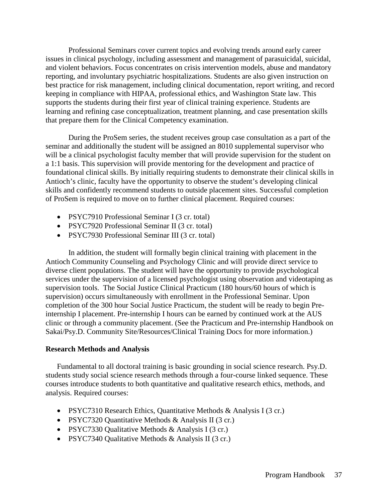Professional Seminars cover current topics and evolving trends around early career issues in clinical psychology, including assessment and management of parasuicidal, suicidal, and violent behaviors. Focus concentrates on crisis intervention models, abuse and mandatory reporting, and involuntary psychiatric hospitalizations. Students are also given instruction on best practice for risk management, including clinical documentation, report writing, and record keeping in compliance with HIPAA, professional ethics, and Washington State law. This supports the students during their first year of clinical training experience. Students are learning and refining case conceptualization, treatment planning, and case presentation skills that prepare them for the Clinical Competency examination.

During the ProSem series, the student receives group case consultation as a part of the seminar and additionally the student will be assigned an 8010 supplemental supervisor who will be a clinical psychologist faculty member that will provide supervision for the student on a 1:1 basis. This supervision will provide mentoring for the development and practice of foundational clinical skills. By initially requiring students to demonstrate their clinical skills in Antioch's clinic, faculty have the opportunity to observe the student's developing clinical skills and confidently recommend students to outside placement sites. Successful completion of ProSem is required to move on to further clinical placement. Required courses:

- PSYC7910 Professional Seminar I (3 cr. total)
- PSYC7920 Professional Seminar II (3 cr. total)
- PSYC7930 Professional Seminar III (3 cr. total)

In addition, the student will formally begin clinical training with placement in the Antioch Community Counseling and Psychology Clinic and will provide direct service to diverse client populations. The student will have the opportunity to provide psychological services under the supervision of a licensed psychologist using observation and videotaping as supervision tools. The Social Justice Clinical Practicum (180 hours/60 hours of which is supervision) occurs simultaneously with enrollment in the Professional Seminar. Upon completion of the 300 hour Social Justice Practicum, the student will be ready to begin Preinternship I placement. Pre-internship I hours can be earned by continued work at the AUS clinic or through a community placement. (See the Practicum and Pre-internship Handbook on Sakai/Psy.D. Community Site/Resources/Clinical Training Docs for more information.)

#### **Research Methods and Analysis**

Fundamental to all doctoral training is basic grounding in social science research. Psy.D. students study social science research methods through a four-course linked sequence. These courses introduce students to both quantitative and qualitative research ethics, methods, and analysis. Required courses:

- PSYC7310 Research Ethics, Quantitative Methods & Analysis I (3 cr.)
- PSYC7320 Quantitative Methods & Analysis II (3 cr.)
- PSYC7330 Qualitative Methods & Analysis I (3 cr.)
- PSYC7340 Qualitative Methods & Analysis II (3 cr.)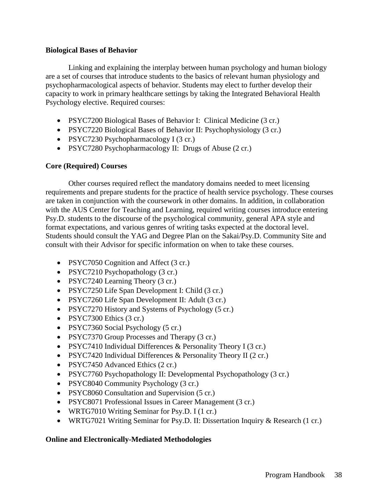### **Biological Bases of Behavior**

Linking and explaining the interplay between human psychology and human biology are a set of courses that introduce students to the basics of relevant human physiology and psychopharmacological aspects of behavior. Students may elect to further develop their capacity to work in primary healthcare settings by taking the Integrated Behavioral Health Psychology elective. Required courses:

- PSYC7200 Biological Bases of Behavior I: Clinical Medicine (3 cr.)
- PSYC7220 Biological Bases of Behavior II: Psychophysiology (3 cr.)
- PSYC7230 Psychopharmacology I (3 cr.)
- PSYC7280 Psychopharmacology II: Drugs of Abuse (2 cr.)

# **Core (Required) Courses**

Other courses required reflect the mandatory domains needed to meet licensing requirements and prepare students for the practice of health service psychology. These courses are taken in conjunction with the coursework in other domains. In addition, in collaboration with the AUS Center for Teaching and Learning, required writing courses introduce entering Psy.D. students to the discourse of the psychological community, general APA style and format expectations, and various genres of writing tasks expected at the doctoral level. Students should consult the YAG and Degree Plan on the Sakai/Psy.D. Community Site and consult with their Advisor for specific information on when to take these courses.

- PSYC7050 Cognition and Affect (3 cr.)
- PSYC7210 Psychopathology (3 cr.)
- PSYC7240 Learning Theory (3 cr.)
- PSYC7250 Life Span Development I: Child (3 cr.)
- PSYC7260 Life Span Development II: Adult (3 cr.)
- PSYC7270 History and Systems of Psychology (5 cr.)
- PSYC7300 Ethics (3 cr.)
- PSYC7360 Social Psychology (5 cr.)
- PSYC7370 Group Processes and Therapy (3 cr.)
- PSYC7410 Individual Differences & Personality Theory I (3 cr.)
- PSYC7420 Individual Differences & Personality Theory II (2 cr.)
- PSYC7450 Advanced Ethics (2 cr.)
- PSYC7760 Psychopathology II: Developmental Psychopathology (3 cr.)
- PSYC8040 Community Psychology (3 cr.)
- PSYC8060 Consultation and Supervision (5 cr.)
- PSYC8071 Professional Issues in Career Management (3 cr.)
- WRTG7010 Writing Seminar for Psy.D. I (1 cr.)
- WRTG7021 Writing Seminar for Psy.D. II: Dissertation Inquiry & Research (1 cr.)

# **Online and Electronically-Mediated Methodologies**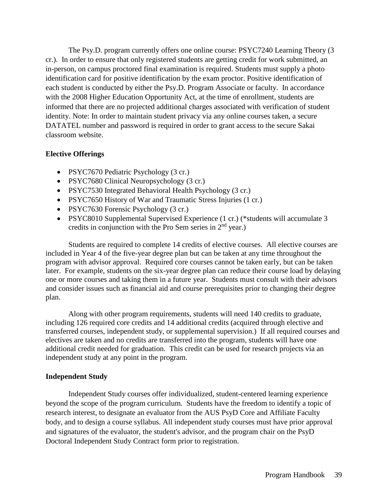The Psy.D. program currently offers one online course: PSYC7240 Learning Theory (3 cr.). In order to ensure that only registered students are getting credit for work submitted, an in-person, on campus proctored final examination is required. Students must supply a photo identification card for positive identification by the exam proctor. Positive identification of each student is conducted by either the Psy.D. Program Associate or faculty. In accordance with the 2008 Higher Education Opportunity Act, at the time of enrollment, students are informed that there are no projected additional charges associated with verification of student identity. Note: In order to maintain student privacy via any online courses taken, a secure DATATEL number and password is required in order to grant access to the secure Sakai classroom website.

# **Elective Offerings**

- PSYC7670 Pediatric Psychology (3 cr.)
- PSYC7680 Clinical Neuropsychology (3 cr.)
- PSYC7530 Integrated Behavioral Health Psychology (3 cr.)
- PSYC7650 History of War and Traumatic Stress Injuries (1 cr.)
- PSYC7630 Forensic Psychology (3 cr.)
- PSYC8010 Supplemental Supervised Experience (1 cr.) (\*students will accumulate 3 credits in conjunction with the Pro Sem series in  $2<sup>nd</sup>$  year.)

Students are required to complete 14 credits of elective courses. All elective courses are included in Year 4 of the five-year degree plan but can be taken at any time throughout the program with advisor approval. Required core courses cannot be taken early, but can be taken later. For example, students on the six-year degree plan can reduce their course load by delaying one or more courses and taking them in a future year. Students must consult with their advisors and consider issues such as financial aid and course prerequisites prior to changing their degree plan.

Along with other program requirements, students will need 140 credits to graduate, including 126 required core credits and 14 additional credits (acquired through elective and transferred courses, independent study, or supplemental supervision.) If all required courses and electives are taken and no credits are transferred into the program, students will have one additional credit needed for graduation. This credit can be used for research projects via an independent study at any point in the program.

# **Independent Study**

Independent Study courses offer individualized, student-centered learning experience beyond the scope of the program curriculum. Students have the freedom to identify a topic of research interest, to designate an evaluator from the AUS PsyD Core and Affiliate Faculty body, and to design a course syllabus. All independent study courses must have prior approval and signatures of the evaluator, the student's advisor, and the program chair on the PsyD Doctoral Independent Study Contract form prior to registration.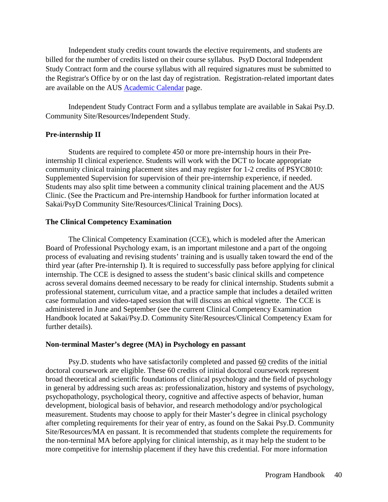Independent study credits count towards the elective requirements, and students are billed for the number of credits listed on their course syllabus. PsyD Doctoral Independent Study Contract form and the course syllabus with all required signatures must be submitted to the Registrar's Office by or on the last day of registration. Registration-related important dates are available on the AUS [Academic Calendar](https://www.antioch.edu/seattle/resources/students/academic-calendar/) page.

Independent Study Contract Form and a syllabus template are available in Sakai Psy.D. Community Site/Resources/Independent Study.

## **Pre-internship II**

Students are required to complete 450 or more pre-internship hours in their Preinternship II clinical experience. Students will work with the DCT to locate appropriate community clinical training placement sites and may register for 1-2 credits of PSYC8010: Supplemented Supervision for supervision of their pre-internship experience, if needed. Students may also split time between a community clinical training placement and the AUS Clinic. (See the Practicum and Pre-internship Handbook for further information located at Sakai/PsyD Community Site/Resources/Clinical Training Docs).

### **The Clinical Competency Examination**

The Clinical Competency Examination (CCE), which is modeled after the American Board of Professional Psychology exam, is an important milestone and a part of the ongoing process of evaluating and revising students' training and is usually taken toward the end of the third year (after Pre-internship I). It is required to successfully pass before applying for clinical internship. The CCE is designed to assess the student's basic clinical skills and competence across several domains deemed necessary to be ready for clinical internship. Students submit a professional statement, curriculum vitae, and a practice sample that includes a detailed written case formulation and video-taped session that will discuss an ethical vignette. The CCE is administered in June and September (see the current Clinical Competency Examination Handbook located at Sakai/Psy.D. Community Site/Resources/Clinical Competency Exam for further details).

### **Non-terminal Master's degree (MA) in Psychology en passant**

Psy.D. students who have satisfactorily completed and passed 60 credits of the initial doctoral coursework are eligible. These 60 credits of initial doctoral coursework represent broad theoretical and scientific foundations of clinical psychology and the field of psychology in general by addressing such areas as: professionalization, history and systems of psychology, psychopathology, psychological theory, cognitive and affective aspects of behavior, human development, biological basis of behavior, and research methodology and/or psychological measurement. Students may choose to apply for their Master's degree in clinical psychology after completing requirements for their year of entry, as found on the Sakai Psy.D. Community Site/Resources/MA en passant. It is recommended that students complete the requirements for the non-terminal MA before applying for clinical internship, as it may help the student to be more competitive for internship placement if they have this credential. For more information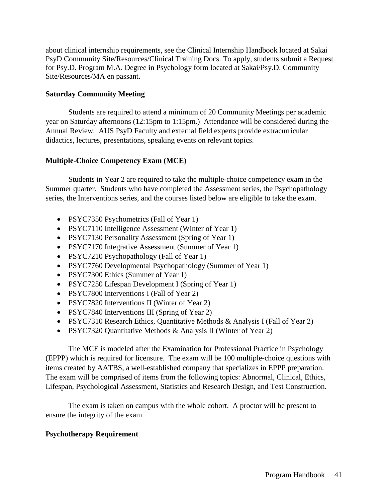about clinical internship requirements, see the Clinical Internship Handbook located at Sakai PsyD Community Site/Resources/Clinical Training Docs. To apply, students submit a Request for Psy.D. Program M.A. Degree in Psychology form located at Sakai/Psy.D. Community Site/Resources/MA en passant.

# **Saturday Community Meeting**

Students are required to attend a minimum of 20 Community Meetings per academic year on Saturday afternoons (12:15pm to 1:15pm.) Attendance will be considered during the Annual Review. AUS PsyD Faculty and external field experts provide extracurricular didactics, lectures, presentations, speaking events on relevant topics.

# **Multiple-Choice Competency Exam (MCE)**

Students in Year 2 are required to take the multiple-choice competency exam in the Summer quarter. Students who have completed the Assessment series, the Psychopathology series, the Interventions series, and the courses listed below are eligible to take the exam.

- PSYC7350 Psychometrics (Fall of Year 1)
- PSYC7110 Intelligence Assessment (Winter of Year 1)
- PSYC7130 Personality Assessment (Spring of Year 1)
- PSYC7170 Integrative Assessment (Summer of Year 1)
- PSYC7210 Psychopathology (Fall of Year 1)
- PSYC7760 Developmental Psychopathology (Summer of Year 1)
- PSYC7300 Ethics (Summer of Year 1)
- PSYC7250 Lifespan Development I (Spring of Year 1)
- PSYC7800 Interventions I (Fall of Year 2)
- PSYC7820 Interventions II (Winter of Year 2)
- PSYC7840 Interventions III (Spring of Year 2)
- PSYC7310 Research Ethics, Quantitative Methods & Analysis I (Fall of Year 2)
- PSYC7320 Quantitative Methods & Analysis II (Winter of Year 2)

The MCE is modeled after the Examination for Professional Practice in Psychology (EPPP) which is required for licensure. The exam will be 100 multiple-choice questions with items created by AATBS, a well-established company that specializes in EPPP preparation. The exam will be comprised of items from the following topics: Abnormal, Clinical, Ethics, Lifespan, Psychological Assessment, Statistics and Research Design, and Test Construction.

The exam is taken on campus with the whole cohort. A proctor will be present to ensure the integrity of the exam.

# **Psychotherapy Requirement**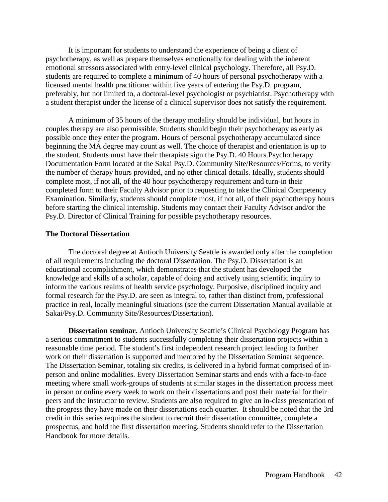It is important for students to understand the experience of being a client of psychotherapy, as well as prepare themselves emotionally for dealing with the inherent emotional stressors associated with entry-level clinical psychology. Therefore, all Psy.D. students are required to complete a minimum of 40 hours of personal psychotherapy with a licensed mental health practitioner within five years of entering the Psy.D. program, preferably, but not limited to, a doctoral-level psychologist or psychiatrist. Psychotherapy with a student therapist under the license of a clinical supervisor doe**s** not satisfy the requirement.

A minimum of 35 hours of the therapy modality should be individual, but hours in couples therapy are also permissible. Students should begin their psychotherapy as early as possible once they enter the program. Hours of personal psychotherapy accumulated since beginning the MA degree may count as well. The choice of therapist and orientation is up to the student. Students must have their therapists sign the Psy.D. 40 Hours Psychotherapy Documentation Form located at the Sakai Psy.D. Community Site/Resources/Forms, to verify the number of therapy hours provided, and no other clinical details. Ideally, students should complete most, if not all, of the 40 hour psychotherapy requirement and turn-in their completed form to their Faculty Advisor prior to requesting to take the Clinical Competency Examination. Similarly, students should complete most, if not all, of their psychotherapy hours before starting the clinical internship. Students may contact their Faculty Advisor and/or the Psy.D. Director of Clinical Training for possible psychotherapy resources.

#### **The Doctoral Dissertation**

The doctoral degree at Antioch University Seattle is awarded only after the completion of all requirements including the doctoral Dissertation. The Psy.D. Dissertation is an educational accomplishment, which demonstrates that the student has developed the knowledge and skills of a scholar, capable of doing and actively using scientific inquiry to inform the various realms of health service psychology. Purposive, disciplined inquiry and formal research for the Psy.D. are seen as integral to, rather than distinct from, professional practice in real, locally meaningful situations (see the current Dissertation Manual available at Sakai/Psy.D. Community Site/Resources/Dissertation).

**Dissertation seminar***.* Antioch University Seattle's Clinical Psychology Program has a serious commitment to students successfully completing their dissertation projects within a reasonable time period. The student's first independent research project leading to further work on their dissertation is supported and mentored by the Dissertation Seminar sequence. The Dissertation Seminar, totaling six credits, is delivered in a hybrid format comprised of inperson and online modalities. Every Dissertation Seminar starts and ends with a face-to-face meeting where small work-groups of students at similar stages in the dissertation process meet in person or online every week to work on their dissertations and post their material for their peers and the instructor to review. Students are also required to give an in-class presentation of the progress they have made on their dissertations each quarter. It should be noted that the 3rd credit in this series requires the student to recruit their dissertation committee, complete a prospectus, and hold the first dissertation meeting. Students should refer to the Dissertation Handbook for more details.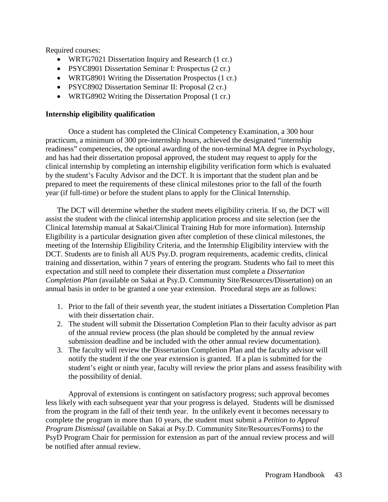Required courses:

- WRTG7021 Dissertation Inquiry and Research (1 cr.)
- PSYC8901 Dissertation Seminar I: Prospectus (2 cr.)
- WRTG8901 Writing the Dissertation Prospectus (1 cr.)
- PSYC8902 Dissertation Seminar II: Proposal (2 cr.)
- WRTG8902 Writing the Dissertation Proposal (1 cr.)

### **Internship eligibility qualification**

Once a student has completed the Clinical Competency Examination, a 300 hour practicum, a minimum of 300 pre-internship hours, achieved the designated "internship readiness" competencies, the optional awarding of the non-terminal MA degree in Psychology, and has had their dissertation proposal approved, the student may request to apply for the clinical internship by completing an internship eligibility verification form which is evaluated by the student's Faculty Advisor and the DCT. It is important that the student plan and be prepared to meet the requirements of these clinical milestones prior to the fall of the fourth year (if full-time) or before the student plans to apply for the Clinical Internship.

The DCT will determine whether the student meets eligibility criteria. If so, the DCT will assist the student with the clinical internship application process and site selection (see the Clinical Internship manual at Sakai/Clinical Training Hub for more information). Internship Eligibility is a particular designation given after completion of these clinical milestones, the meeting of the Internship Eligibility Criteria, and the Internship Eligibility interview with the DCT. Students are to finish all AUS Psy.D. program requirements, academic credits, clinical training and dissertation, within 7 years of entering the program. Students who fail to meet this expectation and still need to complete their dissertation must complete a *Dissertation Completion Plan* (available on Sakai at Psy.D. Community Site/Resources/Dissertation) on an annual basis in order to be granted a one year extension. Procedural steps are as follows:

- 1. Prior to the fall of their seventh year, the student initiates a Dissertation Completion Plan with their dissertation chair.
- 2. The student will submit the Dissertation Completion Plan to their faculty advisor as part of the annual review process (the plan should be completed by the annual review submission deadline and be included with the other annual review documentation).
- 3. The faculty will review the Dissertation Completion Plan and the faculty advisor will notify the student if the one year extension is granted. If a plan is submitted for the student's eight or ninth year, faculty will review the prior plans and assess feasibility with the possibility of denial.

Approval of extensions is contingent on satisfactory progress; such approval becomes less likely with each subsequent year that your progress is delayed. Students will be dismissed from the program in the fall of their tenth year. In the unlikely event it becomes necessary to complete the program in more than 10 years, the student must submit a *Petition to Appeal Program Dismissal* (available on Sakai at Psy.D. Community Site/Resources/Forms) to the PsyD Program Chair for permission for extension as part of the annual review process and will be notified after annual review.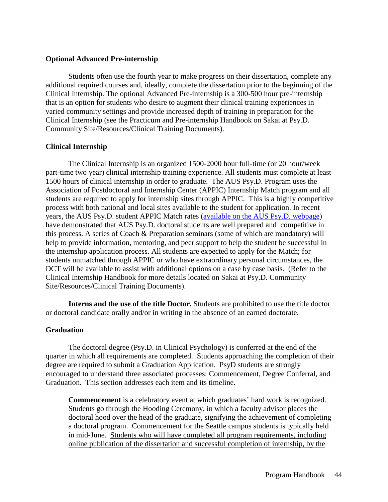#### **Optional Advanced Pre-internship**

Students often use the fourth year to make progress on their dissertation, complete any additional required courses and, ideally, complete the dissertation prior to the beginning of the Clinical Internship. The optional Advanced Pre-internship is a 300-500 hour pre-internship that is an option for students who desire to augment their clinical training experiences in varied community settings and provide increased depth of training in preparation for the Clinical Internship (see the Practicum and Pre-internship Handbook on Sakai at Psy.D. Community Site/Resources/Clinical Training Documents).

### **Clinical Internship**

The Clinical Internship is an organized 1500-2000 hour full-time (or 20 hour/week part-time two year) clinical internship training experience. All students must complete at least 1500 hours of clinical internship in order to graduate. The AUS Psy.D. Program uses the Association of Postdoctoral and Internship Center (APPIC) Internship Match program and all students are required to apply for internship sites through APPIC. This is a highly competitive process with both national and local sites available to the student for application. In recent years, the AUS Psy.D. student APPIC Match rates [\(available on the AUS Psy.D. webpage\)](https://www.antioch.edu/seattle/degrees-programs/psychology-degree/clinical-psychology-psyd/) have demonstrated that AUS Psy.D. doctoral students are well prepared and competitive in this process. A series of Coach & Preparation seminars (some of which are mandatory) will help to provide information, mentoring, and peer support to help the student be successful in the internship application process. All students are expected to apply for the Match; for students unmatched through APPIC or who have extraordinary personal circumstances, the DCT will be available to assist with additional options on a case by case basis. (Refer to the Clinical Internship Handbook for more details located on Sakai at Psy.D. Community Site/Resources/Clinical Training Documents).

**Interns and the use of the title Doctor***.* Students are prohibited to use the title doctor or doctoral candidate orally and/or in writing in the absence of an earned doctorate.

#### **Graduation**

The doctoral degree (Psy.D. in Clinical Psychology) is conferred at the end of the quarter in which all requirements are completed. Students approaching the completion of their degree are required to submit a Graduation Application. PsyD students are strongly encouraged to understand three associated processes: Commencement, Degree Conferral, and Graduation. This section addresses each item and its timeline.

**Commencement** is a celebratory event at which graduates' hard work is recognized. Students go through the Hooding Ceremony, in which a faculty advisor places the doctoral hood over the head of the graduate, signifying the achievement of completing a doctoral program. Commencement for the Seattle campus students is typically held in mid-June. Students who will have completed all program requirements, including online publication of the dissertation and successful completion of internship, by the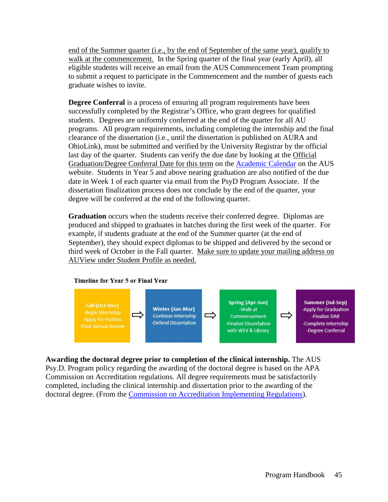end of the Summer quarter (i.e., by the end of September of the same year), qualify to walk at the commencement. In the Spring quarter of the final year (early April), all eligible students will receive an email from the AUS Commencement Team prompting to submit a request to participate in the Commencement and the number of guests each graduate wishes to invite.

**Degree Conferral** is a process of ensuring all program requirements have been successfully completed by the Registrar's Office, who grant degrees for qualified students. Degrees are uniformly conferred at the end of the quarter for all AU programs. All program requirements, including completing the internship and the final clearance of the dissertation (i.e., until the dissertation is published on AURA and OhioLink), must be submitted and verified by the University Registrar by the official last day of the quarter. Students can verify the due date by looking at the Official Graduation/Degree Conferral Date for this term on the [Academic Calendar](https://www.antioch.edu/seattle/resources/students/academic-calendar/) on the AUS website. Students in Year 5 and above nearing graduation are also notified of the due date in Week 1 of each quarter via email from the PsyD Program Associate. If the dissertation finalization process does not conclude by the end of the quarter, your degree will be conferred at the end of the following quarter.

**Graduation** occurs when the students receive their conferred degree. Diplomas are produced and shipped to graduates in batches during the first week of the quarter. For example, if students graduate at the end of the Summer quarter (at the end of September), they should expect diplomas to be shipped and delivered by the second or third week of October in the Fall quarter. Make sure to update your mailing address on AUView under Student Profile as needed.

#### Timeline for Year 5 or Final Year



# **Awarding the doctoral degree prior to completion of the clinical internship.** The AUS

Psy.D. Program policy regarding the awarding of the doctoral degree is based on the APA Commission on Accreditation regulations. All degree requirements must be satisfactorily completed, including the clinical internship and dissertation prior to the awarding of the doctoral degree. (From the [Commission on Accreditation Implementing Regulations\)](https://www.apa.org/ed/accreditation/about/policies/implementing-guidelines.pdf).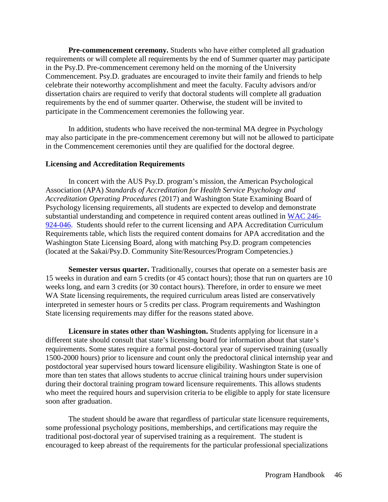**Pre-commencement ceremony.** Students who have either completed all graduation requirements or will complete all requirements by the end of Summer quarter may participate in the Psy.D. Pre-commencement ceremony held on the morning of the University Commencement. Psy.D. graduates are encouraged to invite their family and friends to help celebrate their noteworthy accomplishment and meet the faculty. Faculty advisors and/or dissertation chairs are required to verify that doctoral students will complete all graduation requirements by the end of summer quarter. Otherwise, the student will be invited to participate in the Commencement ceremonies the following year.

In addition, students who have received the non-terminal MA degree in Psychology may also participate in the pre-commencement ceremony but will not be allowed to participate in the Commencement ceremonies until they are qualified for the doctoral degree.

#### **Licensing and Accreditation Requirements**

In concert with the AUS Psy.D. program's mission, the American Psychological Association (APA) *Standards of Accreditation for Health Service Psychology and Accreditation Operating Procedures* (2017) and Washington State Examining Board of Psychology licensing requirements, all students are expected to develop and demonstrate substantial understanding and competence in required content areas outlined in [WAC 246-](https://app.leg.wa.gov/wac/default.aspx?cite=246-924-046) [924-046.](https://app.leg.wa.gov/wac/default.aspx?cite=246-924-046) Students should refer to the current licensing and APA Accreditation Curriculum Requirements table, which lists the required content domains for APA accreditation and the Washington State Licensing Board, along with matching Psy.D. program competencies (located at the Sakai/Psy.D. Community Site/Resources/Program Competencies.)

**Semester versus quarter.** Traditionally, courses that operate on a semester basis are 15 weeks in duration and earn 5 credits (or 45 contact hours); those that run on quarters are 10 weeks long, and earn 3 credits (or 30 contact hours). Therefore, in order to ensure we meet WA State licensing requirements, the required curriculum areas listed are conservatively interpreted in semester hours or 5 credits per class. Program requirements and Washington State licensing requirements may differ for the reasons stated above.

**Licensure in states other than Washington.** Students applying for licensure in a different state should consult that state's licensing board for information about that state's requirements. Some states require a formal post-doctoral year of supervised training (usually 1500-2000 hours) prior to licensure and count only the predoctoral clinical internship year and postdoctoral year supervised hours toward licensure eligibility. Washington State is one of more than ten states that allows students to accrue clinical training hours under supervision during their doctoral training program toward licensure requirements. This allows students who meet the required hours and supervision criteria to be eligible to apply for state licensure soon after graduation.

The student should be aware that regardless of particular state licensure requirements, some professional psychology positions, memberships, and certifications may require the traditional post-doctoral year of supervised training as a requirement. The student is encouraged to keep abreast of the requirements for the particular professional specializations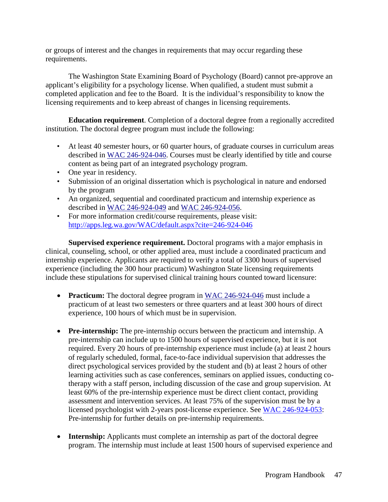or groups of interest and the changes in requirements that may occur regarding these requirements.

The Washington State Examining Board of Psychology (Board) cannot pre-approve an applicant's eligibility for a psychology license. When qualified, a student must submit a completed application and fee to the Board. It is the individual's responsibility to know the licensing requirements and to keep abreast of changes in licensing requirements.

**Education requirement**. Completion of a doctoral degree from a regionally accredited institution. The doctoral degree program must include the following:

- At least 40 semester hours, or 60 quarter hours, of graduate courses in curriculum areas described in [WAC 246-924-046.](http://apps.leg.wa.gov/WAC/default.aspx?cite=246-924-046) Courses must be clearly identified by title and course content as being part of an integrated psychology program.
- One year in residency.
- Submission of an original dissertation which is psychological in nature and endorsed by the program
- An organized, sequential and coordinated practicum and internship experience as described in [WAC 246-924-049](http://apps.leg.wa.gov/WAC/default.aspx?cite=246-924-049) and [WAC 246-924-056.](http://apps.leg.wa.gov/WAC/default.aspx?cite=246-924-056)
- For more information credit/course requirements, please visit: <http://apps.leg.wa.gov/WAC/default.aspx?cite=246-924-046>

**Supervised experience requirement.** Doctoral programs with a major emphasis in clinical, counseling, school, or other applied area, must include a coordinated practicum and internship experience. Applicants are required to verify a total of 3300 hours of supervised experience (including the 300 hour practicum) Washington State licensing requirements include these stipulations for supervised clinical training hours counted toward licensure:

- **Practicum:** The doctoral degree program in [WAC 246-924-046](http://apps.leg.wa.gov/WAC/default.aspx?cite=246-924-046) must include a practicum of at least two semesters or three quarters and at least 300 hours of direct experience, 100 hours of which must be in supervision.
- **Pre-internship:** The pre-internship occurs between the practicum and internship. A pre-internship can include up to 1500 hours of supervised experience, but it is not required. Every 20 hours of pre-internship experience must include (a) at least 2 hours of regularly scheduled, formal, face-to-face individual supervision that addresses the direct psychological services provided by the student and (b) at least 2 hours of other learning activities such as case conferences, seminars on applied issues, conducting cotherapy with a staff person, including discussion of the case and group supervision. At least 60% of the pre-internship experience must be direct client contact, providing assessment and intervention services. At least 75% of the supervision must be by a licensed psychologist with 2-years post-license experience. See [WAC 246-924-053:](http://apps.leg.wa.gov/WAC/default.aspx?cite=246-924-053) Pre-internship for further details on pre-internship requirements.
- **Internship:** Applicants must complete an internship as part of the doctoral degree program. The internship must include at least 1500 hours of supervised experience and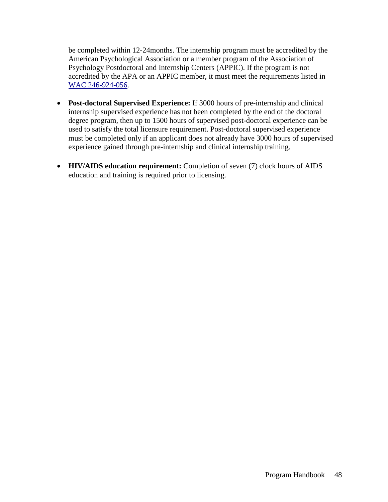be completed within 12-24months. The internship program must be accredited by the American Psychological Association or a member program of the Association of Psychology Postdoctoral and Internship Centers (APPIC). If the program is not accredited by the APA or an APPIC member, it must meet the requirements listed in [WAC 246-924-056.](http://apps.leg.wa.gov/WAC/default.aspx?cite=246-924-056)

- **Post-doctoral Supervised Experience:** If 3000 hours of pre-internship and clinical internship supervised experience has not been completed by the end of the doctoral degree program, then up to 1500 hours of supervised post-doctoral experience can be used to satisfy the total licensure requirement. Post-doctoral supervised experience must be completed only if an applicant does not already have 3000 hours of supervised experience gained through pre-internship and clinical internship training.
- **HIV/AIDS education requirement:** Completion of seven (7) clock hours of AIDS education and training is required prior to licensing.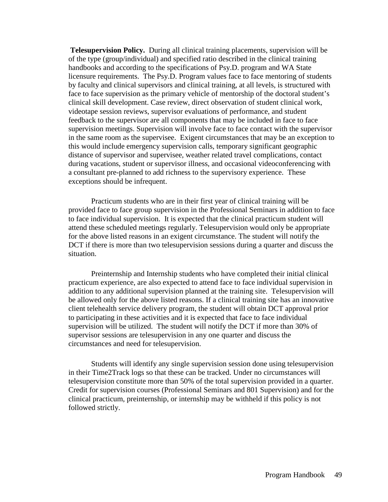**Telesupervision Policy.** During all clinical training placements, supervision will be of the type (group/individual) and specified ratio described in the clinical training handbooks and according to the specifications of Psy.D. program and WA State licensure requirements. The Psy.D. Program values face to face mentoring of students by faculty and clinical supervisors and clinical training, at all levels, is structured with face to face supervision as the primary vehicle of mentorship of the doctoral student's clinical skill development. Case review, direct observation of student clinical work, videotape session reviews, supervisor evaluations of performance, and student feedback to the supervisor are all components that may be included in face to face supervision meetings. Supervision will involve face to face contact with the supervisor in the same room as the supervisee. Exigent circumstances that may be an exception to this would include emergency supervision calls, temporary significant geographic distance of supervisor and supervisee, weather related travel complications, contact during vacations, student or supervisor illness, and occasional videoconferencing with a consultant pre-planned to add richness to the supervisory experience. These exceptions should be infrequent.

Practicum students who are in their first year of clinical training will be provided face to face group supervision in the Professional Seminars in addition to face to face individual supervision. It is expected that the clinical practicum student will attend these scheduled meetings regularly. Telesupervision would only be appropriate for the above listed reasons in an exigent circumstance. The student will notify the DCT if there is more than two telesupervision sessions during a quarter and discuss the situation.

Preinternship and Internship students who have completed their initial clinical practicum experience, are also expected to attend face to face individual supervision in addition to any additional supervision planned at the training site. Telesupervision will be allowed only for the above listed reasons. If a clinical training site has an innovative client telehealth service delivery program, the student will obtain DCT approval prior to participating in these activities and it is expected that face to face individual supervision will be utilized. The student will notify the DCT if more than 30% of supervisor sessions are telesupervision in any one quarter and discuss the circumstances and need for telesupervision.

Students will identify any single supervision session done using telesupervision in their Time2Track logs so that these can be tracked. Under no circumstances will telesupervision constitute more than 50% of the total supervision provided in a quarter. Credit for supervision courses (Professional Seminars and 801 Supervision) and for the clinical practicum, preinternship, or internship may be withheld if this policy is not followed strictly.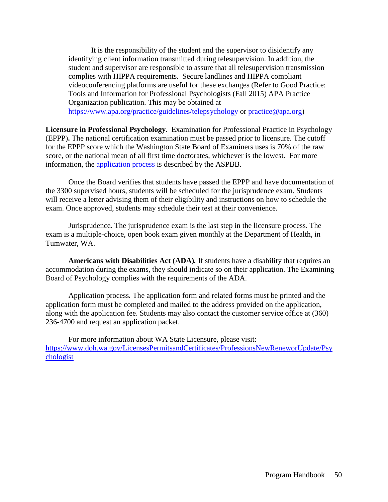It is the responsibility of the student and the supervisor to disidentify any identifying client information transmitted during telesupervision. In addition, the student and supervisor are responsible to assure that all telesupervision transmission complies with HIPPA requirements. Secure landlines and HIPPA compliant videoconferencing platforms are useful for these exchanges (Refer to Good Practice: Tools and Information for Professional Psychologists (Fall 2015) APA Practice Organization publication. This may be obtained at <https://www.apa.org/practice/guidelines/telepsychology> or [practice@apa.org\)](mailto:practice@apa.org)

**Licensure in Professional Psychology**. Examination for Professional Practice in Psychology (EPPP)**.** The national certification examination must be passed prior to licensure. The cutoff for the EPPP score which the Washington State Board of Examiners uses is 70% of the raw score, or the national mean of all first time doctorates, whichever is the lowest. For more information, the [application process](https://www.asppb.net/page/EPPPSignup) is described by the ASPBB.

Once the Board verifies that students have passed the EPPP and have documentation of the 3300 supervised hours, students will be scheduled for the jurisprudence exam. Students will receive a letter advising them of their eligibility and instructions on how to schedule the exam. Once approved, students may schedule their test at their convenience.

Jurisprudence*.* The jurisprudence exam is the last step in the licensure process. The exam is a multiple-choice, open book exam given monthly at the Department of Health, in Tumwater, WA.

**Americans with Disabilities Act (ADA)***.* If students have a disability that requires an accommodation during the exams, they should indicate so on their application. The Examining Board of Psychology complies with the requirements of the ADA.

Application process*.* The application form and related forms must be printed and the application form must be completed and mailed to the address provided on the application, along with the application fee. Students may also contact the customer service office at (360) 236-4700 and request an application packet.

For more information about WA State Licensure, please visit: [https://www.doh.wa.gov/LicensesPermitsandCertificates/ProfessionsNewReneworUpdate/Psy](https://www.doh.wa.gov/LicensesPermitsandCertificates/ProfessionsNewReneworUpdate/Psychologist) [chologist](https://www.doh.wa.gov/LicensesPermitsandCertificates/ProfessionsNewReneworUpdate/Psychologist)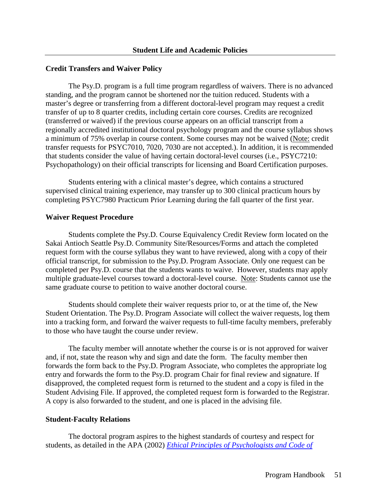#### **Credit Transfers and Waiver Policy**

The Psy.D. program is a full time program regardless of waivers. There is no advanced standing, and the program cannot be shortened nor the tuition reduced. Students with a master's degree or transferring from a different doctoral-level program may request a credit transfer of up to 8 quarter credits, including certain core courses. Credits are recognized (transferred or waived) if the previous course appears on an official transcript from a regionally accredited institutional doctoral psychology program and the course syllabus shows a minimum of 75% overlap in course content. Some courses may not be waived (Note: credit transfer requests for PSYC7010, 7020, 7030 are not accepted.). In addition, it is recommended that students consider the value of having certain doctoral-level courses (i.e., PSYC7210: Psychopathology) on their official transcripts for licensing and Board Certification purposes.

Students entering with a clinical master's degree, which contains a structured supervised clinical training experience, may transfer up to 300 clinical practicum hours by completing PSYC7980 Practicum Prior Learning during the fall quarter of the first year.

#### **Waiver Request Procedure**

Students complete the Psy.D. Course Equivalency Credit Review form located on the Sakai Antioch Seattle Psy.D. Community Site/Resources/Forms and attach the completed request form with the course syllabus they want to have reviewed, along with a copy of their official transcript, for submission to the Psy.D. Program Associate. Only one request can be completed per Psy.D. course that the students wants to waive. However, students may apply multiple graduate-level courses toward a doctoral-level course. Note: Students cannot use the same graduate course to petition to waive another doctoral course.

Students should complete their waiver requests prior to, or at the time of, the New Student Orientation. The Psy.D. Program Associate will collect the waiver requests, log them into a tracking form, and forward the waiver requests to full-time faculty members, preferably to those who have taught the course under review.

The faculty member will annotate whether the course is or is not approved for waiver and, if not, state the reason why and sign and date the form. The faculty member then forwards the form back to the Psy.D. Program Associate, who completes the appropriate log entry and forwards the form to the Psy.D. program Chair for final review and signature. If disapproved, the completed request form is returned to the student and a copy is filed in the Student Advising File. If approved, the completed request form is forwarded to the Registrar. A copy is also forwarded to the student, and one is placed in the advising file.

#### **Student-Faculty Relations**

The doctoral program aspires to the highest standards of courtesy and respect for students, as detailed in the APA (2002) *[Ethical Principles of Psychologists and Code of](http://www.apa.org/ethics/code/)*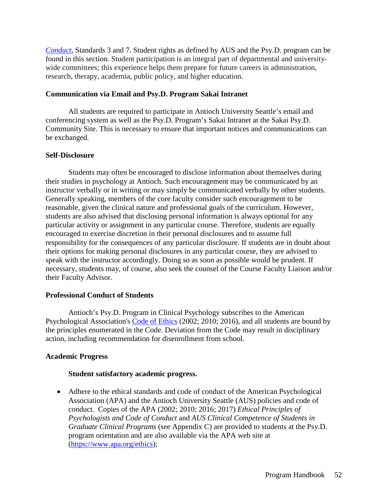*[Conduct](http://www.apa.org/ethics/code/)*, Standards 3 and 7. Student rights as defined by AUS and the Psy.D. program can be found in this section. Student participation is an integral part of departmental and universitywide committees; this experience helps them prepare for future careers in administration, research, therapy, academia, public policy, and higher education.

## **Communication via Email and Psy.D. Program Sakai Intranet**

All students are required to participate in Antioch University Seattle's email and conferencing system as well as the Psy.D. Program's Sakai Intranet at the Sakai Psy.D. Community Site. This is necessary to ensure that important notices and communications can be exchanged.

## **Self-Disclosure**

Students may often be encouraged to disclose information about themselves during their studies in psychology at Antioch. Such encouragement may be communicated by an instructor verbally or in writing or may simply be communicated verbally by other students. Generally speaking, members of the core faculty consider such encouragement to be reasonable, given the clinical nature and professional goals of the curriculum. However, students are also advised that disclosing personal information is always optional for any particular activity or assignment in any particular course. Therefore, students are equally encouraged to exercise discretion in their personal disclosures and to assume full responsibility for the consequences of any particular disclosure. If students are in doubt about their options for making personal disclosures in any particular course, they are advised to speak with the instructor accordingly. Doing so as soon as possible would be prudent. If necessary, students may, of course, also seek the counsel of the Course Faculty Liaison and/or their Faculty Advisor.

# **Professional Conduct of Students**

Antioch's Psy.D. Program in Clinical Psychology subscribes to the American Psychological Association's [Code of Ethics](http://apa.org/ethics/code/index.aspx) (2002; 2010; 2016), and all students are bound by the principles enumerated in the Code. Deviation from the Code may result in disciplinary action, including recommendation for disenrollment from school.

# **Academic Progress**

# **Student satisfactory academic progress.**

• Adhere to the ethical standards and code of conduct of the American Psychological Association (APA) and the Antioch University Seattle (AUS) policies and code of conduct. Copies of the APA (2002; 2010; 2016; 2017) *Ethical Principles of Psychologists and Code of Conduct* and *AUS Clinical Competence of Students in Graduate Clinical Programs* (see Appendix C) are provided to students at the Psy.D. program orientation and are also available via the APA web site at [\(https://www.apa.org/ethics\)](https://www.apa.org/ethics);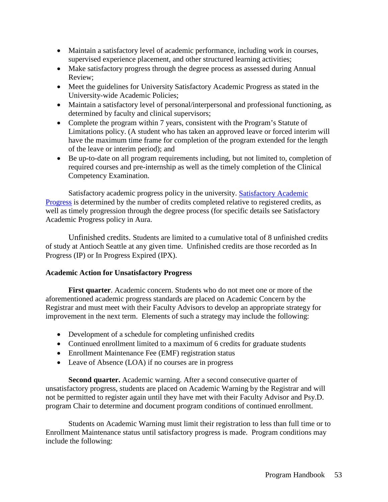- Maintain a satisfactory level of academic performance, including work in courses, supervised experience placement, and other structured learning activities;
- Make satisfactory progress through the degree process as assessed during Annual Review;
- Meet the guidelines for University Satisfactory Academic Progress as stated in the University-wide Academic Policies;
- Maintain a satisfactory level of personal/interpersonal and professional functioning, as determined by faculty and clinical supervisors;
- Complete the program within 7 years, consistent with the Program's Statute of Limitations policy. (A student who has taken an approved leave or forced interim will have the maximum time frame for completion of the program extended for the length of the leave or interim period); and
- Be up-to-date on all program requirements including, but not limited to, completion of required courses and pre-internship as well as the timely completion of the Clinical Competency Examination.

Satisfactory academic progress policy in the university. [Satisfactory Academic](http://aura.antioch.edu/policies_600_1x/9/)  [Progress](http://aura.antioch.edu/policies_600_1x/9/) is determined by the number of credits completed relative to registered credits, as well as timely progression through the degree process (for specific details see Satisfactory Academic Progress policy in Aura.

Unfinished credits. Students are limited to a cumulative total of 8 unfinished credits of study at Antioch Seattle at any given time. Unfinished credits are those recorded as In Progress (IP) or In Progress Expired (IPX).

# **Academic Action for Unsatisfactory Progress**

**First quarter**. Academic concern. Students who do not meet one or more of the aforementioned academic progress standards are placed on Academic Concern by the Registrar and must meet with their Faculty Advisors to develop an appropriate strategy for improvement in the next term. Elements of such a strategy may include the following:

- Development of a schedule for completing unfinished credits
- Continued enrollment limited to a maximum of 6 credits for graduate students
- Enrollment Maintenance Fee (EMF) registration status
- Leave of Absence (LOA) if no courses are in progress

**Second quarter.** Academic warning. After a second consecutive quarter of unsatisfactory progress, students are placed on Academic Warning by the Registrar and will not be permitted to register again until they have met with their Faculty Advisor and Psy.D. program Chair to determine and document program conditions of continued enrollment.

Students on Academic Warning must limit their registration to less than full time or to Enrollment Maintenance status until satisfactory progress is made. Program conditions may include the following: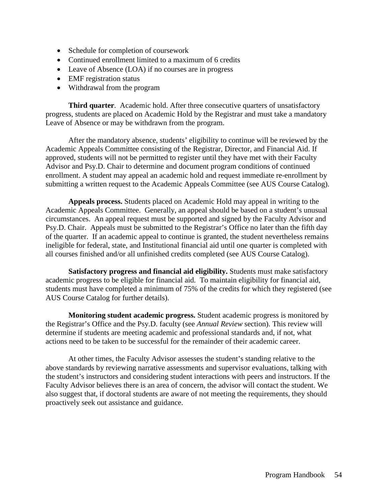- Schedule for completion of coursework
- Continued enrollment limited to a maximum of 6 credits
- Leave of Absence (LOA) if no courses are in progress
- EMF registration status
- Withdrawal from the program

**Third quarter**. Academic hold. After three consecutive quarters of unsatisfactory progress, students are placed on Academic Hold by the Registrar and must take a mandatory Leave of Absence or may be withdrawn from the program.

After the mandatory absence, students' eligibility to continue will be reviewed by the Academic Appeals Committee consisting of the Registrar, Director, and Financial Aid. If approved, students will not be permitted to register until they have met with their Faculty Advisor and Psy.D. Chair to determine and document program conditions of continued enrollment. A student may appeal an academic hold and request immediate re-enrollment by submitting a written request to the Academic Appeals Committee (see AUS Course Catalog).

**Appeals process.** Students placed on Academic Hold may appeal in writing to the Academic Appeals Committee. Generally, an appeal should be based on a student's unusual circumstances. An appeal request must be supported and signed by the Faculty Advisor and Psy.D. Chair. Appeals must be submitted to the Registrar's Office no later than the fifth day of the quarter. If an academic appeal to continue is granted, the student nevertheless remains ineligible for federal, state, and Institutional financial aid until one quarter is completed with all courses finished and/or all unfinished credits completed (see AUS Course Catalog).

**Satisfactory progress and financial aid eligibility.** Students must make satisfactory academic progress to be eligible for financial aid. To maintain eligibility for financial aid, students must have completed a minimum of 75% of the credits for which they registered (see AUS Course Catalog for further details).

**Monitoring student academic progress.** Student academic progress is monitored by the Registrar's Office and the Psy.D. faculty (see *Annual Review* section). This review will determine if students are meeting academic and professional standards and, if not, what actions need to be taken to be successful for the remainder of their academic career.

At other times, the Faculty Advisor assesses the student's standing relative to the above standards by reviewing narrative assessments and supervisor evaluations, talking with the student's instructors and considering student interactions with peers and instructors. If the Faculty Advisor believes there is an area of concern, the advisor will contact the student. We also suggest that, if doctoral students are aware of not meeting the requirements, they should proactively seek out assistance and guidance.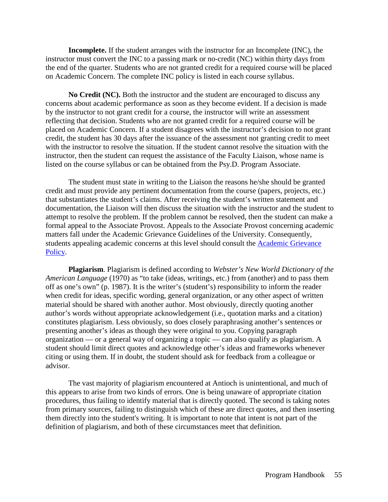**Incomplete.** If the student arranges with the instructor for an Incomplete (INC), the instructor must convert the INC to a passing mark or no-credit (NC) within thirty days from the end of the quarter. Students who are not granted credit for a required course will be placed on Academic Concern. The complete INC policy is listed in each course syllabus.

**No Credit (NC).** Both the instructor and the student are encouraged to discuss any concerns about academic performance as soon as they become evident. If a decision is made by the instructor to not grant credit for a course, the instructor will write an assessment reflecting that decision. Students who are not granted credit for a required course will be placed on Academic Concern. If a student disagrees with the instructor's decision to not grant credit, the student has 30 days after the issuance of the assessment not granting credit to meet with the instructor to resolve the situation. If the student cannot resolve the situation with the instructor, then the student can request the assistance of the Faculty Liaison, whose name is listed on the course syllabus or can be obtained from the Psy.D. Program Associate.

The student must state in writing to the Liaison the reasons he/she should be granted credit and must provide any pertinent documentation from the course (papers, projects, etc.) that substantiates the student's claims. After receiving the student's written statement and documentation, the Liaison will then discuss the situation with the instructor and the student to attempt to resolve the problem. If the problem cannot be resolved, then the student can make a formal appeal to the Associate Provost. Appeals to the Associate Provost concerning academic matters fall under the Academic Grievance Guidelines of the University. Consequently, students appealing academic concerns at this level should consult the [Academic Grievance](http://aura.antioch.edu/policies_600_1x/5/)  [Policy.](http://aura.antioch.edu/policies_600_1x/5/)

**Plagiarism**. Plagiarism is defined according to *Webster's New World Dictionary of the American Language* (1970) as "to take (ideas, writings, etc.) from (another) and to pass them off as one's own" (p. 1987). It is the writer's (student's) responsibility to inform the reader when credit for ideas, specific wording, general organization, or any other aspect of written material should be shared with another author. Most obviously, directly quoting another author's words without appropriate acknowledgement (i.e., quotation marks and a citation) constitutes plagiarism. Less obviously, so does closely paraphrasing another's sentences or presenting another's ideas as though they were original to you. Copying paragraph organization — or a general way of organizing a topic — can also qualify as plagiarism. A student should limit direct quotes and acknowledge other's ideas and frameworks whenever citing or using them. If in doubt, the student should ask for feedback from a colleague or advisor.

The vast majority of plagiarism encountered at Antioch is unintentional, and much of this appears to arise from two kinds of errors. One is being unaware of appropriate citation procedures, thus failing to identify material that is directly quoted. The second is taking notes from primary sources, failing to distinguish which of these are direct quotes, and then inserting them directly into the student's writing. It is important to note that intent is not part of the definition of plagiarism, and both of these circumstances meet that definition.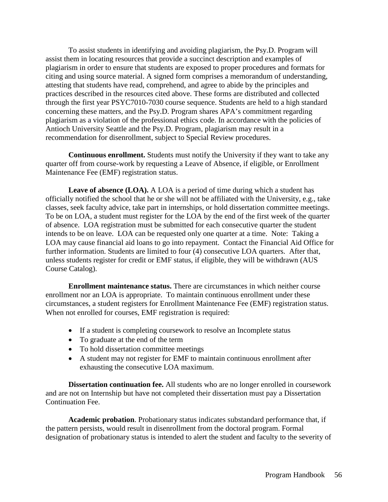To assist students in identifying and avoiding plagiarism, the Psy.D. Program will assist them in locating resources that provide a succinct description and examples of plagiarism in order to ensure that students are exposed to proper procedures and formats for citing and using source material. A signed form comprises a memorandum of understanding, attesting that students have read, comprehend, and agree to abide by the principles and practices described in the resources cited above. These forms are distributed and collected through the first year PSYC7010-7030 course sequence. Students are held to a high standard concerning these matters, and the Psy.D. Program shares APA's commitment regarding plagiarism as a violation of the professional ethics code. In accordance with the policies of Antioch University Seattle and the Psy.D. Program, plagiarism may result in a recommendation for disenrollment, subject to Special Review procedures.

**Continuous enrollment.** Students must notify the University if they want to take any quarter off from course-work by requesting a Leave of Absence, if eligible, or Enrollment Maintenance Fee (EMF) registration status.

**Leave of absence (LOA).** A LOA is a period of time during which a student has officially notified the school that he or she will not be affiliated with the University, e.g., take classes, seek faculty advice, take part in internships, or hold dissertation committee meetings. To be on LOA, a student must register for the LOA by the end of the first week of the quarter of absence. LOA registration must be submitted for each consecutive quarter the student intends to be on leave. LOA can be requested only one quarter at a time. Note: Taking a LOA may cause financial aid loans to go into repayment. Contact the Financial Aid Office for further information. Students are limited to four (4) consecutive LOA quarters. After that, unless students register for credit or EMF status, if eligible, they will be withdrawn (AUS Course Catalog).

**Enrollment maintenance status.** There are circumstances in which neither course enrollment nor an LOA is appropriate. To maintain continuous enrollment under these circumstances, a student registers for Enrollment Maintenance Fee (EMF) registration status. When not enrolled for courses, EMF registration is required:

- If a student is completing coursework to resolve an Incomplete status
- To graduate at the end of the term
- To hold dissertation committee meetings
- A student may not register for EMF to maintain continuous enrollment after exhausting the consecutive LOA maximum.

**Dissertation continuation fee.** All students who are no longer enrolled in coursework and are not on Internship but have not completed their dissertation must pay a Dissertation Continuation Fee.

**Academic probation**. Probationary status indicates substandard performance that, if the pattern persists, would result in disenrollment from the doctoral program. Formal designation of probationary status is intended to alert the student and faculty to the severity of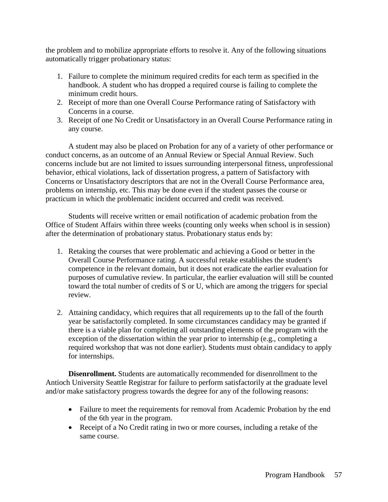the problem and to mobilize appropriate efforts to resolve it. Any of the following situations automatically trigger probationary status:

- 1. Failure to complete the minimum required credits for each term as specified in the handbook. A student who has dropped a required course is failing to complete the minimum credit hours.
- 2. Receipt of more than one Overall Course Performance rating of Satisfactory with Concerns in a course.
- 3. Receipt of one No Credit or Unsatisfactory in an Overall Course Performance rating in any course.

A student may also be placed on Probation for any of a variety of other performance or conduct concerns, as an outcome of an Annual Review or Special Annual Review. Such concerns include but are not limited to issues surrounding interpersonal fitness, unprofessional behavior, ethical violations, lack of dissertation progress, a pattern of Satisfactory with Concerns or Unsatisfactory descriptors that are not in the Overall Course Performance area, problems on internship, etc. This may be done even if the student passes the course or practicum in which the problematic incident occurred and credit was received.

Students will receive written or email notification of academic probation from the Office of Student Affairs within three weeks (counting only weeks when school is in session) after the determination of probationary status. Probationary status ends by:

- 1. Retaking the courses that were problematic and achieving a Good or better in the Overall Course Performance rating. A successful retake establishes the student's competence in the relevant domain, but it does not eradicate the earlier evaluation for purposes of cumulative review. In particular, the earlier evaluation will still be counted toward the total number of credits of S or U, which are among the triggers for special review.
- 2. Attaining candidacy, which requires that all requirements up to the fall of the fourth year be satisfactorily completed. In some circumstances candidacy may be granted if there is a viable plan for completing all outstanding elements of the program with the exception of the dissertation within the year prior to internship (e.g., completing a required workshop that was not done earlier). Students must obtain candidacy to apply for internships.

**Disenrollment.** Students are automatically recommended for disenrollment to the Antioch University Seattle Registrar for failure to perform satisfactorily at the graduate level and/or make satisfactory progress towards the degree for any of the following reasons:

- Failure to meet the requirements for removal from Academic Probation by the end of the 6th year in the program.
- Receipt of a No Credit rating in two or more courses, including a retake of the same course.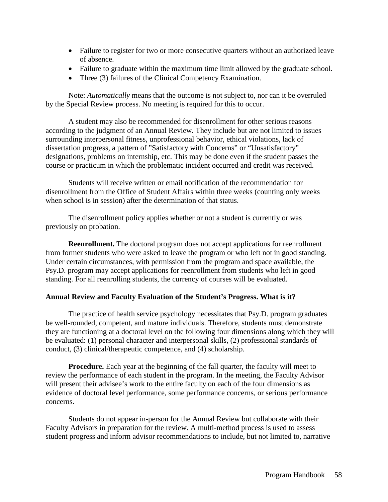- Failure to register for two or more consecutive quarters without an authorized leave of absence.
- Failure to graduate within the maximum time limit allowed by the graduate school.
- Three (3) failures of the Clinical Competency Examination.

Note: *Automatically* means that the outcome is not subject to, nor can it be overruled by the Special Review process. No meeting is required for this to occur.

A student may also be recommended for disenrollment for other serious reasons according to the judgment of an Annual Review. They include but are not limited to issues surrounding interpersonal fitness, unprofessional behavior, ethical violations, lack of dissertation progress, a pattern of "Satisfactory with Concerns" or "Unsatisfactory" designations, problems on internship, etc. This may be done even if the student passes the course or practicum in which the problematic incident occurred and credit was received.

Students will receive written or email notification of the recommendation for disenrollment from the Office of Student Affairs within three weeks (counting only weeks when school is in session) after the determination of that status.

The disenrollment policy applies whether or not a student is currently or was previously on probation.

**Reenrollment.** The doctoral program does not accept applications for reenrollment from former students who were asked to leave the program or who left not in good standing. Under certain circumstances, with permission from the program and space available, the Psy.D. program may accept applications for reenrollment from students who left in good standing. For all reenrolling students, the currency of courses will be evaluated.

# **Annual Review and Faculty Evaluation of the Student's Progress. What is it?**

The practice of health service psychology necessitates that Psy.D. program graduates be well-rounded, competent, and mature individuals. Therefore, students must demonstrate they are functioning at a doctoral level on the following four dimensions along which they will be evaluated: (1) personal character and interpersonal skills, (2) professional standards of conduct, (3) clinical/therapeutic competence, and (4) scholarship.

**Procedure.** Each year at the beginning of the fall quarter, the faculty will meet to review the performance of each student in the program. In the meeting, the Faculty Advisor will present their advisee's work to the entire faculty on each of the four dimensions as evidence of doctoral level performance, some performance concerns, or serious performance concerns.

Students do not appear in-person for the Annual Review but collaborate with their Faculty Advisors in preparation for the review. A multi-method process is used to assess student progress and inform advisor recommendations to include, but not limited to, narrative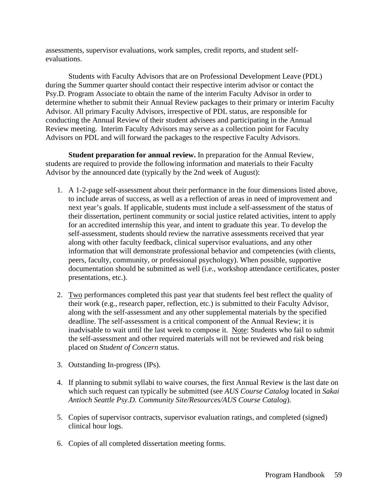assessments, supervisor evaluations, work samples, credit reports, and student selfevaluations.

Students with Faculty Advisors that are on Professional Development Leave (PDL) during the Summer quarter should contact their respective interim advisor or contact the Psy.D. Program Associate to obtain the name of the interim Faculty Advisor in order to determine whether to submit their Annual Review packages to their primary or interim Faculty Advisor. All primary Faculty Advisors, irrespective of PDL status, are responsible for conducting the Annual Review of their student advisees and participating in the Annual Review meeting. Interim Faculty Advisors may serve as a collection point for Faculty Advisors on PDL and will forward the packages to the respective Faculty Advisors.

**Student preparation for annual review.** In preparation for the Annual Review, students are required to provide the following information and materials to their Faculty Advisor by the announced date (typically by the 2nd week of August):

- 1. A 1-2-page self-assessment about their performance in the four dimensions listed above, to include areas of success, as well as a reflection of areas in need of improvement and next year's goals. If applicable, students must include a self-assessment of the status of their dissertation, pertinent community or social justice related activities, intent to apply for an accredited internship this year, and intent to graduate this year. To develop the self-assessment, students should review the narrative assessments received that year along with other faculty feedback, clinical supervisor evaluations, and any other information that will demonstrate professional behavior and competencies (with clients, peers, faculty, community, or professional psychology). When possible, supportive documentation should be submitted as well (i.e., workshop attendance certificates, poster presentations, etc.).
- 2. Two performances completed this past year that students feel best reflect the quality of their work (e.g., research paper, reflection, etc.) is submitted to their Faculty Advisor, along with the self-assessment and any other supplemental materials by the specified deadline. The self-assessment is a critical component of the Annual Review; it is inadvisable to wait until the last week to compose it. Note: Students who fail to submit the self-assessment and other required materials will not be reviewed and risk being placed on *Student of Concern* status.
- 3. Outstanding In-progress (IPs).
- 4. If planning to submit syllabi to waive courses, the first Annual Review is the last date on which such request can typically be submitted (see *AUS Course Catalog* located in *Sakai Antioch Seattle Psy.D. Community Site/Resources/AUS Course Catalog*).
- 5. Copies of supervisor contracts, supervisor evaluation ratings, and completed (signed) clinical hour logs.
- 6. Copies of all completed dissertation meeting forms.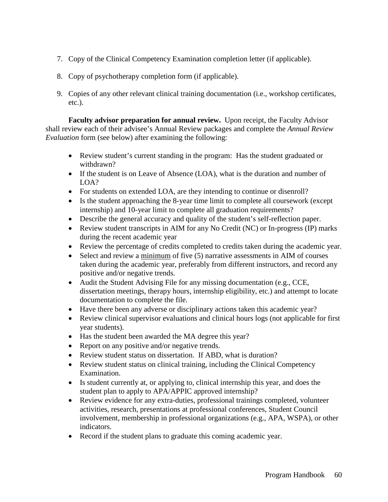- 7. Copy of the Clinical Competency Examination completion letter (if applicable).
- 8. Copy of psychotherapy completion form (if applicable).
- 9. Copies of any other relevant clinical training documentation (i.e., workshop certificates, etc.).

**Faculty advisor preparation for annual review.** Upon receipt, the Faculty Advisor shall review each of their advisee's Annual Review packages and complete the *Annual Review Evaluation* form (see below) after examining the following:

- Review student's current standing in the program: Has the student graduated or withdrawn?
- If the student is on Leave of Absence (LOA), what is the duration and number of LOA?
- For students on extended LOA, are they intending to continue or disenroll?
- Is the student approaching the 8-year time limit to complete all coursework (except internship) and 10-year limit to complete all graduation requirements?
- Describe the general accuracy and quality of the student's self-reflection paper.
- Review student transcripts in AIM for any No Credit (NC) or In-progress (IP) marks during the recent academic year
- Review the percentage of credits completed to credits taken during the academic year.
- Select and review a minimum of five (5) narrative assessments in AIM of courses taken during the academic year, preferably from different instructors, and record any positive and/or negative trends.
- Audit the Student Advising File for any missing documentation (e.g., CCE, dissertation meetings, therapy hours, internship eligibility, etc.) and attempt to locate documentation to complete the file.
- Have there been any adverse or disciplinary actions taken this academic year?
- Review clinical supervisor evaluations and clinical hours logs (not applicable for first year students).
- Has the student been awarded the MA degree this year?
- Report on any positive and/or negative trends.
- Review student status on dissertation. If ABD, what is duration?
- Review student status on clinical training, including the Clinical Competency Examination.
- Is student currently at, or applying to, clinical internship this year, and does the student plan to apply to APA/APPIC approved internship?
- Review evidence for any extra-duties, professional trainings completed, volunteer activities, research, presentations at professional conferences, Student Council involvement, membership in professional organizations (e.g., APA, WSPA), or other indicators.
- Record if the student plans to graduate this coming academic year.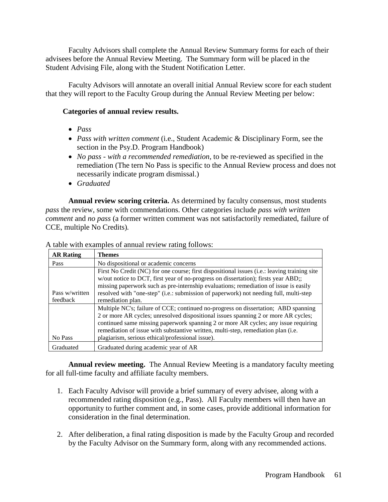Faculty Advisors shall complete the Annual Review Summary forms for each of their advisees before the Annual Review Meeting. The Summary form will be placed in the Student Advising File, along with the Student Notification Letter.

Faculty Advisors will annotate an overall initial Annual Review score for each student that they will report to the Faculty Group during the Annual Review Meeting per below:

# **Categories of annual review results.**

- *Pass*
- *Pass with written comment* (i.e., Student Academic & Disciplinary Form, see the section in the Psy.D. Program Handbook)
- *No pass - with a recommended remediation*, to be re-reviewed as specified in the remediation (The tern No Pass is specific to the Annual Review process and does not necessarily indicate program dismissal.)
- *Graduated*

**Annual review scoring criteria.** As determined by faculty consensus, most students *pass* the review, some with commendations. Other categories include *pass with written comment* and *no pass* (a former written comment was not satisfactorily remediated, failure of CCE, multiple No Credits)*.* 

| <b>AR Rating</b> | <b>Themes</b>                                                                                |  |  |
|------------------|----------------------------------------------------------------------------------------------|--|--|
| Pass             | No dispositional or academic concerns                                                        |  |  |
|                  | First No Credit (NC) for one course; first dispositional issues (i.e.: leaving training site |  |  |
|                  | w/out notice to DCT, first year of no-progress on dissertation); firsts year ABD;;           |  |  |
|                  | missing paperwork such as pre-internship evaluations; remediation of issue is easily         |  |  |
| Pass w/written   | resolved with "one-step" (i.e.: submission of paperwork) not needing full, multi-step        |  |  |
| feedback         | remediation plan.                                                                            |  |  |
|                  | Multiple NC's; failure of CCE; continued no-progress on dissertation; ABD spanning           |  |  |
|                  | 2 or more AR cycles; unresolved dispositional issues spanning 2 or more AR cycles;           |  |  |
|                  | continued same missing paperwork spanning 2 or more AR cycles; any issue requiring           |  |  |
|                  | remediation of issue with substantive written, multi-step, remediation plan (i.e.            |  |  |
| No Pass          | plagiarism, serious ethical/professional issue).                                             |  |  |
| Graduated        | Graduated during academic year of AR                                                         |  |  |

A table with examples of annual review rating follows:

**Annual review meeting.** The Annual Review Meeting is a mandatory faculty meeting for all full-time faculty and affiliate faculty members.

- 1. Each Faculty Advisor will provide a brief summary of every advisee, along with a recommended rating disposition (e.g., Pass). All Faculty members will then have an opportunity to further comment and, in some cases, provide additional information for consideration in the final determination.
- 2. After deliberation, a final rating disposition is made by the Faculty Group and recorded by the Faculty Advisor on the Summary form, along with any recommended actions.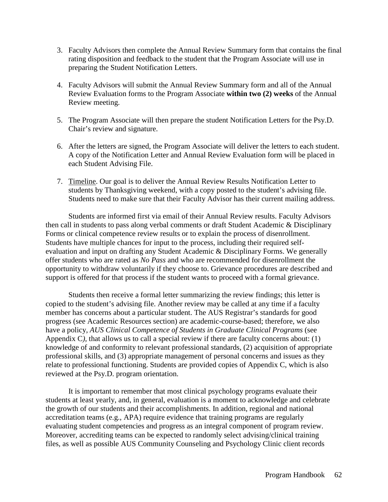- 3. Faculty Advisors then complete the Annual Review Summary form that contains the final rating disposition and feedback to the student that the Program Associate will use in preparing the Student Notification Letters.
- 4. Faculty Advisors will submit the Annual Review Summary form and all of the Annual Review Evaluation forms to the Program Associate **within two (2) weeks** of the Annual Review meeting.
- 5. The Program Associate will then prepare the student Notification Letters for the Psy.D. Chair's review and signature.
- 6. After the letters are signed, the Program Associate will deliver the letters to each student. A copy of the Notification Letter and Annual Review Evaluation form will be placed in each Student Advising File.
- 7. Timeline. Our goal is to deliver the Annual Review Results Notification Letter to students by Thanksgiving weekend, with a copy posted to the student's advising file. Students need to make sure that their Faculty Advisor has their current mailing address.

Students are informed first via email of their Annual Review results. Faculty Advisors then call in students to pass along verbal comments or draft Student Academic & Disciplinary Forms or clinical competence review results or to explain the process of disenrollment. Students have multiple chances for input to the process, including their required selfevaluation and input on drafting any Student Academic & Disciplinary Forms. We generally offer students who are rated as *No Pass* and who are recommended for disenrollment the opportunity to withdraw voluntarily if they choose to. Grievance procedures are described and support is offered for that process if the student wants to proceed with a formal grievance.

Students then receive a formal letter summarizing the review findings; this letter is copied to the student's advising file. Another review may be called at any time if a faculty member has concerns about a particular student. The AUS Registrar's standards for good progress (see Academic Resources section) are academic-course-based; therefore, we also have a policy, *AUS Clinical Competence of Students in Graduate Clinical Programs* (see Appendix C), that allows us to call a special review if there are faculty concerns about: (1) knowledge of and conformity to relevant professional standards, (2) acquisition of appropriate professional skills, and (3) appropriate management of personal concerns and issues as they relate to professional functioning. Students are provided copies of Appendix C, which is also reviewed at the Psy.D. program orientation.

It is important to remember that most clinical psychology programs evaluate their students at least yearly, and, in general, evaluation is a moment to acknowledge and celebrate the growth of our students and their accomplishments. In addition, regional and national accreditation teams (e.g., APA) require evidence that training programs are regularly evaluating student competencies and progress as an integral component of program review. Moreover, accrediting teams can be expected to randomly select advising/clinical training files, as well as possible AUS Community Counseling and Psychology Clinic client records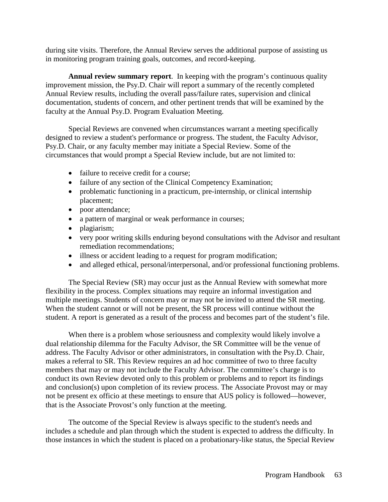during site visits. Therefore, the Annual Review serves the additional purpose of assisting us in monitoring program training goals, outcomes, and record-keeping.

**Annual review summary report**. In keeping with the program's continuous quality improvement mission, the Psy.D. Chair will report a summary of the recently completed Annual Review results, including the overall pass/failure rates, supervision and clinical documentation, students of concern, and other pertinent trends that will be examined by the faculty at the Annual Psy.D. Program Evaluation Meeting.

Special Reviews are convened when circumstances warrant a meeting specifically designed to review a student's performance or progress. The student, the Faculty Advisor, Psy.D. Chair, or any faculty member may initiate a Special Review. Some of the circumstances that would prompt a Special Review include, but are not limited to:

- failure to receive credit for a course;
- failure of any section of the Clinical Competency Examination;
- problematic functioning in a practicum, pre-internship, or clinical internship placement;
- poor attendance;
- a pattern of marginal or weak performance in courses;
- plagiarism;
- very poor writing skills enduring beyond consultations with the Advisor and resultant remediation recommendations;
- illness or accident leading to a request for program modification;
- and alleged ethical, personal/interpersonal, and/or professional functioning problems.

The Special Review (SR) may occur just as the Annual Review with somewhat more flexibility in the process. Complex situations may require an informal investigation and multiple meetings. Students of concern may or may not be invited to attend the SR meeting. When the student cannot or will not be present, the SR process will continue without the student. A report is generated as a result of the process and becomes part of the student's file.

When there is a problem whose seriousness and complexity would likely involve a dual relationship dilemma for the Faculty Advisor, the SR Committee will be the venue of address. The Faculty Advisor or other administrators, in consultation with the Psy.D. Chair, makes a referral to SR. This Review requires an ad hoc committee of two to three faculty members that may or may not include the Faculty Advisor. The committee's charge is to conduct its own Review devoted only to this problem or problems and to report its findings and conclusion(s) upon completion of its review process. The Associate Provost may or may not be present ex officio at these meetings to ensure that AUS policy is followed—however, that is the Associate Provost's only function at the meeting.

The outcome of the Special Review is always specific to the student's needs and includes a schedule and plan through which the student is expected to address the difficulty. In those instances in which the student is placed on a probationary-like status, the Special Review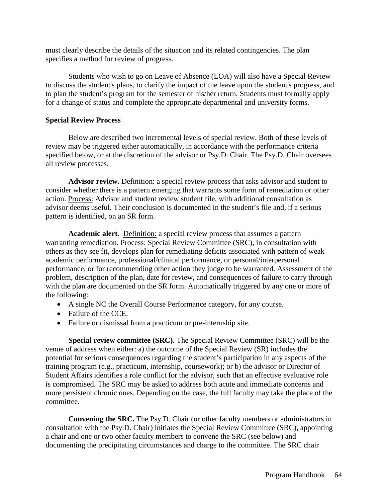must clearly describe the details of the situation and its related contingencies. The plan specifies a method for review of progress.

Students who wish to go on Leave of Absence (LOA) will also have a Special Review to discuss the student's plans, to clarify the impact of the leave upon the student's progress, and to plan the student's program for the semester of his/her return. Students must formally apply for a change of status and complete the appropriate departmental and university forms.

### **Special Review Process**

Below are described two incremental levels of special review. Both of these levels of review may be triggered either automatically, in accordance with the performance criteria specified below, or at the discretion of the advisor or Psy.D. Chair. The Psy.D. Chair oversees all review processes.

**Advisor review.** Definition: a special review process that asks advisor and student to consider whether there is a pattern emerging that warrants some form of remediation or other action. Process: Advisor and student review student file, with additional consultation as advisor deems useful. Their conclusion is documented in the student's file and, if a serious pattern is identified, on an SR form.

**Academic alert.** Definition: a special review process that assumes a pattern warranting remediation. Process: Special Review Committee (SRC), in consultation with others as they see fit, develops plan for remediating deficits associated with pattern of weak academic performance, professional/clinical performance, or personal/interpersonal performance, or for recommending other action they judge to be warranted. Assessment of the problem, description of the plan, date for review, and consequences of failure to carry through with the plan are documented on the SR form. Automatically triggered by any one or more of the following:

- A single NC the Overall Course Performance category, for any course.
- Failure of the CCE.
- Failure or dismissal from a practicum or pre-internship site.

**Special review committee (SRC).** The Special Review Committee (SRC) will be the venue of address when either: a) the outcome of the Special Review (SR) includes the potential for serious consequences regarding the student's participation in any aspects of the training program (e.g., practicum, internship, coursework); or b) the advisor or Director of Student Affairs identifies a role conflict for the advisor, such that an effective evaluative role is compromised. The SRC may be asked to address both acute and immediate concerns and more persistent chronic ones. Depending on the case, the full faculty may take the place of the committee.

**Convening the SRC.** The Psy.D. Chair (or other faculty members or administrators in consultation with the Psy.D. Chair) initiates the Special Review Committee (SRC), appointing a chair and one or two other faculty members to convene the SRC (see below) and documenting the precipitating circumstances and charge to the committee. The SRC chair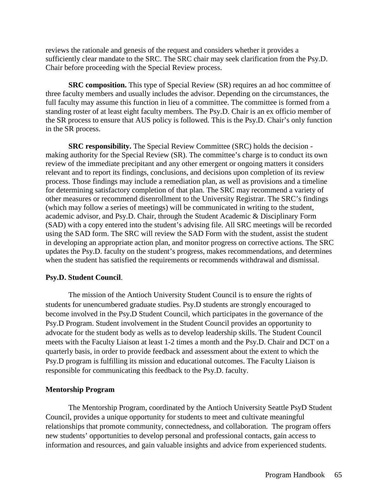reviews the rationale and genesis of the request and considers whether it provides a sufficiently clear mandate to the SRC. The SRC chair may seek clarification from the Psy.D. Chair before proceeding with the Special Review process.

**SRC composition.** This type of Special Review (SR) requires an ad hoc committee of three faculty members and usually includes the advisor. Depending on the circumstances, the full faculty may assume this function in lieu of a committee. The committee is formed from a standing roster of at least eight faculty members. The Psy.D. Chair is an ex officio member of the SR process to ensure that AUS policy is followed. This is the Psy.D. Chair's only function in the SR process.

**SRC responsibility.** The Special Review Committee (SRC) holds the decision making authority for the Special Review (SR). The committee's charge is to conduct its own review of the immediate precipitant and any other emergent or ongoing matters it considers relevant and to report its findings, conclusions, and decisions upon completion of its review process. Those findings may include a remediation plan, as well as provisions and a timeline for determining satisfactory completion of that plan. The SRC may recommend a variety of other measures or recommend disenrollment to the University Registrar. The SRC's findings (which may follow a series of meetings) will be communicated in writing to the student, academic advisor, and Psy.D. Chair, through the Student Academic & Disciplinary Form (SAD) with a copy entered into the student's advising file. All SRC meetings will be recorded using the SAD form. The SRC will review the SAD Form with the student, assist the student in developing an appropriate action plan, and monitor progress on corrective actions. The SRC updates the Psy.D. faculty on the student's progress, makes recommendations, and determines when the student has satisfied the requirements or recommends withdrawal and dismissal.

#### **Psy.D. Student Council**.

The mission of the Antioch University Student Council is to ensure the rights of students for unencumbered graduate studies. Psy.D students are strongly encouraged to become involved in the Psy.D Student Council, which participates in the governance of the Psy.D Program. Student involvement in the Student Council provides an opportunity to advocate for the student body as wells as to develop leadership skills. The Student Council meets with the Faculty Liaison at least 1-2 times a month and the Psy.D. Chair and DCT on a quarterly basis, in order to provide feedback and assessment about the extent to which the Psy.D program is fulfilling its mission and educational outcomes. The Faculty Liaison is responsible for communicating this feedback to the Psy.D. faculty.

### **Mentorship Program**

The Mentorship Program, coordinated by the Antioch University Seattle PsyD Student Council, provides a unique opportunity for students to meet and cultivate meaningful relationships that promote community, connectedness, and collaboration. The program offers new students' opportunities to develop personal and professional contacts, gain access to information and resources, and gain valuable insights and advice from experienced students.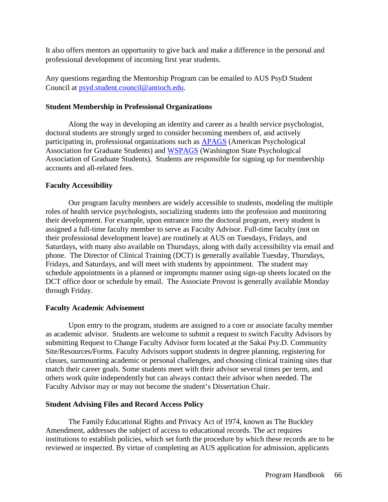It also offers mentors an opportunity to give back and make a difference in the personal and professional development of incoming first year students.

Any questions regarding the Mentorship Program can be emailed to AUS PsyD Student Council at [psyd.student.council@antioch.edu.](mailto:psyd.student.council@antioch.edu)

### **Student Membership in Professional Organizations**

Along the way in developing an identity and career as a health service psychologist, doctoral students are strongly urged to consider becoming members of, and actively participating in, professional organizations such as [APAGS](http://www.apa.org/membership/student/index.aspx) (American Psychological Association for Graduate Students) and [WSPAGS](http://www.wapsych.org/) (Washington State Psychological Association of Graduate Students). Students are responsible for signing up for membership accounts and all-related fees.

# **Faculty Accessibility**

Our program faculty members are widely accessible to students, modeling the multiple roles of health service psychologists, socializing students into the profession and monitoring their development. For example, upon entrance into the doctoral program, every student is assigned a full-time faculty member to serve as Faculty Advisor. Full-time faculty (not on their professional development leave) are routinely at AUS on Tuesdays, Fridays, and Saturdays, with many also available on Thursdays, along with daily accessibility via email and phone. The Director of Clinical Training (DCT) is generally available Tuesday, Thursdays, Fridays, and Saturdays, and will meet with students by appointment. The student may schedule appointments in a planned or impromptu manner using sign-up sheets located on the DCT office door or schedule by email. The Associate Provost is generally available Monday through Friday.

### **Faculty Academic Advisement**

Upon entry to the program, students are assigned to a core or associate faculty member as academic advisor. Students are welcome to submit a request to switch Faculty Advisors by submitting Request to Change Faculty Advisor form located at the Sakai Psy.D. Community Site/Resources/Forms. Faculty Advisors support students in degree planning, registering for classes, surmounting academic or personal challenges, and choosing clinical training sites that match their career goals. Some students meet with their advisor several times per term, and others work quite independently but can always contact their advisor when needed. The Faculty Advisor may or may not become the student's Dissertation Chair.

# **Student Advising Files and Record Access Policy**

The Family Educational Rights and Privacy Act of 1974, known as The Buckley Amendment, addresses the subject of access to educational records. The act requires institutions to establish policies, which set forth the procedure by which these records are to be reviewed or inspected. By virtue of completing an AUS application for admission, applicants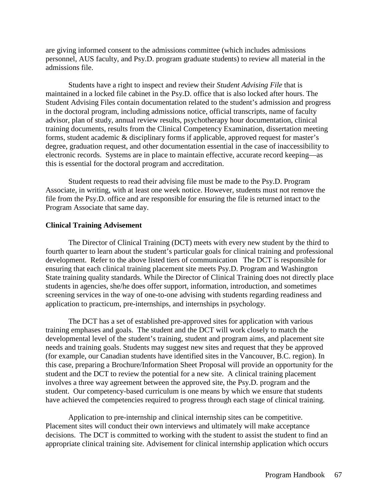are giving informed consent to the admissions committee (which includes admissions personnel, AUS faculty, and Psy.D. program graduate students) to review all material in the admissions file.

Students have a right to inspect and review their *Student Advising File* that is maintained in a locked file cabinet in the Psy.D. office that is also locked after hours. The Student Advising Files contain documentation related to the student's admission and progress in the doctoral program, including admissions notice, official transcripts, name of faculty advisor, plan of study, annual review results, psychotherapy hour documentation, clinical training documents, results from the Clinical Competency Examination, dissertation meeting forms, student academic & disciplinary forms if applicable, approved request for master's degree, graduation request, and other documentation essential in the case of inaccessibility to electronic records. Systems are in place to maintain effective, accurate record keeping—as this is essential for the doctoral program and accreditation.

Student requests to read their advising file must be made to the Psy.D. Program Associate, in writing, with at least one week notice. However, students must not remove the file from the Psy.D. office and are responsible for ensuring the file is returned intact to the Program Associate that same day.

#### **Clinical Training Advisement**

The Director of Clinical Training (DCT) meets with every new student by the third to fourth quarter to learn about the student's particular goals for clinical training and professional development. Refer to the above listed tiers of communication The DCT is responsible for ensuring that each clinical training placement site meets Psy.D. Program and Washington State training quality standards. While the Director of Clinical Training does not directly place students in agencies, she/he does offer support, information, introduction, and sometimes screening services in the way of one-to-one advising with students regarding readiness and application to practicum, pre-internships, and internships in psychology.

The DCT has a set of established pre-approved sites for application with various training emphases and goals. The student and the DCT will work closely to match the developmental level of the student's training, student and program aims, and placement site needs and training goals. Students may suggest new sites and request that they be approved (for example, our Canadian students have identified sites in the Vancouver, B.C. region). In this case, preparing a Brochure/Information Sheet Proposal will provide an opportunity for the student and the DCT to review the potential for a new site. A clinical training placement involves a three way agreement between the approved site, the Psy.D. program and the student. Our competency-based curriculum is one means by which we ensure that students have achieved the competencies required to progress through each stage of clinical training.

Application to pre-internship and clinical internship sites can be competitive. Placement sites will conduct their own interviews and ultimately will make acceptance decisions. The DCT is committed to working with the student to assist the student to find an appropriate clinical training site. Advisement for clinical internship application which occurs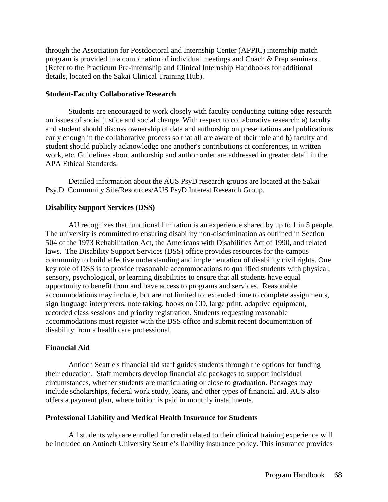through the Association for Postdoctoral and Internship Center (APPIC) internship match program is provided in a combination of individual meetings and Coach & Prep seminars. (Refer to the Practicum Pre-internship and Clinical Internship Handbooks for additional details, located on the Sakai Clinical Training Hub).

### **Student-Faculty Collaborative Research**

Students are encouraged to work closely with faculty conducting cutting edge research on issues of social justice and social change. With respect to collaborative research: a) faculty and student should discuss ownership of data and authorship on presentations and publications early enough in the collaborative process so that all are aware of their role and b) faculty and student should publicly acknowledge one another's contributions at conferences, in written work, etc. Guidelines about authorship and author order are addressed in greater detail in the APA Ethical Standards.

Detailed information about the AUS PsyD research groups are located at the Sakai Psy.D. Community Site/Resources/AUS PsyD Interest Research Group.

# **Disability Support Services (DSS)**

AU recognizes that functional limitation is an experience shared by up to 1 in 5 people. The university is committed to ensuring disability non-discrimination as outlined in Section 504 of the 1973 Rehabilitation Act, the Americans with Disabilities Act of 1990, and related laws. The Disability Support Services (DSS) office provides resources for the campus community to build effective understanding and implementation of disability civil rights. One key role of DSS is to provide reasonable accommodations to qualified students with physical, sensory, psychological, or learning disabilities to ensure that all students have equal opportunity to benefit from and have access to programs and services. Reasonable accommodations may include, but are not limited to: extended time to complete assignments, sign language interpreters, note taking, books on CD, large print, adaptive equipment, recorded class sessions and priority registration. Students requesting reasonable accommodations must register with the DSS office and submit recent documentation of disability from a health care professional.

# **Financial Aid**

Antioch Seattle's financial aid staff guides students through the options for funding their education. Staff members develop financial aid packages to support individual circumstances, whether students are matriculating or close to graduation. Packages may include scholarships, federal work study, loans, and other types of financial aid. AUS also offers a payment plan, where tuition is paid in monthly installments.

# **Professional Liability and Medical Health Insurance for Students**

All students who are enrolled for credit related to their clinical training experience will be included on Antioch University Seattle's liability insurance policy. This insurance provides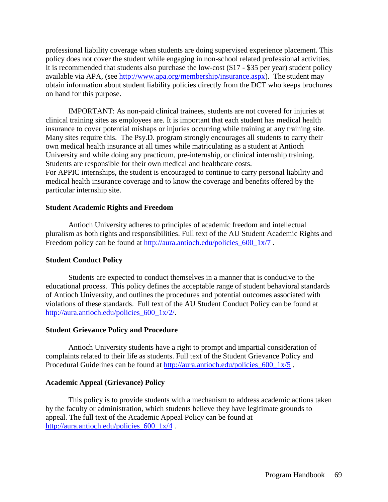professional liability coverage when students are doing supervised experience placement. This policy does not cover the student while engaging in non-school related professional activities. It is recommended that students also purchase the low-cost (\$17 - \$35 per year) student policy available via APA, (see [http://www.apa.org/membership/insurance.aspx\)](http://www.apa.org/membership/insurance.aspx). The student may obtain information about student liability policies directly from the DCT who keeps brochures on hand for this purpose.

IMPORTANT: As non-paid clinical trainees, students are not covered for injuries at clinical training sites as employees are. It is important that each student has medical health insurance to cover potential mishaps or injuries occurring while training at any training site. Many sites require this. The Psy.D. program strongly encourages all students to carry their own medical health insurance at all times while matriculating as a student at Antioch University and while doing any practicum, pre-internship, or clinical internship training. Students are responsible for their own medical and healthcare costs.

For APPIC internships, the student is encouraged to continue to carry personal liability and medical health insurance coverage and to know the coverage and benefits offered by the particular internship site.

#### **Student Academic Rights and Freedom**

Antioch University adheres to principles of academic freedom and intellectual pluralism as both rights and responsibilities. Full text of the AU Student Academic Rights and Freedom policy can be found at [http://aura.antioch.edu/policies\\_600\\_1x/7](http://aura.antioch.edu/policies_600_1x/7).

#### **Student Conduct Policy**

Students are expected to conduct themselves in a manner that is conducive to the educational process. This policy defines the acceptable range of student behavioral standards of Antioch University, and outlines the procedures and potential outcomes associated with violations of these standards. Full text of the AU Student Conduct Policy can be found at [http://aura.antioch.edu/policies\\_600\\_1x/2/.](http://aura.antioch.edu/policies_600_1x/2/)

#### **Student Grievance Policy and Procedure**

Antioch University students have a right to prompt and impartial consideration of complaints related to their life as students. Full text of the Student Grievance Policy and Procedural Guidelines can be found at [http://aura.antioch.edu/policies\\_600\\_1x/5](http://aura.antioch.edu/policies_600_1x/5).

#### **Academic Appeal (Grievance) Policy**

This policy is to provide students with a mechanism to address academic actions taken by the faculty or administration, which students believe they have legitimate grounds to appeal. The full text of the Academic Appeal Policy can be found at http://aura.antioch.edu/policies 600 1x/4.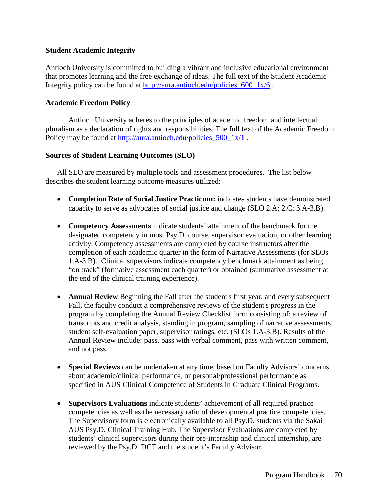## **Student Academic Integrity**

Antioch University is committed to building a vibrant and inclusive educational environment that promotes learning and the free exchange of ideas. The full text of the Student Academic Integrity policy can be found at http://aura.antioch.edu/policies 600 1x/6.

### **Academic Freedom Policy**

Antioch University adheres to the principles of academic freedom and intellectual pluralism as a declaration of rights and responsibilities. The full text of the Academic Freedom Policy may be found at [http://aura.antioch.edu/policies\\_500\\_1x/1](http://aura.antioch.edu/policies_500_1x/1).

### **Sources of Student Learning Outcomes (SLO)**

All SLO are measured by multiple tools and assessment procedures. The list below describes the student learning outcome measures utilized:

- **Completion Rate of Social Justice Practicum:** indicates students have demonstrated capacity to serve as advocates of social justice and change (SLO 2.A; 2.C; 3.A-3.B).
- **Competency Assessments** indicate students' attainment of the benchmark for the designated competency in most Psy.D. course, supervisor evaluation, or other learning activity. Competency assessments are completed by course instructors after the completion of each academic quarter in the form of Narrative Assessments (for SLOs 1.A-3.B). Clinical supervisors indicate competency benchmark attainment as being "on track" (formative assessment each quarter) or obtained (summative assessment at the end of the clinical training experience).
- **Annual Review** Beginning the Fall after the student's first year, and every subsequent Fall, the faculty conduct a comprehensive reviews of the student's progress in the program by completing the Annual Review Checklist form consisting of: a review of transcripts and credit analysis, standing in program, sampling of narrative assessments, student self-evaluation paper, supervisor ratings, etc. (SLOs 1.A-3.B). Results of the Annual Review include: pass, pass with verbal comment, pass with written comment, and not pass.
- **Special Reviews** can be undertaken at any time, based on Faculty Advisors' concerns about academic/clinical performance, or personal/professional performance as specified in AUS Clinical Competence of Students in Graduate Clinical Programs.
- **Supervisors Evaluations** indicate students' achievement of all required practice competencies as well as the necessary ratio of developmental practice competencies. The Supervisory form is electronically available to all Psy.D. students via the Sakai AUS Psy.D. Clinical Training Hub. The Supervisor Evaluations are completed by students' clinical supervisors during their pre-internship and clinical internship, are reviewed by the Psy.D. DCT and the student's Faculty Advisor.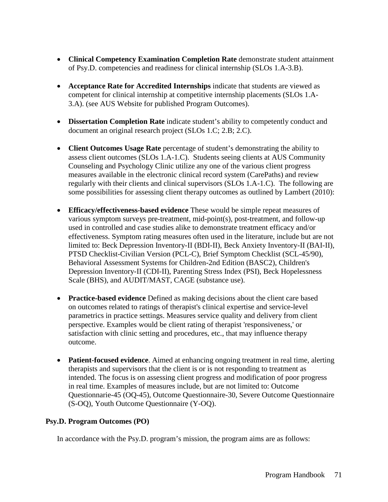- **Clinical Competency Examination Completion Rate** demonstrate student attainment of Psy.D. competencies and readiness for clinical internship (SLOs 1.A-3.B).
- **Acceptance Rate for Accredited Internships** indicate that students are viewed as competent for clinical internship at competitive internship placements (SLOs 1.A-3.A). (see AUS Website for published Program Outcomes).
- **Dissertation Completion Rate** indicate student's ability to competently conduct and document an original research project (SLOs 1.C; 2.B; 2.C).
- **Client Outcomes Usage Rate** percentage of student's demonstrating the ability to assess client outcomes (SLOs 1.A-1.C). Students seeing clients at AUS Community Counseling and Psychology Clinic utilize any one of the various client progress measures available in the electronic clinical record system (CarePaths) and review regularly with their clients and clinical supervisors (SLOs 1.A-1.C). The following are some possibilities for assessing client therapy outcomes as outlined by Lambert (2010):
- **Efficacy/effectiveness-based evidence** These would be simple repeat measures of various symptom surveys pre-treatment, mid-point(s), post-treatment, and follow-up used in controlled and case studies alike to demonstrate treatment efficacy and/or effectiveness. Symptom rating measures often used in the literature, include but are not limited to: Beck Depression Inventory-II (BDI-II), Beck Anxiety Inventory-II (BAI-II), PTSD Checklist-Civilian Version (PCL-C), Brief Symptom Checklist (SCL-45/90), Behavioral Assessment Systems for Children-2nd Edition (BASC2), Children's Depression Inventory-II (CDI-II), Parenting Stress Index (PSI), Beck Hopelessness Scale (BHS), and AUDIT/MAST, CAGE (substance use).
- **Practice-based evidence** Defined as making decisions about the client care based on outcomes related to ratings of therapist's clinical expertise and service-level parametrics in practice settings. Measures service quality and delivery from client perspective. Examples would be client rating of therapist 'responsiveness,' or satisfaction with clinic setting and procedures, etc., that may influence therapy outcome.
- **Patient-focused evidence**. Aimed at enhancing ongoing treatment in real time, alerting therapists and supervisors that the client is or is not responding to treatment as intended. The focus is on assessing client progress and modification of poor progress in real time. Examples of measures include, but are not limited to: Outcome Questionnarie-45 (OQ-45), Outcome Questionnaire-30, Severe Outcome Questionnaire (S-OQ), Youth Outcome Questionnaire (Y-OQ).

# **Psy.D. Program Outcomes (PO)**

In accordance with the Psy.D. program's mission, the program aims are as follows: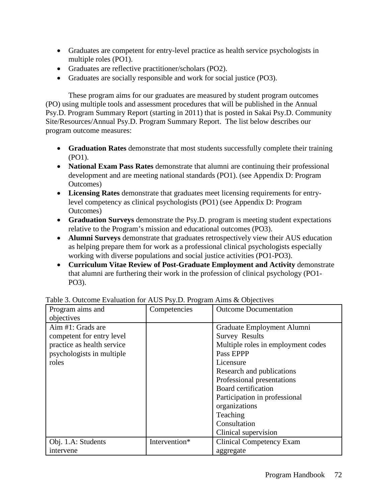- Graduates are competent for entry-level practice as health service psychologists in multiple roles (PO1).
- Graduates are reflective practitioner/scholars (PO2).
- Graduates are socially responsible and work for social justice (PO3).

These program aims for our graduates are measured by student program outcomes (PO) using multiple tools and assessment procedures that will be published in the Annual Psy.D. Program Summary Report (starting in 2011) that is posted in Sakai Psy.D. Community Site/Resources/Annual Psy.D. Program Summary Report. The list below describes our program outcome measures:

- **Graduation Rates** demonstrate that most students successfully complete their training (PO1).
- **National Exam Pass Rates** demonstrate that alumni are continuing their professional development and are meeting national standards (PO1). (see Appendix D: Program Outcomes)
- **Licensing Rates** demonstrate that graduates meet licensing requirements for entrylevel competency as clinical psychologists (PO1) (see Appendix D: Program Outcomes)
- **Graduation Surveys** demonstrate the Psy.D. program is meeting student expectations relative to the Program's mission and educational outcomes (PO3).
- **Alumni Surveys** demonstrate that graduates retrospectively view their AUS education as helping prepare them for work as a professional clinical psychologists especially working with diverse populations and social justice activities (PO1-PO3).
- **Curriculum Vitae Review of Post-Graduate Employment and Activity** demonstrate that alumni are furthering their work in the profession of clinical psychology (PO1- PO3).

| There see calculate the maintenance of $\mathcal{L}_{\mathcal{I}}$ . The station main $\alpha$ collectives<br>Program aims and<br>objectives | Competencies  | <b>Outcome Documentation</b>                                                                                                                                                                                                                                                                                |
|----------------------------------------------------------------------------------------------------------------------------------------------|---------------|-------------------------------------------------------------------------------------------------------------------------------------------------------------------------------------------------------------------------------------------------------------------------------------------------------------|
| Aim #1: Grads are<br>competent for entry level<br>practice as health service<br>psychologists in multiple<br>roles                           |               | Graduate Employment Alumni<br><b>Survey Results</b><br>Multiple roles in employment codes<br>Pass EPPP<br>Licensure<br>Research and publications<br>Professional presentations<br>Board certification<br>Participation in professional<br>organizations<br>Teaching<br>Consultation<br>Clinical supervision |
| Obj. 1.A: Students<br>intervene                                                                                                              | Intervention* | <b>Clinical Competency Exam</b><br>aggregate                                                                                                                                                                                                                                                                |

Table 3. Outcome Evaluation for AUS Psy.D. Program Aims & Objectives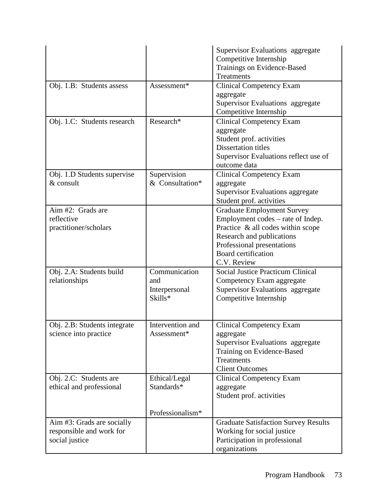|                              |                  | Supervisor Evaluations aggregate            |
|------------------------------|------------------|---------------------------------------------|
|                              |                  | Competitive Internship                      |
|                              |                  | Trainings on Evidence-Based                 |
|                              |                  | <b>Treatments</b>                           |
| Obj. 1.B: Students assess    | Assessment*      | <b>Clinical Competency Exam</b>             |
|                              |                  | aggregate                                   |
|                              |                  | Supervisor Evaluations aggregate            |
|                              |                  | Competitive Internship                      |
| Obj. 1.C: Students research  | Research*        | <b>Clinical Competency Exam</b>             |
|                              |                  | aggregate                                   |
|                              |                  | Student prof. activities                    |
|                              |                  | <b>Dissertation titles</b>                  |
|                              |                  |                                             |
|                              |                  | Supervisor Evaluations reflect use of       |
|                              |                  | outcome data                                |
| Obj. 1.D Students supervise  | Supervision      | <b>Clinical Competency Exam</b>             |
| & consult                    | & Consultation*  | aggregate                                   |
|                              |                  | <b>Supervisor Evaluations aggregate</b>     |
|                              |                  | Student prof. activities                    |
| Aim #2: Grads are            |                  | <b>Graduate Employment Survey</b>           |
| reflective                   |                  | Employment codes – rate of Indep.           |
| practitioner/scholars        |                  | Practice & all codes within scope           |
|                              |                  | Research and publications                   |
|                              |                  | Professional presentations                  |
|                              |                  | <b>Board certification</b>                  |
|                              |                  | C.V. Review                                 |
| Obj. 2.A: Students build     | Communication    | <b>Social Justice Practicum Clinical</b>    |
| relationships                | and              | Competency Exam aggregate                   |
|                              | Interpersonal    | Supervisor Evaluations aggregate            |
|                              | Skills*          | Competitive Internship                      |
|                              |                  |                                             |
|                              |                  |                                             |
| Obj. 2.B: Students integrate | Intervention and | <b>Clinical Competency Exam</b>             |
| science into practice        | Assessment*      | aggregate                                   |
|                              |                  | Supervisor Evaluations aggregate            |
|                              |                  | Training on Evidence-Based                  |
|                              |                  | <b>Treatments</b>                           |
|                              |                  | <b>Client Outcomes</b>                      |
| Obj. 2.C: Students are       | Ethical/Legal    | <b>Clinical Competency Exam</b>             |
| ethical and professional     | Standards*       | aggregate                                   |
|                              |                  | Student prof. activities                    |
|                              |                  |                                             |
|                              | Professionalism* |                                             |
| Aim #3: Grads are socially   |                  | <b>Graduate Satisfaction Survey Results</b> |
| responsible and work for     |                  | Working for social justice                  |
| social justice               |                  | Participation in professional               |
|                              |                  | organizations                               |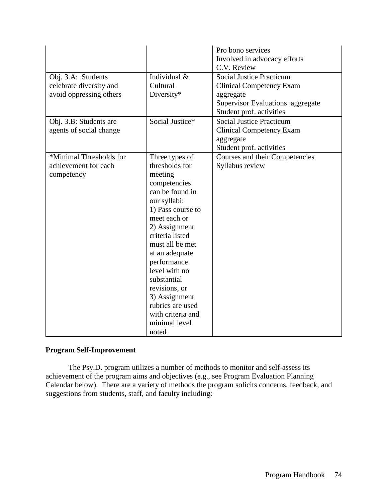|                         |                   | Pro bono services                |
|-------------------------|-------------------|----------------------------------|
|                         |                   | Involved in advocacy efforts     |
|                         |                   | C.V. Review                      |
| Obj. 3.A: Students      | Individual &      | <b>Social Justice Practicum</b>  |
| celebrate diversity and | Cultural          | <b>Clinical Competency Exam</b>  |
| avoid oppressing others | Diversity*        | aggregate                        |
|                         |                   | Supervisor Evaluations aggregate |
|                         |                   | Student prof. activities         |
| Obj. 3.B: Students are  | Social Justice*   | <b>Social Justice Practicum</b>  |
| agents of social change |                   | <b>Clinical Competency Exam</b>  |
|                         |                   | aggregate                        |
|                         |                   | Student prof. activities         |
| *Minimal Thresholds for | Three types of    | Courses and their Competencies   |
| achievement for each    | thresholds for    |                                  |
|                         | meeting           | Syllabus review                  |
| competency              |                   |                                  |
|                         | competencies      |                                  |
|                         | can be found in   |                                  |
|                         | our syllabi:      |                                  |
|                         | 1) Pass course to |                                  |
|                         | meet each or      |                                  |
|                         | 2) Assignment     |                                  |
|                         | criteria listed   |                                  |
|                         | must all be met   |                                  |
|                         | at an adequate    |                                  |
|                         | performance       |                                  |
|                         | level with no     |                                  |
|                         | substantial       |                                  |
|                         | revisions, or     |                                  |
|                         | 3) Assignment     |                                  |
|                         | rubrics are used  |                                  |
|                         | with criteria and |                                  |
|                         | minimal level     |                                  |
|                         | noted             |                                  |

## **Program Self-Improvement**

The Psy.D. program utilizes a number of methods to monitor and self-assess its achievement of the program aims and objectives (e.g., see Program Evaluation Planning Calendar below). There are a variety of methods the program solicits concerns, feedback, and suggestions from students, staff, and faculty including: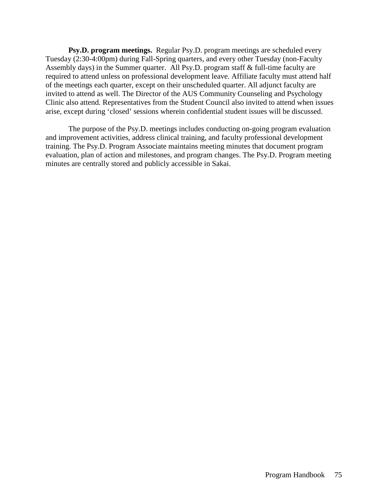**Psy.D. program meetings.** Regular Psy.D. program meetings are scheduled every Tuesday (2:30-4:00pm) during Fall-Spring quarters, and every other Tuesday (non-Faculty Assembly days) in the Summer quarter. All Psy.D. program staff & full-time faculty are required to attend unless on professional development leave. Affiliate faculty must attend half of the meetings each quarter, except on their unscheduled quarter. All adjunct faculty are invited to attend as well. The Director of the AUS Community Counseling and Psychology Clinic also attend. Representatives from the Student Council also invited to attend when issues arise, except during 'closed' sessions wherein confidential student issues will be discussed.

The purpose of the Psy.D. meetings includes conducting on-going program evaluation and improvement activities, address clinical training, and faculty professional development training. The Psy.D. Program Associate maintains meeting minutes that document program evaluation, plan of action and milestones, and program changes. The Psy.D. Program meeting minutes are centrally stored and publicly accessible in Sakai.